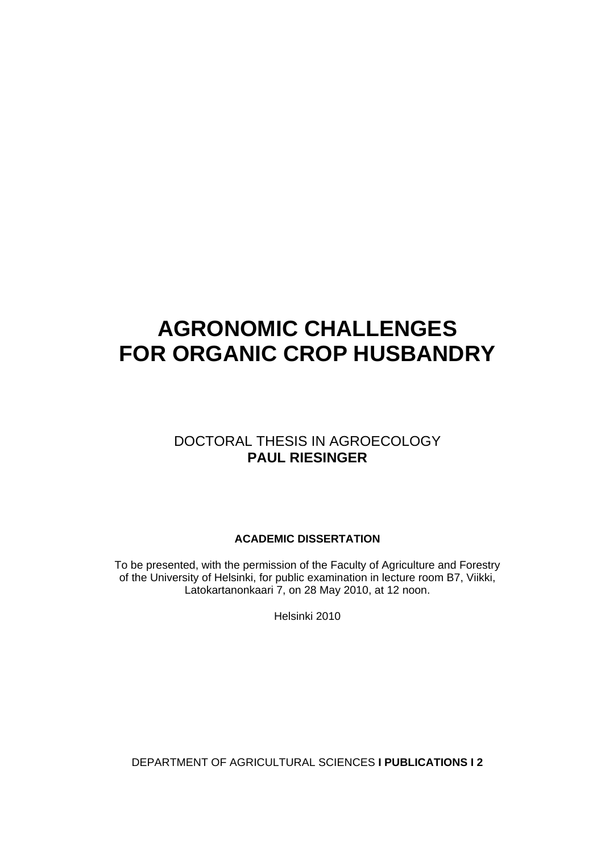# **AGRONOMIC CHALLENGES FOR ORGANIC CROP HUSBANDRY**

### DOCTORAL THESIS IN AGROECOLOGY **PAUL RIESINGER**

### **ACADEMIC DISSERTATION**

To be presented, with the permission of the Faculty of Agriculture and Forestry of the University of Helsinki, for public examination in lecture room B7, Viikki, Latokartanonkaari 7, on 28 May 2010, at 12 noon.

Helsinki 2010

DEPARTMENT OF AGRICULTURAL SCIENCES **I PUBLICATIONS I 2**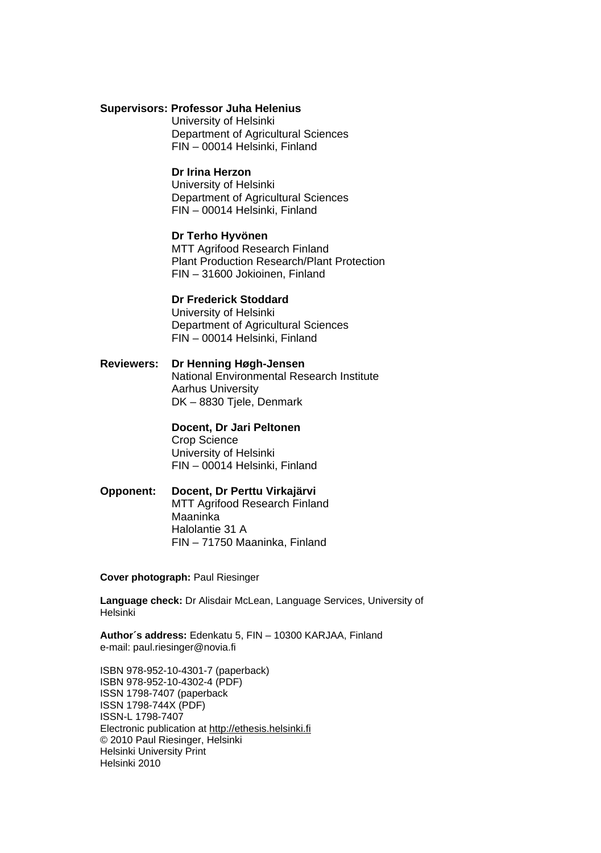#### **Supervisors: Professor Juha Helenius**

University of Helsinki Department of Agricultural Sciences FIN – 00014 Helsinki, Finland

#### **Dr Irina Herzon**

University of Helsinki Department of Agricultural Sciences FIN – 00014 Helsinki, Finland

### **Dr Terho Hyvönen**

MTT Agrifood Research Finland Plant Production Research/Plant Protection FIN – 31600 Jokioinen, Finland

#### **Dr Frederick Stoddard**

University of Helsinki Department of Agricultural Sciences FIN – 00014 Helsinki, Finland

**Reviewers: Dr Henning Høgh-Jensen**  National Environmental Research Institute Aarhus University DK – 8830 Tjele, Denmark

#### **Docent, Dr Jari Peltonen**  Crop Science University of Helsinki FIN – 00014 Helsinki, Finland

**Opponent: Docent, Dr Perttu Virkajärvi**  MTT Agrifood Research Finland Maaninka Halolantie 31 A FIN – 71750 Maaninka, Finland

**Cover photograph:** Paul Riesinger

**Language check:** Dr Alisdair McLean, Language Services, University of Helsinki

**Author´s address:** Edenkatu 5, FIN – 10300 KARJAA, Finland e-mail: paul.riesinger@novia.fi

ISBN 978-952-10-4301-7 (paperback) ISBN 978-952-10-4302-4 (PDF) ISSN 1798-7407 (paperback ISSN 1798-744X (PDF) ISSN-L 1798-7407 Electronic publication at http://ethesis.helsinki.fi © 2010 Paul Riesinger, Helsinki Helsinki University Print Helsinki 2010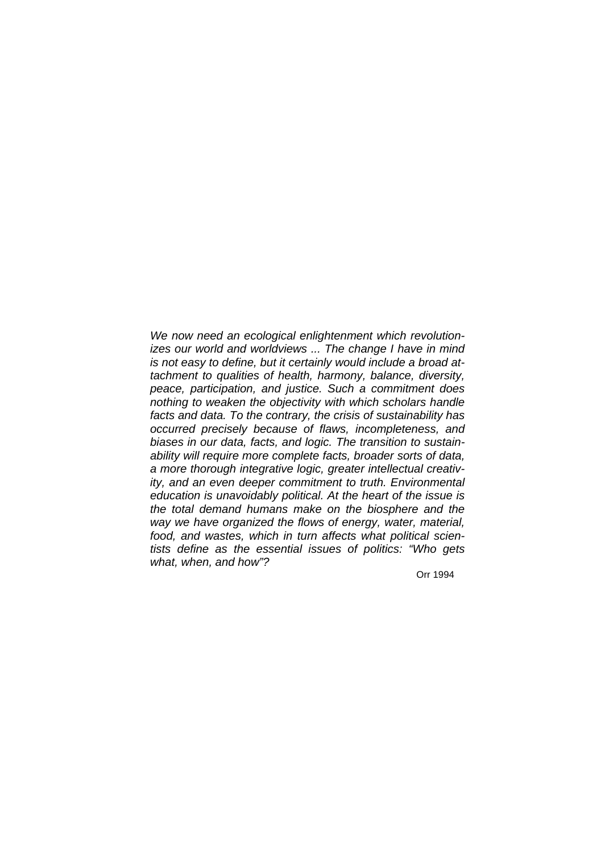*We now need an ecological enlightenment which revolutionizes our world and worldviews ... The change I have in mind is not easy to define, but it certainly would include a broad attachment to qualities of health, harmony, balance, diversity, peace, participation, and justice. Such a commitment does nothing to weaken the objectivity with which scholars handle facts and data. To the contrary, the crisis of sustainability has occurred precisely because of flaws, incompleteness, and biases in our data, facts, and logic. The transition to sustainability will require more complete facts, broader sorts of data, a more thorough integrative logic, greater intellectual creativity, and an even deeper commitment to truth. Environmental education is unavoidably political. At the heart of the issue is the total demand humans make on the biosphere and the way we have organized the flows of energy, water, material, food, and wastes, which in turn affects what political scientists define as the essential issues of politics: "Who gets what, when, and how"?* 

Orr 1994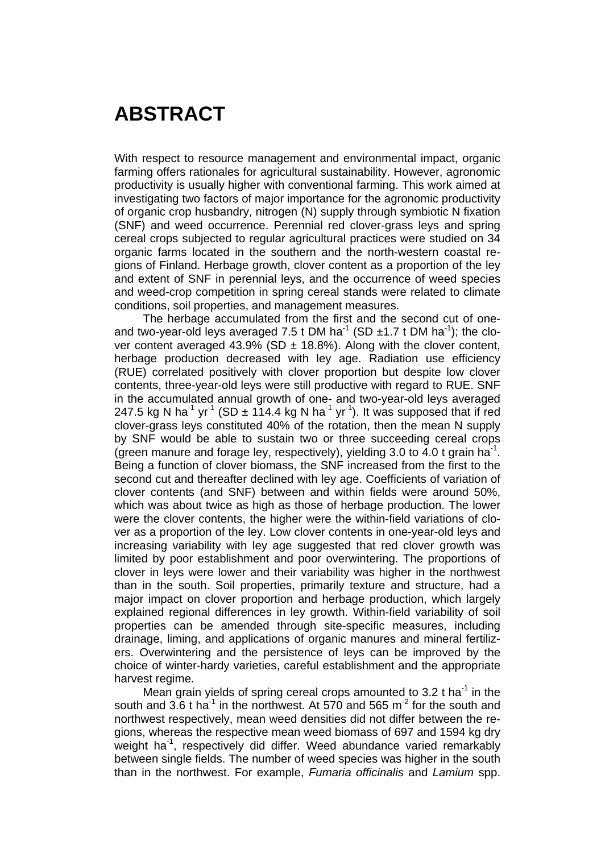## **ABSTRACT**

With respect to resource management and environmental impact, organic farming offers rationales for agricultural sustainability. However, agronomic productivity is usually higher with conventional farming. This work aimed at investigating two factors of major importance for the agronomic productivity of organic crop husbandry, nitrogen (N) supply through symbiotic N fixation (SNF) and weed occurrence. Perennial red clover-grass leys and spring cereal crops subjected to regular agricultural practices were studied on 34 organic farms located in the southern and the north-western coastal regions of Finland. Herbage growth, clover content as a proportion of the ley and extent of SNF in perennial leys, and the occurrence of weed species and weed-crop competition in spring cereal stands were related to climate conditions, soil properties, and management measures.

The herbage accumulated from the first and the second cut of oneand two-year-old leys averaged 7.5 t DM ha<sup>-1</sup> (SD  $\pm$ 1.7 t DM ha<sup>-1</sup>); the clover content averaged 43.9% (SD  $\pm$  18.8%). Along with the clover content, herbage production decreased with ley age. Radiation use efficiency (RUE) correlated positively with clover proportion but despite low clover contents, three-year-old leys were still productive with regard to RUE. SNF in the accumulated annual growth of one- and two-year-old leys averaged 247.5 kg N ha<sup>-1</sup> yr<sup>-1</sup> (SD  $\pm$  114.4 kg N ha<sup>-1</sup> yr<sup>-1</sup>). It was supposed that if red clover-grass leys constituted 40% of the rotation, then the mean N supply by SNF would be able to sustain two or three succeeding cereal crops (green manure and forage ley, respectively), yielding 3.0 to 4.0 t grain ha<sup>-1</sup>. Being a function of clover biomass, the SNF increased from the first to the second cut and thereafter declined with ley age. Coefficients of variation of clover contents (and SNF) between and within fields were around 50%, which was about twice as high as those of herbage production. The lower were the clover contents, the higher were the within-field variations of clover as a proportion of the ley. Low clover contents in one-year-old leys and increasing variability with ley age suggested that red clover growth was limited by poor establishment and poor overwintering. The proportions of clover in leys were lower and their variability was higher in the northwest than in the south. Soil properties, primarily texture and structure, had a major impact on clover proportion and herbage production, which largely explained regional differences in ley growth. Within-field variability of soil properties can be amended through site-specific measures, including drainage, liming, and applications of organic manures and mineral fertilizers. Overwintering and the persistence of leys can be improved by the choice of winter-hardy varieties, careful establishment and the appropriate harvest regime.

Mean grain yields of spring cereal crops amounted to 3.2 t ha<sup>-1</sup> in the south and 3.6 t ha<sup>-1</sup> in the northwest. At 570 and 565 m<sup>-2</sup> for the south and northwest respectively, mean weed densities did not differ between the regions, whereas the respective mean weed biomass of 697 and 1594 kg dry weight ha<sup>-1</sup>, respectively did differ. Weed abundance varied remarkably between single fields. The number of weed species was higher in the south than in the northwest. For example, *Fumaria officinalis* and *Lamium* spp.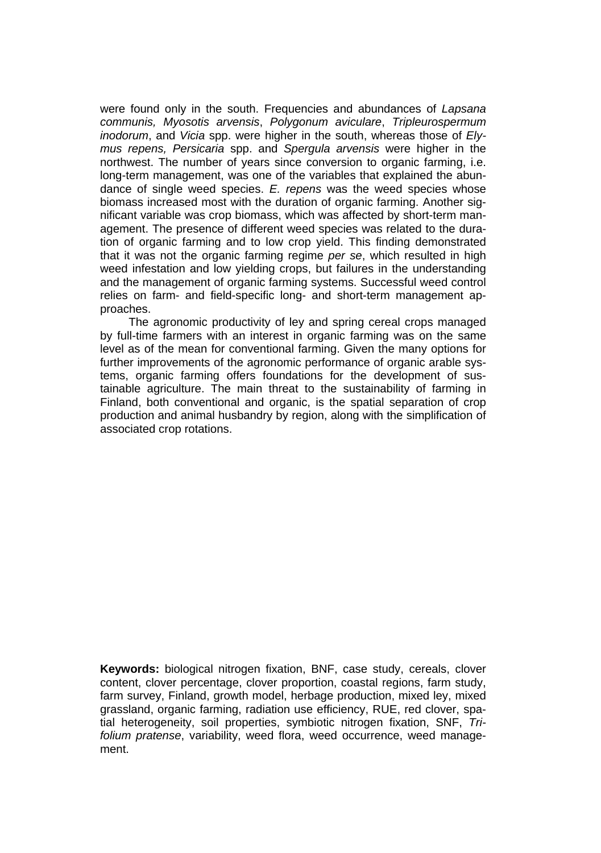were found only in the south. Frequencies and abundances of *Lapsana communis, Myosotis arvensis*, *Polygonum aviculare*, *Tripleurospermum inodorum*, and *Vicia* spp. were higher in the south, whereas those of *Elymus repens, Persicaria* spp. and *Spergula arvensis* were higher in the northwest. The number of years since conversion to organic farming, i.e. long-term management, was one of the variables that explained the abundance of single weed species. *E. repens* was the weed species whose biomass increased most with the duration of organic farming. Another significant variable was crop biomass, which was affected by short-term management. The presence of different weed species was related to the duration of organic farming and to low crop yield. This finding demonstrated that it was not the organic farming regime *per se*, which resulted in high weed infestation and low yielding crops, but failures in the understanding and the management of organic farming systems. Successful weed control relies on farm- and field-specific long- and short-term management approaches.

The agronomic productivity of ley and spring cereal crops managed by full-time farmers with an interest in organic farming was on the same level as of the mean for conventional farming. Given the many options for further improvements of the agronomic performance of organic arable systems, organic farming offers foundations for the development of sustainable agriculture. The main threat to the sustainability of farming in Finland, both conventional and organic, is the spatial separation of crop production and animal husbandry by region, along with the simplification of associated crop rotations.

**Keywords:** biological nitrogen fixation, BNF, case study, cereals, clover content, clover percentage, clover proportion, coastal regions, farm study, farm survey, Finland, growth model, herbage production, mixed ley, mixed grassland, organic farming, radiation use efficiency, RUE, red clover, spatial heterogeneity, soil properties, symbiotic nitrogen fixation, SNF, *Trifolium pratense*, variability, weed flora, weed occurrence, weed management.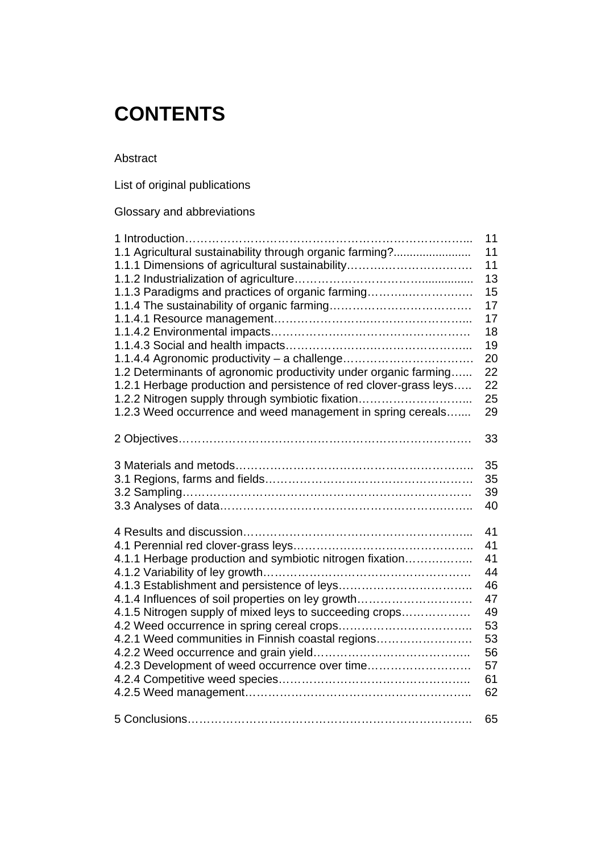## **CONTENTS**

Abstract

List of original publications

Glossary and abbreviations

|                                                                   | 11 |
|-------------------------------------------------------------------|----|
| 1.1 Agricultural sustainability through organic farming?          | 11 |
| 1.1.1 Dimensions of agricultural sustainability                   | 11 |
|                                                                   | 13 |
| 1.1.3 Paradigms and practices of organic farming                  | 15 |
|                                                                   | 17 |
|                                                                   | 17 |
|                                                                   | 18 |
|                                                                   | 19 |
|                                                                   | 20 |
| 1.2 Determinants of agronomic productivity under organic farming  | 22 |
| 1.2.1 Herbage production and persistence of red clover-grass leys | 22 |
| 1.2.2 Nitrogen supply through symbiotic fixation                  | 25 |
| 1.2.3 Weed occurrence and weed management in spring cereals       | 29 |
|                                                                   |    |
|                                                                   | 33 |
|                                                                   |    |
|                                                                   | 35 |
|                                                                   | 35 |
|                                                                   | 39 |
|                                                                   | 40 |
|                                                                   |    |
|                                                                   | 41 |
|                                                                   | 41 |
| 4.1.1 Herbage production and symbiotic nitrogen fixation          | 41 |
|                                                                   | 44 |
|                                                                   | 46 |
| 4.1.4 Influences of soil properties on ley growth                 | 47 |
| 4.1.5 Nitrogen supply of mixed leys to succeeding crops           | 49 |
|                                                                   | 53 |
| 4.2.1 Weed communities in Finnish coastal regions                 | 53 |
|                                                                   | 56 |
| 4.2.3 Development of weed occurrence over time                    | 57 |
|                                                                   | 61 |
|                                                                   | 62 |
|                                                                   |    |
|                                                                   | 65 |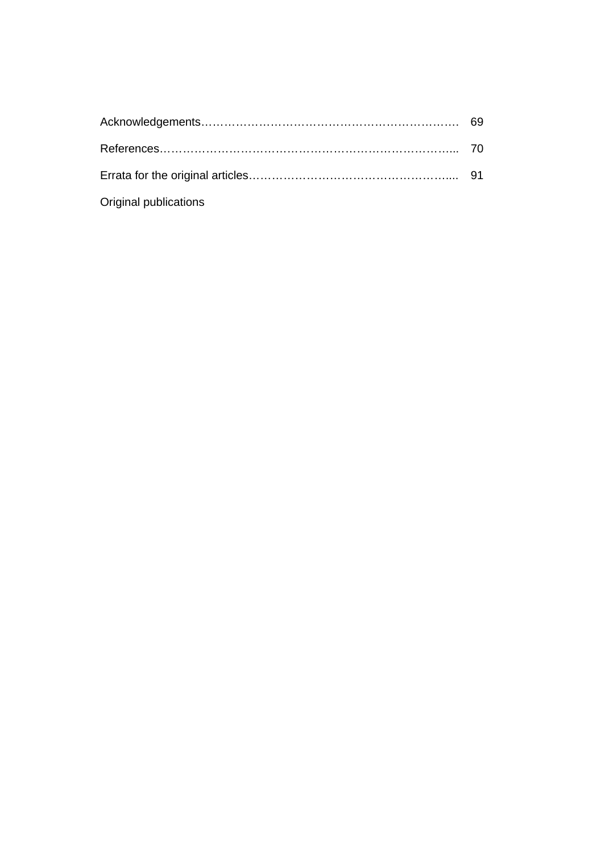| Original publications |  |
|-----------------------|--|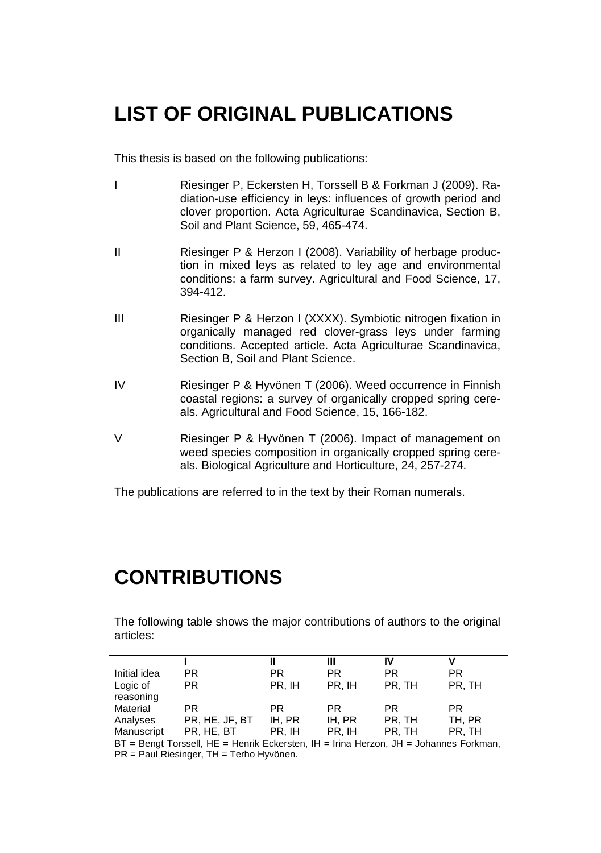## **LIST OF ORIGINAL PUBLICATIONS**

This thesis is based on the following publications:

- I Riesinger P, Eckersten H, Torssell B & Forkman J (2009). Radiation-use efficiency in leys: influences of growth period and clover proportion. Acta Agriculturae Scandinavica, Section B, Soil and Plant Science, 59, 465-474.
- II Riesinger P & Herzon I (2008). Variability of herbage production in mixed leys as related to ley age and environmental conditions: a farm survey. Agricultural and Food Science, 17, 394-412.
- III Riesinger P & Herzon I (XXXX). Symbiotic nitrogen fixation in organically managed red clover-grass leys under farming conditions. Accepted article. Acta Agriculturae Scandinavica, Section B, Soil and Plant Science.
- IV Riesinger P & Hyvönen T (2006). Weed occurrence in Finnish coastal regions: a survey of organically cropped spring cereals. Agricultural and Food Science, 15, 166-182.
- V Riesinger P & Hyvönen T (2006). Impact of management on weed species composition in organically cropped spring cereals. Biological Agriculture and Horticulture, 24, 257-274.

The publications are referred to in the text by their Roman numerals.

## **CONTRIBUTIONS**

The following table shows the major contributions of authors to the original articles:

|                       |                |        | Ш      | IV        |           |
|-----------------------|----------------|--------|--------|-----------|-----------|
| Initial idea          | PR.            | РR     | PR     | <b>PR</b> | <b>PR</b> |
| Logic of<br>reasoning | PR.            | PR. IH | PR. IH | PR, TH    | PR, TH    |
| Material              | PR.            | РR     | PR.    | PR.       | PR.       |
| Analyses              | PR, HE, JF, BT | IH. PR | IH. PR | PR, TH    | TH, PR    |
| Manuscript            | PR, HE, BT     | PR, IH | PR. IH | PR. TH    | PR, TH    |

BT = Bengt Torssell, HE = Henrik Eckersten, IH = Irina Herzon, JH = Johannes Forkman, PR = Paul Riesinger, TH = Terho Hyvönen.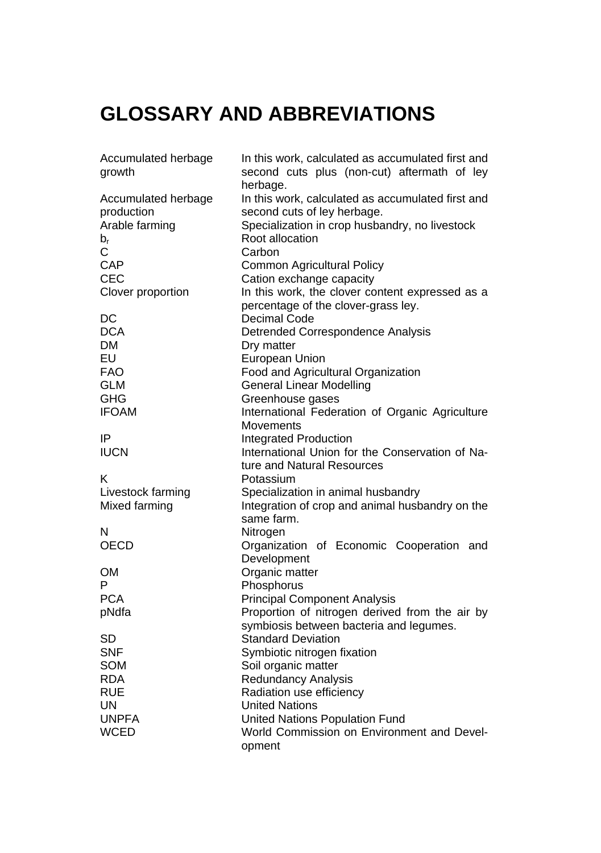# **GLOSSARY AND ABBREVIATIONS**

| Accumulated herbage | In this work, calculated as accumulated first and |  |  |  |  |
|---------------------|---------------------------------------------------|--|--|--|--|
| growth              | second cuts plus (non-cut) aftermath of ley       |  |  |  |  |
|                     | herbage.                                          |  |  |  |  |
| Accumulated herbage | In this work, calculated as accumulated first and |  |  |  |  |
| production          | second cuts of ley herbage.                       |  |  |  |  |
| Arable farming      | Specialization in crop husbandry, no livestock    |  |  |  |  |
| $b_{r}$             | Root allocation                                   |  |  |  |  |
| С                   | Carbon                                            |  |  |  |  |
| CAP                 | <b>Common Agricultural Policy</b>                 |  |  |  |  |
| CEC                 | Cation exchange capacity                          |  |  |  |  |
|                     | In this work, the clover content expressed as a   |  |  |  |  |
| Clover proportion   |                                                   |  |  |  |  |
|                     | percentage of the clover-grass ley.               |  |  |  |  |
| DC                  | Decimal Code                                      |  |  |  |  |
| <b>DCA</b>          | Detrended Correspondence Analysis                 |  |  |  |  |
| <b>DM</b>           | Dry matter                                        |  |  |  |  |
| EU                  | European Union                                    |  |  |  |  |
| <b>FAO</b>          | Food and Agricultural Organization                |  |  |  |  |
| <b>GLM</b>          | <b>General Linear Modelling</b>                   |  |  |  |  |
| GHG                 | Greenhouse gases                                  |  |  |  |  |
| <b>IFOAM</b>        | International Federation of Organic Agriculture   |  |  |  |  |
|                     | Movements                                         |  |  |  |  |
| IP                  | Integrated Production                             |  |  |  |  |
| <b>IUCN</b>         | International Union for the Conservation of Na-   |  |  |  |  |
|                     | ture and Natural Resources                        |  |  |  |  |
| Κ                   | Potassium                                         |  |  |  |  |
| Livestock farming   | Specialization in animal husbandry                |  |  |  |  |
| Mixed farming       | Integration of crop and animal husbandry on the   |  |  |  |  |
|                     | same farm.                                        |  |  |  |  |
| N                   | Nitrogen                                          |  |  |  |  |
| <b>OECD</b>         | Organization of Economic Cooperation<br>and       |  |  |  |  |
|                     | Development                                       |  |  |  |  |
| OМ                  | Organic matter                                    |  |  |  |  |
| P                   | Phosphorus                                        |  |  |  |  |
| <b>PCA</b>          | <b>Principal Component Analysis</b>               |  |  |  |  |
| pNdfa               | Proportion of nitrogen derived from the air by    |  |  |  |  |
|                     | symbiosis between bacteria and legumes.           |  |  |  |  |
| SD                  | <b>Standard Deviation</b>                         |  |  |  |  |
| <b>SNF</b>          | Symbiotic nitrogen fixation                       |  |  |  |  |
| <b>SOM</b>          | Soil organic matter                               |  |  |  |  |
| <b>RDA</b>          | <b>Redundancy Analysis</b>                        |  |  |  |  |
| <b>RUE</b>          | Radiation use efficiency                          |  |  |  |  |
| UN.                 | United Nations                                    |  |  |  |  |
| <b>UNPFA</b>        | United Nations Population Fund                    |  |  |  |  |
|                     | World Commission on Environment and Devel-        |  |  |  |  |
| WCED                |                                                   |  |  |  |  |
|                     | opment                                            |  |  |  |  |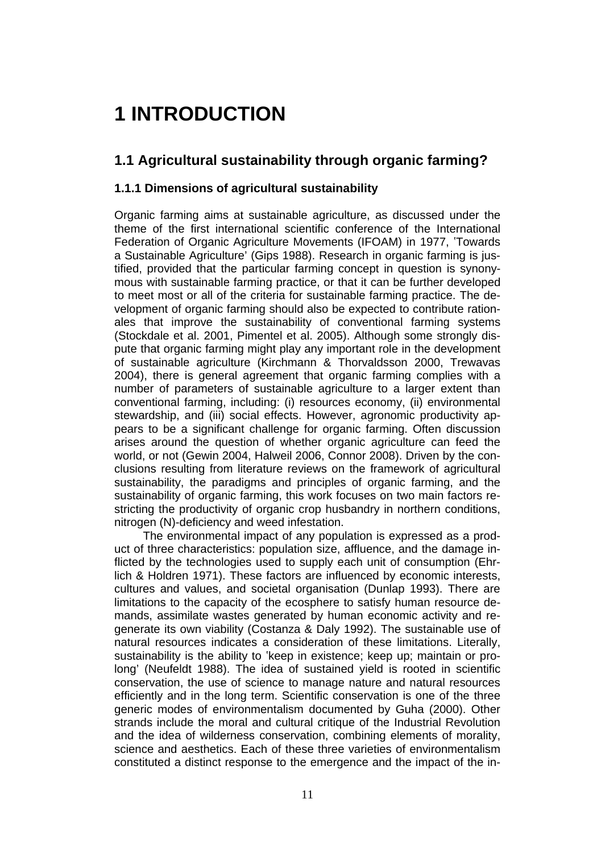# **1 INTRODUCTION**

## **1.1 Agricultural sustainability through organic farming?**

#### **1.1.1 Dimensions of agricultural sustainability**

Organic farming aims at sustainable agriculture, as discussed under the theme of the first international scientific conference of the International Federation of Organic Agriculture Movements (IFOAM) in 1977, 'Towards a Sustainable Agriculture' (Gips 1988). Research in organic farming is justified, provided that the particular farming concept in question is synonymous with sustainable farming practice, or that it can be further developed to meet most or all of the criteria for sustainable farming practice. The development of organic farming should also be expected to contribute rationales that improve the sustainability of conventional farming systems (Stockdale et al. 2001, Pimentel et al. 2005). Although some strongly dispute that organic farming might play any important role in the development of sustainable agriculture (Kirchmann & Thorvaldsson 2000, Trewavas 2004), there is general agreement that organic farming complies with a number of parameters of sustainable agriculture to a larger extent than conventional farming, including: (i) resources economy, (ii) environmental stewardship, and (iii) social effects. However, agronomic productivity appears to be a significant challenge for organic farming. Often discussion arises around the question of whether organic agriculture can feed the world, or not (Gewin 2004, Halweil 2006, Connor 2008). Driven by the conclusions resulting from literature reviews on the framework of agricultural sustainability, the paradigms and principles of organic farming, and the sustainability of organic farming, this work focuses on two main factors restricting the productivity of organic crop husbandry in northern conditions, nitrogen (N)-deficiency and weed infestation.

The environmental impact of any population is expressed as a product of three characteristics: population size, affluence, and the damage inflicted by the technologies used to supply each unit of consumption (Ehrlich & Holdren 1971). These factors are influenced by economic interests, cultures and values, and societal organisation (Dunlap 1993). There are limitations to the capacity of the ecosphere to satisfy human resource demands, assimilate wastes generated by human economic activity and regenerate its own viability (Costanza & Daly 1992). The sustainable use of natural resources indicates a consideration of these limitations. Literally, sustainability is the ability to 'keep in existence; keep up; maintain or prolong' (Neufeldt 1988). The idea of sustained yield is rooted in scientific conservation, the use of science to manage nature and natural resources efficiently and in the long term. Scientific conservation is one of the three generic modes of environmentalism documented by Guha (2000). Other strands include the moral and cultural critique of the Industrial Revolution and the idea of wilderness conservation, combining elements of morality, science and aesthetics. Each of these three varieties of environmentalism constituted a distinct response to the emergence and the impact of the in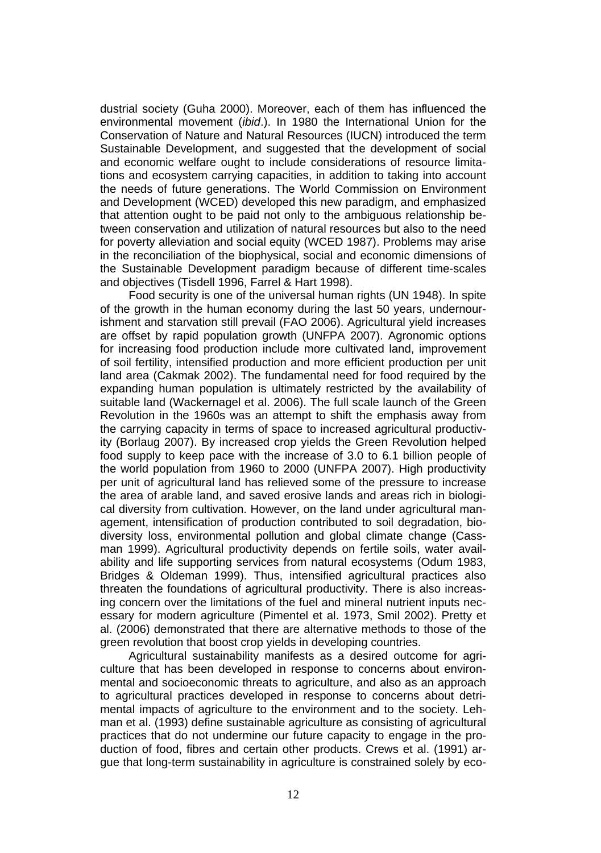dustrial society (Guha 2000). Moreover, each of them has influenced the environmental movement (*ibid*.). In 1980 the International Union for the Conservation of Nature and Natural Resources (IUCN) introduced the term Sustainable Development, and suggested that the development of social and economic welfare ought to include considerations of resource limitations and ecosystem carrying capacities, in addition to taking into account the needs of future generations. The World Commission on Environment and Development (WCED) developed this new paradigm, and emphasized that attention ought to be paid not only to the ambiguous relationship between conservation and utilization of natural resources but also to the need for poverty alleviation and social equity (WCED 1987). Problems may arise in the reconciliation of the biophysical, social and economic dimensions of the Sustainable Development paradigm because of different time-scales and objectives (Tisdell 1996, Farrel & Hart 1998).

Food security is one of the universal human rights (UN 1948). In spite of the growth in the human economy during the last 50 years, undernourishment and starvation still prevail (FAO 2006). Agricultural yield increases are offset by rapid population growth (UNFPA 2007). Agronomic options for increasing food production include more cultivated land, improvement of soil fertility, intensified production and more efficient production per unit land area (Cakmak 2002). The fundamental need for food required by the expanding human population is ultimately restricted by the availability of suitable land (Wackernagel et al. 2006). The full scale launch of the Green Revolution in the 1960s was an attempt to shift the emphasis away from the carrying capacity in terms of space to increased agricultural productivity (Borlaug 2007). By increased crop yields the Green Revolution helped food supply to keep pace with the increase of 3.0 to 6.1 billion people of the world population from 1960 to 2000 (UNFPA 2007). High productivity per unit of agricultural land has relieved some of the pressure to increase the area of arable land, and saved erosive lands and areas rich in biological diversity from cultivation. However, on the land under agricultural management, intensification of production contributed to soil degradation, biodiversity loss, environmental pollution and global climate change (Cassman 1999). Agricultural productivity depends on fertile soils, water availability and life supporting services from natural ecosystems (Odum 1983, Bridges & Oldeman 1999). Thus, intensified agricultural practices also threaten the foundations of agricultural productivity. There is also increasing concern over the limitations of the fuel and mineral nutrient inputs necessary for modern agriculture (Pimentel et al. 1973, Smil 2002). Pretty et al. (2006) demonstrated that there are alternative methods to those of the green revolution that boost crop yields in developing countries.

Agricultural sustainability manifests as a desired outcome for agriculture that has been developed in response to concerns about environmental and socioeconomic threats to agriculture, and also as an approach to agricultural practices developed in response to concerns about detrimental impacts of agriculture to the environment and to the society. Lehman et al. (1993) define sustainable agriculture as consisting of agricultural practices that do not undermine our future capacity to engage in the production of food, fibres and certain other products. Crews et al. (1991) argue that long-term sustainability in agriculture is constrained solely by eco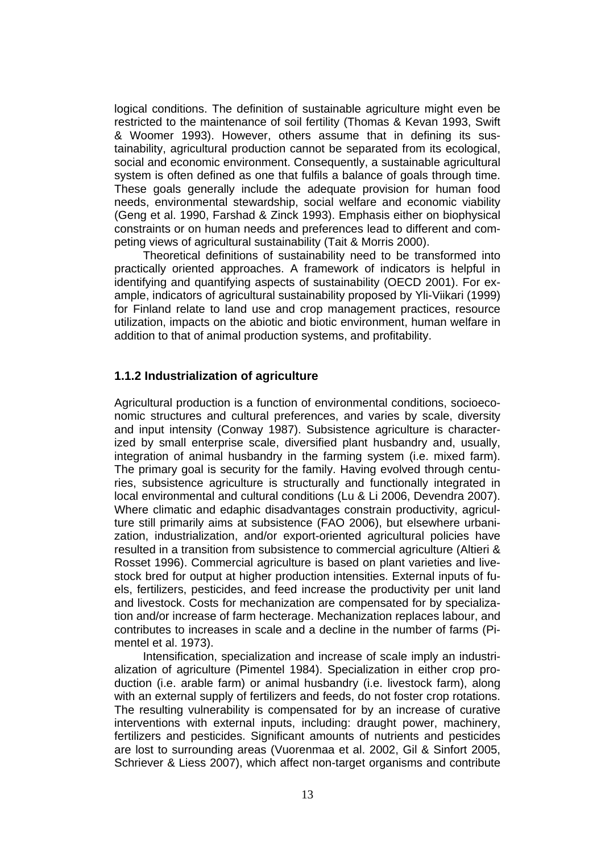logical conditions. The definition of sustainable agriculture might even be restricted to the maintenance of soil fertility (Thomas & Kevan 1993, Swift & Woomer 1993). However, others assume that in defining its sustainability, agricultural production cannot be separated from its ecological, social and economic environment. Consequently, a sustainable agricultural system is often defined as one that fulfils a balance of goals through time. These goals generally include the adequate provision for human food needs, environmental stewardship, social welfare and economic viability (Geng et al. 1990, Farshad & Zinck 1993). Emphasis either on biophysical constraints or on human needs and preferences lead to different and competing views of agricultural sustainability (Tait & Morris 2000).

Theoretical definitions of sustainability need to be transformed into practically oriented approaches. A framework of indicators is helpful in identifying and quantifying aspects of sustainability (OECD 2001). For example, indicators of agricultural sustainability proposed by Yli-Viikari (1999) for Finland relate to land use and crop management practices, resource utilization, impacts on the abiotic and biotic environment, human welfare in addition to that of animal production systems, and profitability.

#### **1.1.2 Industrialization of agriculture**

Agricultural production is a function of environmental conditions, socioeconomic structures and cultural preferences, and varies by scale, diversity and input intensity (Conway 1987). Subsistence agriculture is characterized by small enterprise scale, diversified plant husbandry and, usually, integration of animal husbandry in the farming system (i.e. mixed farm). The primary goal is security for the family. Having evolved through centuries, subsistence agriculture is structurally and functionally integrated in local environmental and cultural conditions (Lu & Li 2006, Devendra 2007). Where climatic and edaphic disadvantages constrain productivity, agriculture still primarily aims at subsistence (FAO 2006), but elsewhere urbanization, industrialization, and/or export-oriented agricultural policies have resulted in a transition from subsistence to commercial agriculture (Altieri & Rosset 1996). Commercial agriculture is based on plant varieties and livestock bred for output at higher production intensities. External inputs of fuels, fertilizers, pesticides, and feed increase the productivity per unit land and livestock. Costs for mechanization are compensated for by specialization and/or increase of farm hecterage. Mechanization replaces labour, and contributes to increases in scale and a decline in the number of farms (Pimentel et al. 1973).

Intensification, specialization and increase of scale imply an industrialization of agriculture (Pimentel 1984). Specialization in either crop production (i.e. arable farm) or animal husbandry (i.e. livestock farm), along with an external supply of fertilizers and feeds, do not foster crop rotations. The resulting vulnerability is compensated for by an increase of curative interventions with external inputs, including: draught power, machinery, fertilizers and pesticides. Significant amounts of nutrients and pesticides are lost to surrounding areas (Vuorenmaa et al. 2002, Gil & Sinfort 2005, Schriever & Liess 2007), which affect non-target organisms and contribute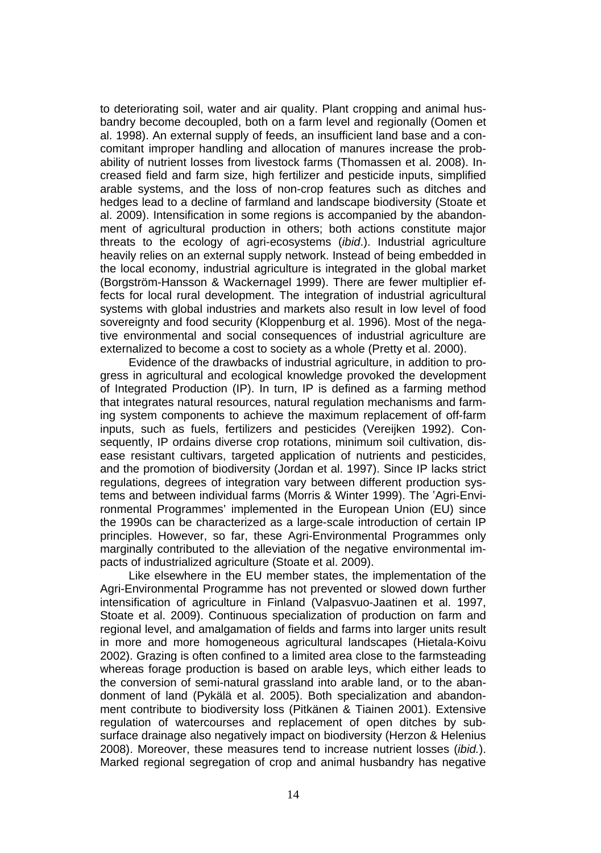to deteriorating soil, water and air quality. Plant cropping and animal husbandry become decoupled, both on a farm level and regionally (Oomen et al. 1998). An external supply of feeds, an insufficient land base and a concomitant improper handling and allocation of manures increase the probability of nutrient losses from livestock farms (Thomassen et al. 2008). Increased field and farm size, high fertilizer and pesticide inputs, simplified arable systems, and the loss of non-crop features such as ditches and hedges lead to a decline of farmland and landscape biodiversity (Stoate et al. 2009). Intensification in some regions is accompanied by the abandonment of agricultural production in others; both actions constitute major threats to the ecology of agri-ecosystems (*ibid*.). Industrial agriculture heavily relies on an external supply network. Instead of being embedded in the local economy, industrial agriculture is integrated in the global market (Borgström-Hansson & Wackernagel 1999). There are fewer multiplier effects for local rural development. The integration of industrial agricultural systems with global industries and markets also result in low level of food sovereignty and food security (Kloppenburg et al. 1996). Most of the negative environmental and social consequences of industrial agriculture are externalized to become a cost to society as a whole (Pretty et al. 2000).

Evidence of the drawbacks of industrial agriculture, in addition to progress in agricultural and ecological knowledge provoked the development of Integrated Production (IP). In turn, IP is defined as a farming method that integrates natural resources, natural regulation mechanisms and farming system components to achieve the maximum replacement of off-farm inputs, such as fuels, fertilizers and pesticides (Vereijken 1992). Consequently, IP ordains diverse crop rotations, minimum soil cultivation, disease resistant cultivars, targeted application of nutrients and pesticides, and the promotion of biodiversity (Jordan et al. 1997). Since IP lacks strict regulations, degrees of integration vary between different production systems and between individual farms (Morris & Winter 1999). The 'Agri-Environmental Programmes' implemented in the European Union (EU) since the 1990s can be characterized as a large-scale introduction of certain IP principles. However, so far, these Agri-Environmental Programmes only marginally contributed to the alleviation of the negative environmental impacts of industrialized agriculture (Stoate et al. 2009).

Like elsewhere in the EU member states, the implementation of the Agri-Environmental Programme has not prevented or slowed down further intensification of agriculture in Finland (Valpasvuo-Jaatinen et al. 1997, Stoate et al. 2009). Continuous specialization of production on farm and regional level, and amalgamation of fields and farms into larger units result in more and more homogeneous agricultural landscapes (Hietala-Koivu 2002). Grazing is often confined to a limited area close to the farmsteading whereas forage production is based on arable leys, which either leads to the conversion of semi-natural grassland into arable land, or to the abandonment of land (Pykälä et al. 2005). Both specialization and abandonment contribute to biodiversity loss (Pitkänen & Tiainen 2001). Extensive regulation of watercourses and replacement of open ditches by subsurface drainage also negatively impact on biodiversity (Herzon & Helenius 2008). Moreover, these measures tend to increase nutrient losses (*ibid.*). Marked regional segregation of crop and animal husbandry has negative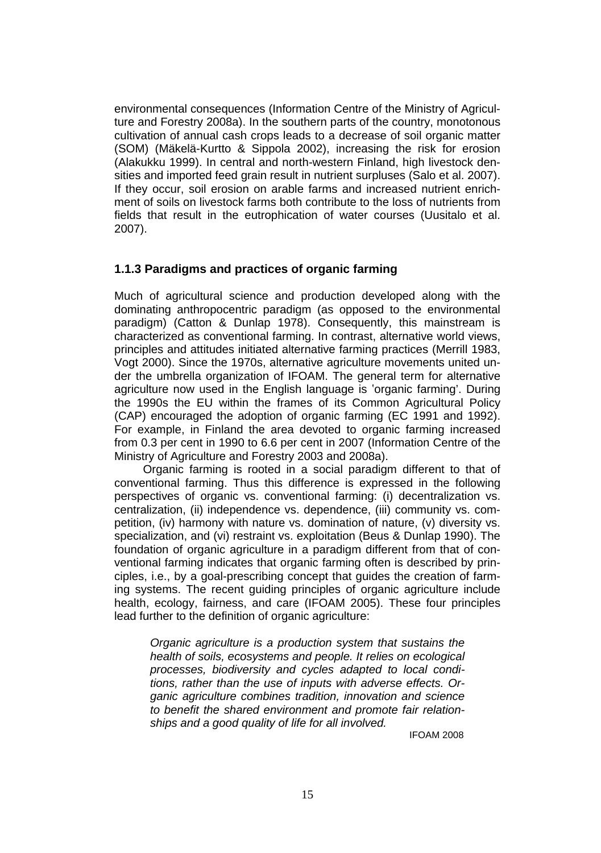environmental consequences (Information Centre of the Ministry of Agriculture and Forestry 2008a). In the southern parts of the country, monotonous cultivation of annual cash crops leads to a decrease of soil organic matter (SOM) (Mäkelä-Kurtto & Sippola 2002), increasing the risk for erosion (Alakukku 1999). In central and north-western Finland, high livestock densities and imported feed grain result in nutrient surpluses (Salo et al. 2007). If they occur, soil erosion on arable farms and increased nutrient enrichment of soils on livestock farms both contribute to the loss of nutrients from fields that result in the eutrophication of water courses (Uusitalo et al. 2007).

#### **1.1.3 Paradigms and practices of organic farming**

Much of agricultural science and production developed along with the dominating anthropocentric paradigm (as opposed to the environmental paradigm) (Catton & Dunlap 1978). Consequently, this mainstream is characterized as conventional farming. In contrast, alternative world views, principles and attitudes initiated alternative farming practices (Merrill 1983, Vogt 2000). Since the 1970s, alternative agriculture movements united under the umbrella organization of IFOAM. The general term for alternative agriculture now used in the English language is 'organic farming'. During the 1990s the EU within the frames of its Common Agricultural Policy (CAP) encouraged the adoption of organic farming (EC 1991 and 1992). For example, in Finland the area devoted to organic farming increased from 0.3 per cent in 1990 to 6.6 per cent in 2007 (Information Centre of the Ministry of Agriculture and Forestry 2003 and 2008a).

Organic farming is rooted in a social paradigm different to that of conventional farming. Thus this difference is expressed in the following perspectives of organic vs. conventional farming: (i) decentralization vs. centralization, (ii) independence vs. dependence, (iii) community vs. competition, (iv) harmony with nature vs. domination of nature, (v) diversity vs. specialization, and (vi) restraint vs. exploitation (Beus & Dunlap 1990). The foundation of organic agriculture in a paradigm different from that of conventional farming indicates that organic farming often is described by principles, i.e., by a goal-prescribing concept that guides the creation of farming systems. The recent guiding principles of organic agriculture include health, ecology, fairness, and care (IFOAM 2005). These four principles lead further to the definition of organic agriculture:

*Organic agriculture is a production system that sustains the health of soils, ecosystems and people. It relies on ecological processes, biodiversity and cycles adapted to local conditions, rather than the use of inputs with adverse effects. Organic agriculture combines tradition, innovation and science to benefit the shared environment and promote fair relationships and a good quality of life for all involved.*

IFOAM 2008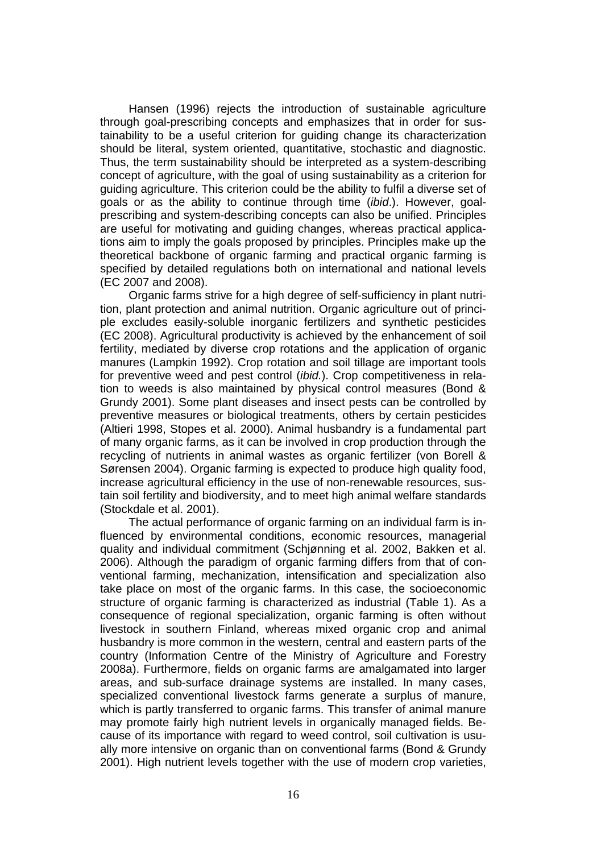Hansen (1996) rejects the introduction of sustainable agriculture through goal-prescribing concepts and emphasizes that in order for sustainability to be a useful criterion for guiding change its characterization should be literal, system oriented, quantitative, stochastic and diagnostic. Thus, the term sustainability should be interpreted as a system-describing concept of agriculture, with the goal of using sustainability as a criterion for guiding agriculture. This criterion could be the ability to fulfil a diverse set of goals or as the ability to continue through time (*ibid*.). However, goalprescribing and system-describing concepts can also be unified. Principles are useful for motivating and guiding changes, whereas practical applications aim to imply the goals proposed by principles. Principles make up the theoretical backbone of organic farming and practical organic farming is specified by detailed regulations both on international and national levels (EC 2007 and 2008).

Organic farms strive for a high degree of self-sufficiency in plant nutrition, plant protection and animal nutrition. Organic agriculture out of principle excludes easily-soluble inorganic fertilizers and synthetic pesticides (EC 2008). Agricultural productivity is achieved by the enhancement of soil fertility, mediated by diverse crop rotations and the application of organic manures (Lampkin 1992). Crop rotation and soil tillage are important tools for preventive weed and pest control (*ibid.*). Crop competitiveness in relation to weeds is also maintained by physical control measures (Bond & Grundy 2001). Some plant diseases and insect pests can be controlled by preventive measures or biological treatments, others by certain pesticides (Altieri 1998, Stopes et al. 2000). Animal husbandry is a fundamental part of many organic farms, as it can be involved in crop production through the recycling of nutrients in animal wastes as organic fertilizer (von Borell & Sørensen 2004). Organic farming is expected to produce high quality food, increase agricultural efficiency in the use of non-renewable resources, sustain soil fertility and biodiversity, and to meet high animal welfare standards (Stockdale et al. 2001).

The actual performance of organic farming on an individual farm is influenced by environmental conditions, economic resources, managerial quality and individual commitment (Schjønning et al. 2002, Bakken et al. 2006). Although the paradigm of organic farming differs from that of conventional farming, mechanization, intensification and specialization also take place on most of the organic farms. In this case, the socioeconomic structure of organic farming is characterized as industrial (Table 1). As a consequence of regional specialization, organic farming is often without livestock in southern Finland, whereas mixed organic crop and animal husbandry is more common in the western, central and eastern parts of the country (Information Centre of the Ministry of Agriculture and Forestry 2008a). Furthermore, fields on organic farms are amalgamated into larger areas, and sub-surface drainage systems are installed. In many cases, specialized conventional livestock farms generate a surplus of manure, which is partly transferred to organic farms. This transfer of animal manure may promote fairly high nutrient levels in organically managed fields. Because of its importance with regard to weed control, soil cultivation is usually more intensive on organic than on conventional farms (Bond & Grundy 2001). High nutrient levels together with the use of modern crop varieties,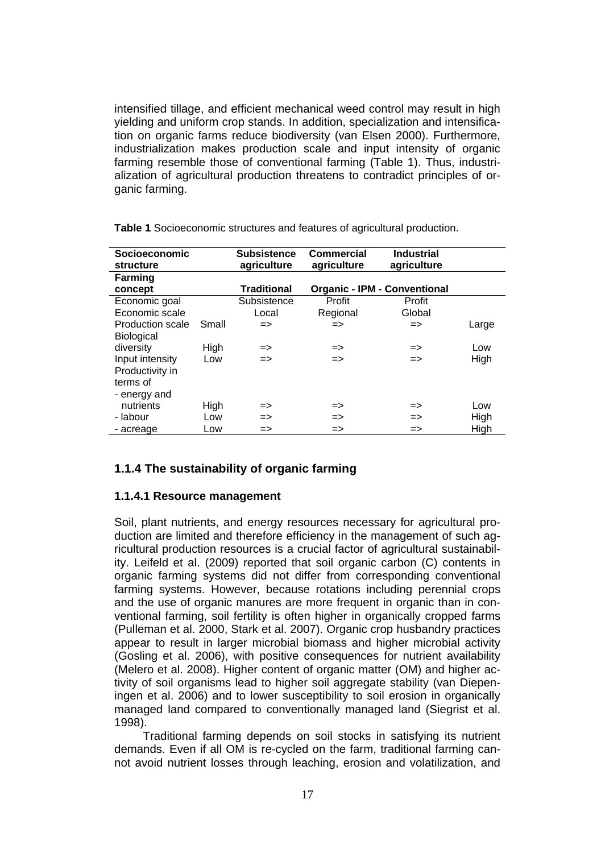intensified tillage, and efficient mechanical weed control may result in high yielding and uniform crop stands. In addition, specialization and intensification on organic farms reduce biodiversity (van Elsen 2000). Furthermore, industrialization makes production scale and input intensity of organic farming resemble those of conventional farming (Table 1). Thus, industrialization of agricultural production threatens to contradict principles of organic farming.

| <b>Socioeconomic</b><br>structure |       | <b>Subsistence</b><br>agriculture | Commercial<br>agriculture | <b>Industrial</b><br>agriculture    |       |
|-----------------------------------|-------|-----------------------------------|---------------------------|-------------------------------------|-------|
| <b>Farming</b>                    |       |                                   |                           |                                     |       |
| concept                           |       | <b>Traditional</b>                |                           | <b>Organic - IPM - Conventional</b> |       |
| Economic goal                     |       | Subsistence                       | Profit                    | Profit                              |       |
| Economic scale                    |       | Local                             | Regional                  | Global                              |       |
| Production scale                  | Small | $\Rightarrow$                     | $\Rightarrow$             | =>                                  | Large |
| <b>Biological</b>                 |       |                                   |                           |                                     |       |
| diversity                         | High  | $\Rightarrow$                     | $\Rightarrow$             | $\Rightarrow$                       | Low   |
| Input intensity                   | Low   | $\Rightarrow$                     | $\Rightarrow$             | $\Rightarrow$                       | High  |
| Productivity in                   |       |                                   |                           |                                     |       |
| terms of                          |       |                                   |                           |                                     |       |
| - energy and                      |       |                                   |                           |                                     |       |
| nutrients                         | High  | $\Rightarrow$                     | $\Rightarrow$             | $\Rightarrow$                       | Low   |
| - labour                          | Low   | $\Rightarrow$                     | =>                        | $\Rightarrow$                       | High  |
| - acreage                         | Low   | $\Rightarrow$                     | $\Rightarrow$             | =>                                  | High  |

**Table 1** Socioeconomic structures and features of agricultural production.

#### **1.1.4 The sustainability of organic farming**

#### **1.1.4.1 Resource management**

Soil, plant nutrients, and energy resources necessary for agricultural production are limited and therefore efficiency in the management of such agricultural production resources is a crucial factor of agricultural sustainability. Leifeld et al. (2009) reported that soil organic carbon (C) contents in organic farming systems did not differ from corresponding conventional farming systems. However, because rotations including perennial crops and the use of organic manures are more frequent in organic than in conventional farming, soil fertility is often higher in organically cropped farms (Pulleman et al. 2000, Stark et al. 2007). Organic crop husbandry practices appear to result in larger microbial biomass and higher microbial activity (Gosling et al. 2006), with positive consequences for nutrient availability (Melero et al. 2008). Higher content of organic matter (OM) and higher activity of soil organisms lead to higher soil aggregate stability (van Diepeningen et al. 2006) and to lower susceptibility to soil erosion in organically managed land compared to conventionally managed land (Siegrist et al. 1998).

Traditional farming depends on soil stocks in satisfying its nutrient demands. Even if all OM is re-cycled on the farm, traditional farming cannot avoid nutrient losses through leaching, erosion and volatilization, and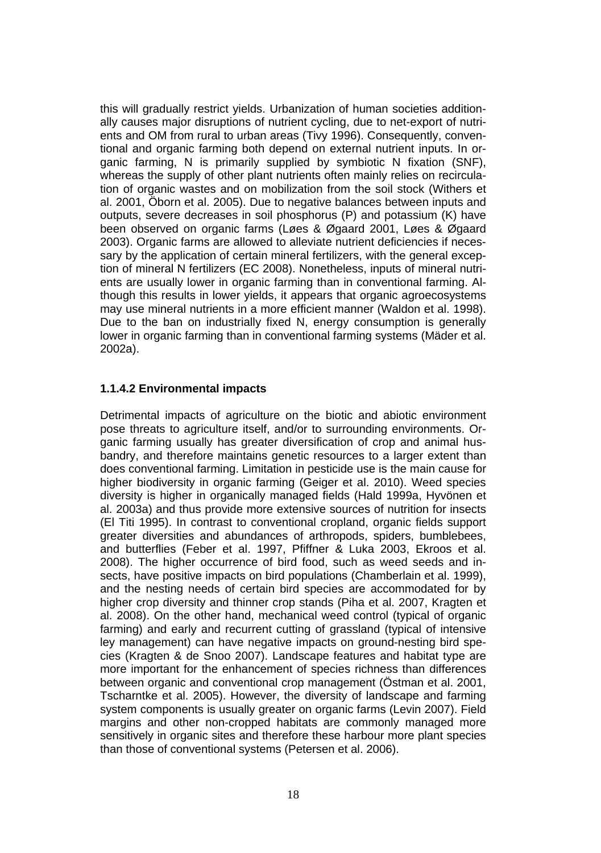this will gradually restrict yields. Urbanization of human societies additionally causes major disruptions of nutrient cycling, due to net-export of nutrients and OM from rural to urban areas (Tivy 1996). Consequently, conventional and organic farming both depend on external nutrient inputs. In organic farming, N is primarily supplied by symbiotic N fixation (SNF), whereas the supply of other plant nutrients often mainly relies on recirculation of organic wastes and on mobilization from the soil stock (Withers et al. 2001, Öborn et al. 2005). Due to negative balances between inputs and outputs, severe decreases in soil phosphorus (P) and potassium (K) have been observed on organic farms (Løes & Øgaard 2001, Løes & Øgaard 2003). Organic farms are allowed to alleviate nutrient deficiencies if necessary by the application of certain mineral fertilizers, with the general exception of mineral N fertilizers (EC 2008). Nonetheless, inputs of mineral nutrients are usually lower in organic farming than in conventional farming. Although this results in lower yields, it appears that organic agroecosystems may use mineral nutrients in a more efficient manner (Waldon et al. 1998). Due to the ban on industrially fixed N, energy consumption is generally lower in organic farming than in conventional farming systems (Mäder et al. 2002a).

#### **1.1.4.2 Environmental impacts**

Detrimental impacts of agriculture on the biotic and abiotic environment pose threats to agriculture itself, and/or to surrounding environments. Organic farming usually has greater diversification of crop and animal husbandry, and therefore maintains genetic resources to a larger extent than does conventional farming. Limitation in pesticide use is the main cause for higher biodiversity in organic farming (Geiger et al. 2010). Weed species diversity is higher in organically managed fields (Hald 1999a, Hyvönen et al. 2003a) and thus provide more extensive sources of nutrition for insects (El Titi 1995). In contrast to conventional cropland, organic fields support greater diversities and abundances of arthropods, spiders, bumblebees, and butterflies (Feber et al. 1997, Pfiffner & Luka 2003, Ekroos et al. 2008). The higher occurrence of bird food, such as weed seeds and insects, have positive impacts on bird populations (Chamberlain et al. 1999), and the nesting needs of certain bird species are accommodated for by higher crop diversity and thinner crop stands (Piha et al. 2007, Kragten et al. 2008). On the other hand, mechanical weed control (typical of organic farming) and early and recurrent cutting of grassland (typical of intensive ley management) can have negative impacts on ground-nesting bird species (Kragten & de Snoo 2007). Landscape features and habitat type are more important for the enhancement of species richness than differences between organic and conventional crop management (Östman et al. 2001, Tscharntke et al. 2005). However, the diversity of landscape and farming system components is usually greater on organic farms (Levin 2007). Field margins and other non-cropped habitats are commonly managed more sensitively in organic sites and therefore these harbour more plant species than those of conventional systems (Petersen et al. 2006).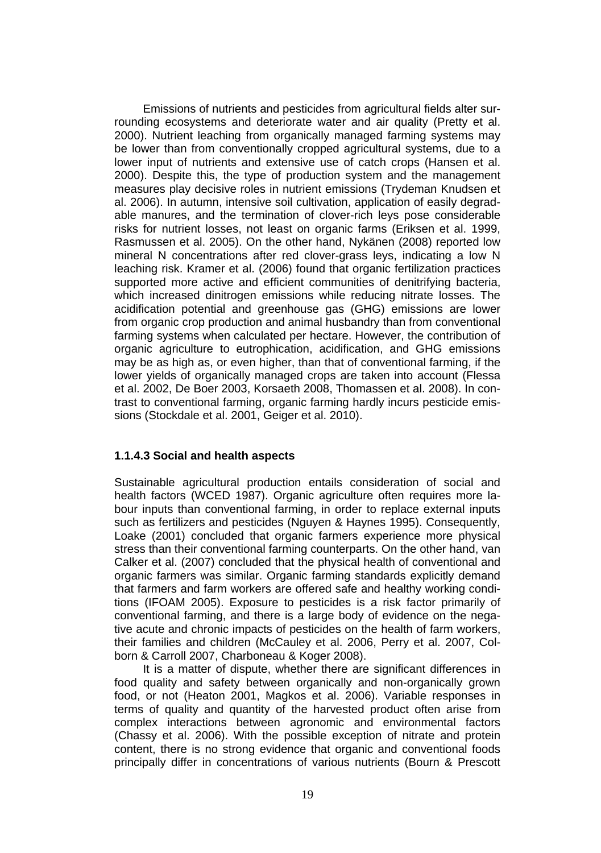Emissions of nutrients and pesticides from agricultural fields alter surrounding ecosystems and deteriorate water and air quality (Pretty et al. 2000). Nutrient leaching from organically managed farming systems may be lower than from conventionally cropped agricultural systems, due to a lower input of nutrients and extensive use of catch crops (Hansen et al. 2000). Despite this, the type of production system and the management measures play decisive roles in nutrient emissions (Trydeman Knudsen et al. 2006). In autumn, intensive soil cultivation, application of easily degradable manures, and the termination of clover-rich leys pose considerable risks for nutrient losses, not least on organic farms (Eriksen et al. 1999, Rasmussen et al. 2005). On the other hand, Nykänen (2008) reported low mineral N concentrations after red clover-grass leys, indicating a low N leaching risk. Kramer et al. (2006) found that organic fertilization practices supported more active and efficient communities of denitrifying bacteria, which increased dinitrogen emissions while reducing nitrate losses. The acidification potential and greenhouse gas (GHG) emissions are lower from organic crop production and animal husbandry than from conventional farming systems when calculated per hectare. However, the contribution of organic agriculture to eutrophication, acidification, and GHG emissions may be as high as, or even higher, than that of conventional farming, if the lower yields of organically managed crops are taken into account (Flessa et al. 2002, De Boer 2003, Korsaeth 2008, Thomassen et al. 2008). In contrast to conventional farming, organic farming hardly incurs pesticide emissions (Stockdale et al. 2001, Geiger et al. 2010).

#### **1.1.4.3 Social and health aspects**

Sustainable agricultural production entails consideration of social and health factors (WCED 1987). Organic agriculture often requires more labour inputs than conventional farming, in order to replace external inputs such as fertilizers and pesticides (Nguyen & Haynes 1995). Consequently, Loake (2001) concluded that organic farmers experience more physical stress than their conventional farming counterparts. On the other hand, van Calker et al. (2007) concluded that the physical health of conventional and organic farmers was similar. Organic farming standards explicitly demand that farmers and farm workers are offered safe and healthy working conditions (IFOAM 2005). Exposure to pesticides is a risk factor primarily of conventional farming, and there is a large body of evidence on the negative acute and chronic impacts of pesticides on the health of farm workers, their families and children (McCauley et al. 2006, Perry et al. 2007, Colborn & Carroll 2007, Charboneau & Koger 2008).

It is a matter of dispute, whether there are significant differences in food quality and safety between organically and non-organically grown food, or not (Heaton 2001, Magkos et al. 2006). Variable responses in terms of quality and quantity of the harvested product often arise from complex interactions between agronomic and environmental factors (Chassy et al. 2006). With the possible exception of nitrate and protein content, there is no strong evidence that organic and conventional foods principally differ in concentrations of various nutrients (Bourn & Prescott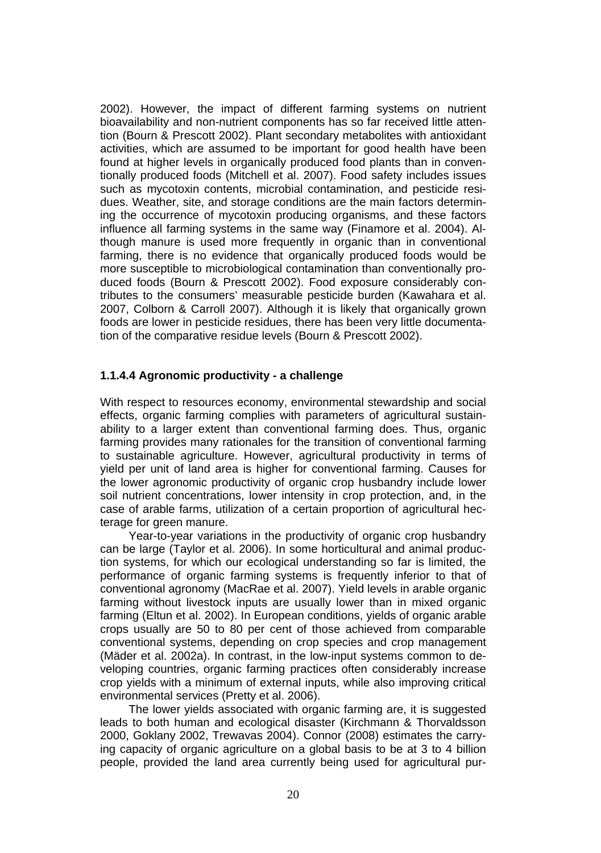2002). However, the impact of different farming systems on nutrient bioavailability and non-nutrient components has so far received little attention (Bourn & Prescott 2002). Plant secondary metabolites with antioxidant activities, which are assumed to be important for good health have been found at higher levels in organically produced food plants than in conventionally produced foods (Mitchell et al. 2007). Food safety includes issues such as mycotoxin contents, microbial contamination, and pesticide residues. Weather, site, and storage conditions are the main factors determining the occurrence of mycotoxin producing organisms, and these factors influence all farming systems in the same way (Finamore et al. 2004). Although manure is used more frequently in organic than in conventional farming, there is no evidence that organically produced foods would be more susceptible to microbiological contamination than conventionally produced foods (Bourn & Prescott 2002). Food exposure considerably contributes to the consumers' measurable pesticide burden (Kawahara et al. 2007, Colborn & Carroll 2007). Although it is likely that organically grown foods are lower in pesticide residues, there has been very little documentation of the comparative residue levels (Bourn & Prescott 2002).

#### **1.1.4.4 Agronomic productivity - a challenge**

With respect to resources economy, environmental stewardship and social effects, organic farming complies with parameters of agricultural sustainability to a larger extent than conventional farming does. Thus, organic farming provides many rationales for the transition of conventional farming to sustainable agriculture. However, agricultural productivity in terms of yield per unit of land area is higher for conventional farming. Causes for the lower agronomic productivity of organic crop husbandry include lower soil nutrient concentrations, lower intensity in crop protection, and, in the case of arable farms, utilization of a certain proportion of agricultural hecterage for green manure.

Year-to-year variations in the productivity of organic crop husbandry can be large (Taylor et al. 2006). In some horticultural and animal production systems, for which our ecological understanding so far is limited, the performance of organic farming systems is frequently inferior to that of conventional agronomy (MacRae et al. 2007). Yield levels in arable organic farming without livestock inputs are usually lower than in mixed organic farming (Eltun et al. 2002). In European conditions, yields of organic arable crops usually are 50 to 80 per cent of those achieved from comparable conventional systems, depending on crop species and crop management (Mäder et al. 2002a). In contrast, in the low-input systems common to developing countries, organic farming practices often considerably increase crop yields with a minimum of external inputs, while also improving critical environmental services (Pretty et al. 2006).

The lower yields associated with organic farming are, it is suggested leads to both human and ecological disaster (Kirchmann & Thorvaldsson 2000, Goklany 2002, Trewavas 2004). Connor (2008) estimates the carrying capacity of organic agriculture on a global basis to be at 3 to 4 billion people, provided the land area currently being used for agricultural pur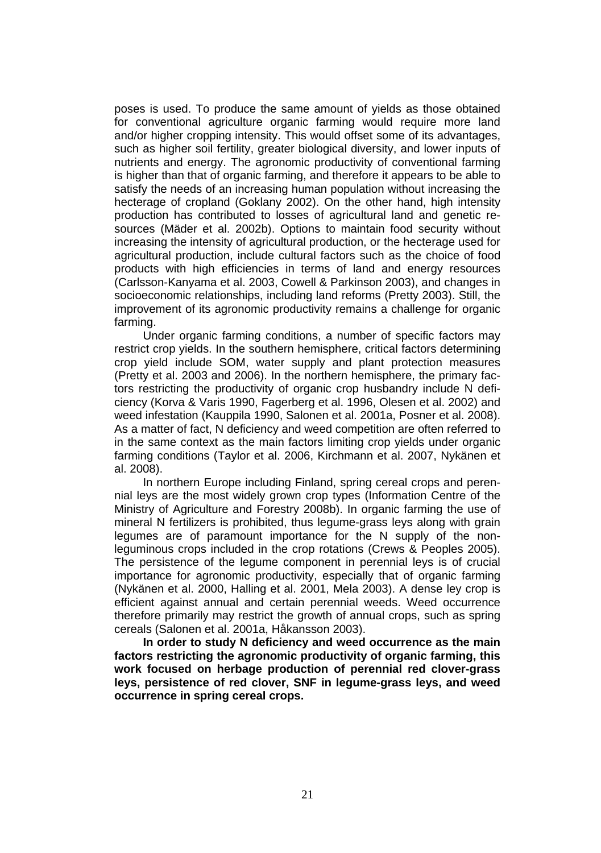poses is used. To produce the same amount of yields as those obtained for conventional agriculture organic farming would require more land and/or higher cropping intensity. This would offset some of its advantages, such as higher soil fertility, greater biological diversity, and lower inputs of nutrients and energy. The agronomic productivity of conventional farming is higher than that of organic farming, and therefore it appears to be able to satisfy the needs of an increasing human population without increasing the hecterage of cropland (Goklany 2002). On the other hand, high intensity production has contributed to losses of agricultural land and genetic resources (Mäder et al. 2002b). Options to maintain food security without increasing the intensity of agricultural production, or the hecterage used for agricultural production, include cultural factors such as the choice of food products with high efficiencies in terms of land and energy resources (Carlsson-Kanyama et al. 2003, Cowell & Parkinson 2003), and changes in socioeconomic relationships, including land reforms (Pretty 2003). Still, the improvement of its agronomic productivity remains a challenge for organic farming.

Under organic farming conditions, a number of specific factors may restrict crop yields. In the southern hemisphere, critical factors determining crop yield include SOM, water supply and plant protection measures (Pretty et al. 2003 and 2006). In the northern hemisphere, the primary factors restricting the productivity of organic crop husbandry include N deficiency (Korva & Varis 1990, Fagerberg et al. 1996, Olesen et al. 2002) and weed infestation (Kauppila 1990, Salonen et al. 2001a, Posner et al. 2008). As a matter of fact, N deficiency and weed competition are often referred to in the same context as the main factors limiting crop yields under organic farming conditions (Taylor et al. 2006, Kirchmann et al. 2007, Nykänen et al. 2008).

In northern Europe including Finland, spring cereal crops and perennial leys are the most widely grown crop types (Information Centre of the Ministry of Agriculture and Forestry 2008b). In organic farming the use of mineral N fertilizers is prohibited, thus legume-grass leys along with grain legumes are of paramount importance for the N supply of the nonleguminous crops included in the crop rotations (Crews & Peoples 2005). The persistence of the legume component in perennial leys is of crucial importance for agronomic productivity, especially that of organic farming (Nykänen et al. 2000, Halling et al. 2001, Mela 2003). A dense ley crop is efficient against annual and certain perennial weeds. Weed occurrence therefore primarily may restrict the growth of annual crops, such as spring cereals (Salonen et al. 2001a, Håkansson 2003).

**In order to study N deficiency and weed occurrence as the main factors restricting the agronomic productivity of organic farming, this work focused on herbage production of perennial red clover-grass leys, persistence of red clover, SNF in legume-grass leys, and weed occurrence in spring cereal crops.**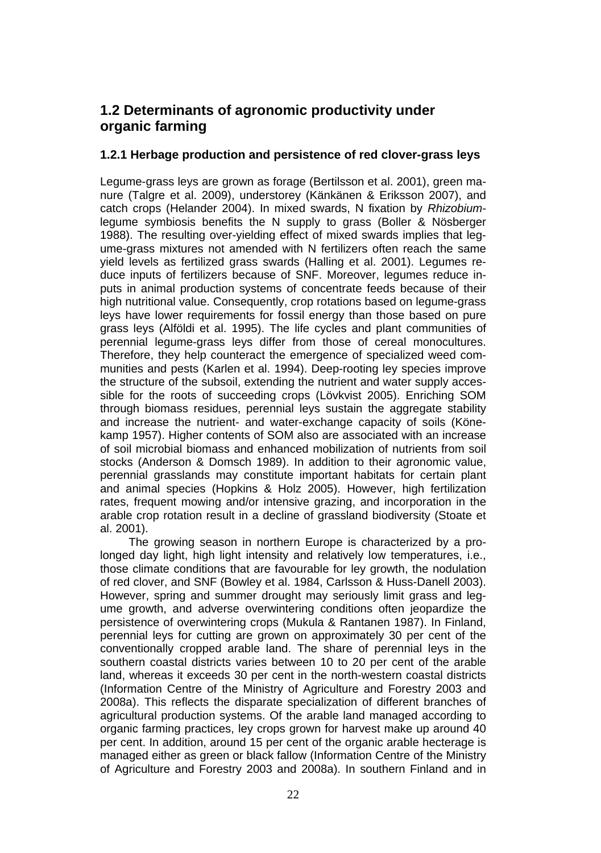### **1.2 Determinants of agronomic productivity under organic farming**

#### **1.2.1 Herbage production and persistence of red clover-grass leys**

Legume-grass leys are grown as forage (Bertilsson et al. 2001), green manure (Talgre et al. 2009), understorey (Känkänen & Eriksson 2007), and catch crops (Helander 2004). In mixed swards, N fixation by *Rhizobium*legume symbiosis benefits the N supply to grass (Boller & Nösberger 1988). The resulting over-yielding effect of mixed swards implies that legume-grass mixtures not amended with N fertilizers often reach the same yield levels as fertilized grass swards (Halling et al. 2001). Legumes reduce inputs of fertilizers because of SNF. Moreover, legumes reduce inputs in animal production systems of concentrate feeds because of their high nutritional value. Consequently, crop rotations based on legume-grass leys have lower requirements for fossil energy than those based on pure grass leys (Alföldi et al. 1995). The life cycles and plant communities of perennial legume-grass leys differ from those of cereal monocultures. Therefore, they help counteract the emergence of specialized weed communities and pests (Karlen et al. 1994). Deep-rooting ley species improve the structure of the subsoil, extending the nutrient and water supply accessible for the roots of succeeding crops (Lövkvist 2005). Enriching SOM through biomass residues, perennial leys sustain the aggregate stability and increase the nutrient- and water-exchange capacity of soils (Könekamp 1957). Higher contents of SOM also are associated with an increase of soil microbial biomass and enhanced mobilization of nutrients from soil stocks (Anderson & Domsch 1989). In addition to their agronomic value, perennial grasslands may constitute important habitats for certain plant and animal species (Hopkins & Holz 2005). However, high fertilization rates, frequent mowing and/or intensive grazing, and incorporation in the arable crop rotation result in a decline of grassland biodiversity (Stoate et al. 2001).

The growing season in northern Europe is characterized by a prolonged day light, high light intensity and relatively low temperatures, i.e., those climate conditions that are favourable for ley growth, the nodulation of red clover, and SNF (Bowley et al. 1984, Carlsson & Huss-Danell 2003). However, spring and summer drought may seriously limit grass and legume growth, and adverse overwintering conditions often jeopardize the persistence of overwintering crops (Mukula & Rantanen 1987). In Finland, perennial leys for cutting are grown on approximately 30 per cent of the conventionally cropped arable land. The share of perennial leys in the southern coastal districts varies between 10 to 20 per cent of the arable land, whereas it exceeds 30 per cent in the north-western coastal districts (Information Centre of the Ministry of Agriculture and Forestry 2003 and 2008a). This reflects the disparate specialization of different branches of agricultural production systems. Of the arable land managed according to organic farming practices, ley crops grown for harvest make up around 40 per cent. In addition, around 15 per cent of the organic arable hecterage is managed either as green or black fallow (Information Centre of the Ministry of Agriculture and Forestry 2003 and 2008a). In southern Finland and in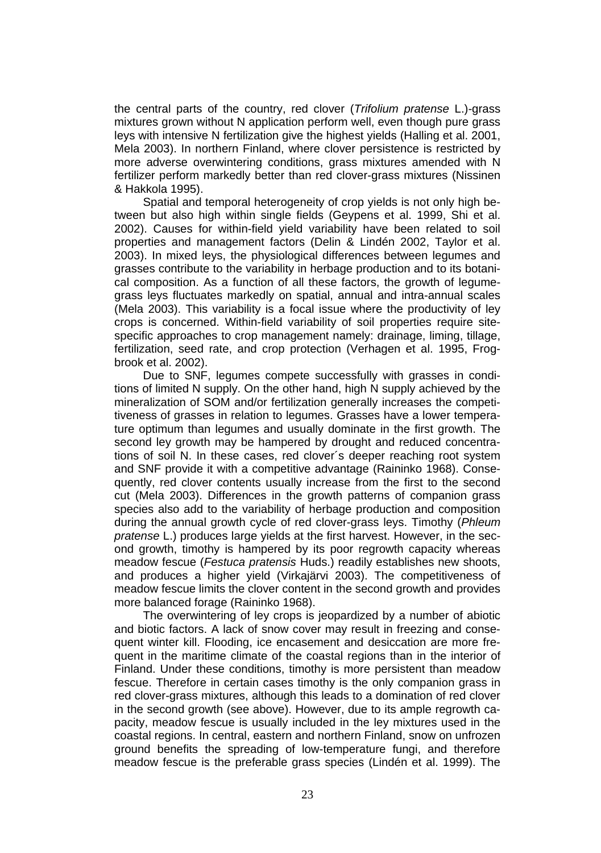the central parts of the country, red clover (*Trifolium pratense* L.)-grass mixtures grown without N application perform well, even though pure grass leys with intensive N fertilization give the highest yields (Halling et al. 2001, Mela 2003). In northern Finland, where clover persistence is restricted by more adverse overwintering conditions, grass mixtures amended with N fertilizer perform markedly better than red clover-grass mixtures (Nissinen & Hakkola 1995).

Spatial and temporal heterogeneity of crop yields is not only high between but also high within single fields (Geypens et al. 1999, Shi et al. 2002). Causes for within-field yield variability have been related to soil properties and management factors (Delin & Lindén 2002, Taylor et al. 2003). In mixed leys, the physiological differences between legumes and grasses contribute to the variability in herbage production and to its botanical composition. As a function of all these factors, the growth of legumegrass leys fluctuates markedly on spatial, annual and intra-annual scales (Mela 2003). This variability is a focal issue where the productivity of ley crops is concerned. Within-field variability of soil properties require sitespecific approaches to crop management namely: drainage, liming, tillage, fertilization, seed rate, and crop protection (Verhagen et al. 1995, Frogbrook et al. 2002).

Due to SNF, legumes compete successfully with grasses in conditions of limited N supply. On the other hand, high N supply achieved by the mineralization of SOM and/or fertilization generally increases the competitiveness of grasses in relation to legumes. Grasses have a lower temperature optimum than legumes and usually dominate in the first growth. The second ley growth may be hampered by drought and reduced concentrations of soil N. In these cases, red clover´s deeper reaching root system and SNF provide it with a competitive advantage (Raininko 1968). Consequently, red clover contents usually increase from the first to the second cut (Mela 2003). Differences in the growth patterns of companion grass species also add to the variability of herbage production and composition during the annual growth cycle of red clover-grass leys. Timothy (*Phleum pratense* L.) produces large yields at the first harvest. However, in the second growth, timothy is hampered by its poor regrowth capacity whereas meadow fescue (*Festuca pratensis* Huds.) readily establishes new shoots, and produces a higher yield (Virkajärvi 2003). The competitiveness of meadow fescue limits the clover content in the second growth and provides more balanced forage (Raininko 1968).

The overwintering of ley crops is jeopardized by a number of abiotic and biotic factors. A lack of snow cover may result in freezing and consequent winter kill. Flooding, ice encasement and desiccation are more frequent in the maritime climate of the coastal regions than in the interior of Finland. Under these conditions, timothy is more persistent than meadow fescue. Therefore in certain cases timothy is the only companion grass in red clover-grass mixtures, although this leads to a domination of red clover in the second growth (see above). However, due to its ample regrowth capacity, meadow fescue is usually included in the ley mixtures used in the coastal regions. In central, eastern and northern Finland, snow on unfrozen ground benefits the spreading of low-temperature fungi, and therefore meadow fescue is the preferable grass species (Lindén et al. 1999). The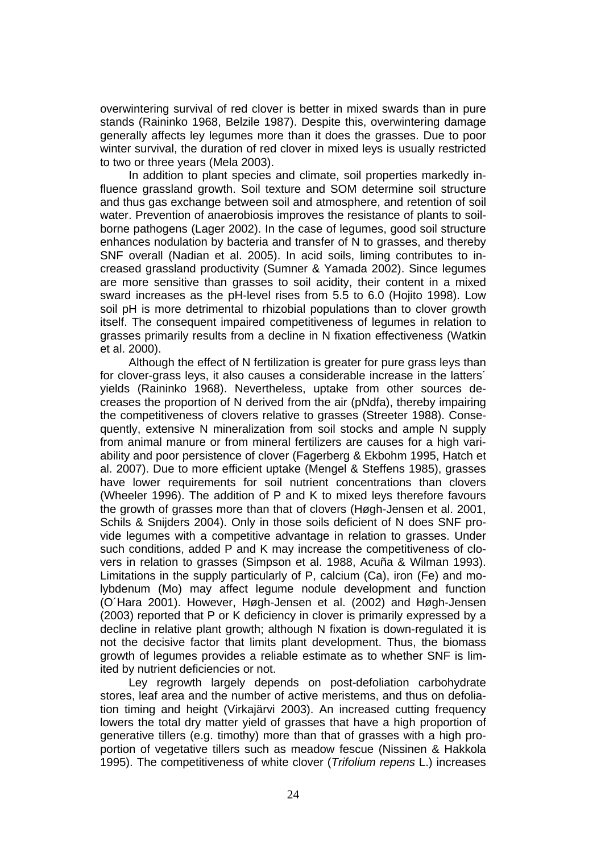overwintering survival of red clover is better in mixed swards than in pure stands (Raininko 1968, Belzile 1987). Despite this, overwintering damage generally affects ley legumes more than it does the grasses. Due to poor winter survival, the duration of red clover in mixed leys is usually restricted to two or three years (Mela 2003).

In addition to plant species and climate, soil properties markedly influence grassland growth. Soil texture and SOM determine soil structure and thus gas exchange between soil and atmosphere, and retention of soil water. Prevention of anaerobiosis improves the resistance of plants to soilborne pathogens (Lager 2002). In the case of legumes, good soil structure enhances nodulation by bacteria and transfer of N to grasses, and thereby SNF overall (Nadian et al. 2005). In acid soils, liming contributes to increased grassland productivity (Sumner & Yamada 2002). Since legumes are more sensitive than grasses to soil acidity, their content in a mixed sward increases as the pH-level rises from 5.5 to 6.0 (Hojito 1998). Low soil pH is more detrimental to rhizobial populations than to clover growth itself. The consequent impaired competitiveness of legumes in relation to grasses primarily results from a decline in N fixation effectiveness (Watkin et al. 2000).

Although the effect of N fertilization is greater for pure grass leys than for clover-grass leys, it also causes a considerable increase in the latters´ yields (Raininko 1968). Nevertheless, uptake from other sources decreases the proportion of N derived from the air (pNdfa), thereby impairing the competitiveness of clovers relative to grasses (Streeter 1988). Consequently, extensive N mineralization from soil stocks and ample N supply from animal manure or from mineral fertilizers are causes for a high variability and poor persistence of clover (Fagerberg & Ekbohm 1995, Hatch et al. 2007). Due to more efficient uptake (Mengel & Steffens 1985), grasses have lower requirements for soil nutrient concentrations than clovers (Wheeler 1996). The addition of P and K to mixed leys therefore favours the growth of grasses more than that of clovers (Høgh-Jensen et al. 2001, Schils & Snijders 2004). Only in those soils deficient of N does SNF provide legumes with a competitive advantage in relation to grasses. Under such conditions, added P and K may increase the competitiveness of clovers in relation to grasses (Simpson et al. 1988, Acuña & Wilman 1993). Limitations in the supply particularly of P, calcium (Ca), iron (Fe) and molybdenum (Mo) may affect legume nodule development and function (O´Hara 2001). However, Høgh-Jensen et al. (2002) and Høgh-Jensen (2003) reported that P or K deficiency in clover is primarily expressed by a decline in relative plant growth; although N fixation is down-regulated it is not the decisive factor that limits plant development. Thus, the biomass growth of legumes provides a reliable estimate as to whether SNF is limited by nutrient deficiencies or not.

Ley regrowth largely depends on post-defoliation carbohydrate stores, leaf area and the number of active meristems, and thus on defoliation timing and height (Virkajärvi 2003). An increased cutting frequency lowers the total dry matter yield of grasses that have a high proportion of generative tillers (e.g. timothy) more than that of grasses with a high proportion of vegetative tillers such as meadow fescue (Nissinen & Hakkola 1995). The competitiveness of white clover (*Trifolium repens* L.) increases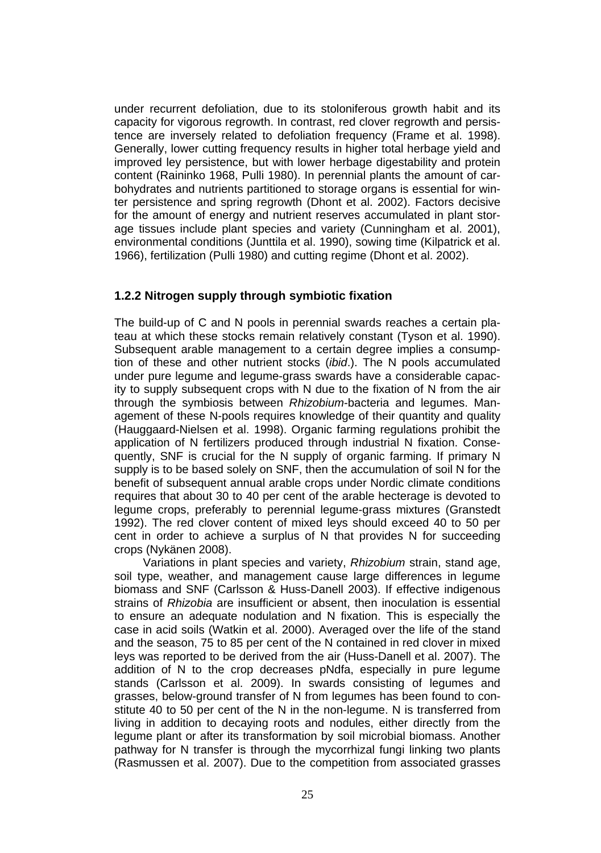under recurrent defoliation, due to its stoloniferous growth habit and its capacity for vigorous regrowth. In contrast, red clover regrowth and persistence are inversely related to defoliation frequency (Frame et al. 1998). Generally, lower cutting frequency results in higher total herbage yield and improved ley persistence, but with lower herbage digestability and protein content (Raininko 1968, Pulli 1980). In perennial plants the amount of carbohydrates and nutrients partitioned to storage organs is essential for winter persistence and spring regrowth (Dhont et al. 2002). Factors decisive for the amount of energy and nutrient reserves accumulated in plant storage tissues include plant species and variety (Cunningham et al. 2001), environmental conditions (Junttila et al. 1990), sowing time (Kilpatrick et al. 1966), fertilization (Pulli 1980) and cutting regime (Dhont et al. 2002).

#### **1.2.2 Nitrogen supply through symbiotic fixation**

The build-up of C and N pools in perennial swards reaches a certain plateau at which these stocks remain relatively constant (Tyson et al. 1990). Subsequent arable management to a certain degree implies a consumption of these and other nutrient stocks (*ibid*.). The N pools accumulated under pure legume and legume-grass swards have a considerable capacity to supply subsequent crops with N due to the fixation of N from the air through the symbiosis between *Rhizobium*-bacteria and legumes. Management of these N-pools requires knowledge of their quantity and quality (Hauggaard-Nielsen et al. 1998). Organic farming regulations prohibit the application of N fertilizers produced through industrial N fixation. Consequently, SNF is crucial for the N supply of organic farming. If primary N supply is to be based solely on SNF, then the accumulation of soil N for the benefit of subsequent annual arable crops under Nordic climate conditions requires that about 30 to 40 per cent of the arable hecterage is devoted to legume crops, preferably to perennial legume-grass mixtures (Granstedt 1992). The red clover content of mixed leys should exceed 40 to 50 per cent in order to achieve a surplus of N that provides N for succeeding crops (Nykänen 2008).

Variations in plant species and variety, *Rhizobium* strain, stand age, soil type, weather, and management cause large differences in legume biomass and SNF (Carlsson & Huss-Danell 2003). If effective indigenous strains of *Rhizobia* are insufficient or absent, then inoculation is essential to ensure an adequate nodulation and N fixation. This is especially the case in acid soils (Watkin et al. 2000). Averaged over the life of the stand and the season, 75 to 85 per cent of the N contained in red clover in mixed leys was reported to be derived from the air (Huss-Danell et al. 2007). The addition of N to the crop decreases pNdfa, especially in pure legume stands (Carlsson et al. 2009). In swards consisting of legumes and grasses, below-ground transfer of N from legumes has been found to constitute 40 to 50 per cent of the N in the non-legume. N is transferred from living in addition to decaying roots and nodules, either directly from the legume plant or after its transformation by soil microbial biomass. Another pathway for N transfer is through the mycorrhizal fungi linking two plants (Rasmussen et al. 2007). Due to the competition from associated grasses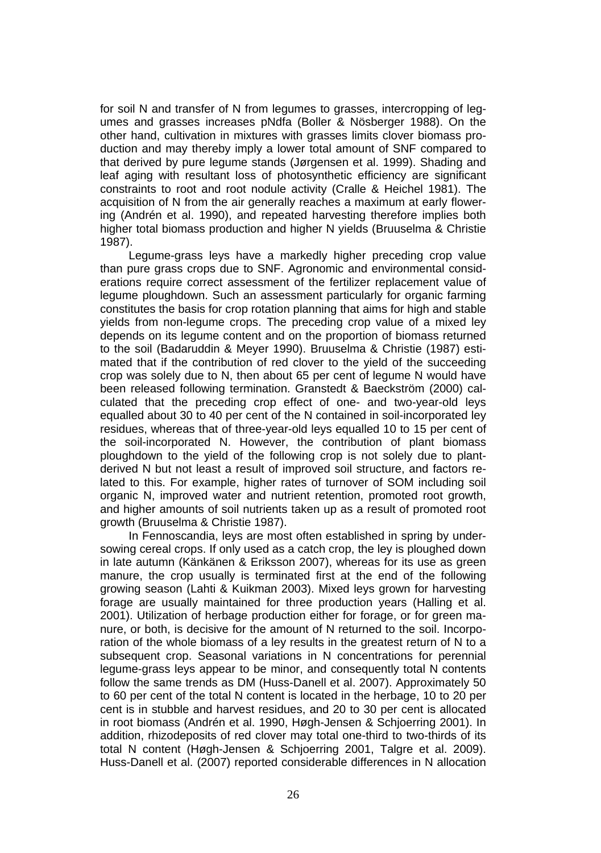for soil N and transfer of N from legumes to grasses, intercropping of legumes and grasses increases pNdfa (Boller & Nösberger 1988). On the other hand, cultivation in mixtures with grasses limits clover biomass production and may thereby imply a lower total amount of SNF compared to that derived by pure legume stands (Jørgensen et al. 1999). Shading and leaf aging with resultant loss of photosynthetic efficiency are significant constraints to root and root nodule activity (Cralle & Heichel 1981). The acquisition of N from the air generally reaches a maximum at early flowering (Andrén et al. 1990), and repeated harvesting therefore implies both higher total biomass production and higher N yields (Bruuselma & Christie 1987).

Legume-grass leys have a markedly higher preceding crop value than pure grass crops due to SNF. Agronomic and environmental considerations require correct assessment of the fertilizer replacement value of legume ploughdown. Such an assessment particularly for organic farming constitutes the basis for crop rotation planning that aims for high and stable yields from non-legume crops. The preceding crop value of a mixed ley depends on its legume content and on the proportion of biomass returned to the soil (Badaruddin & Meyer 1990). Bruuselma & Christie (1987) estimated that if the contribution of red clover to the yield of the succeeding crop was solely due to N, then about 65 per cent of legume N would have been released following termination. Granstedt & Baeckström (2000) calculated that the preceding crop effect of one- and two-year-old leys equalled about 30 to 40 per cent of the N contained in soil-incorporated ley residues, whereas that of three-year-old leys equalled 10 to 15 per cent of the soil-incorporated N. However, the contribution of plant biomass ploughdown to the yield of the following crop is not solely due to plantderived N but not least a result of improved soil structure, and factors related to this. For example, higher rates of turnover of SOM including soil organic N, improved water and nutrient retention, promoted root growth, and higher amounts of soil nutrients taken up as a result of promoted root growth (Bruuselma & Christie 1987).

In Fennoscandia, leys are most often established in spring by undersowing cereal crops. If only used as a catch crop, the ley is ploughed down in late autumn (Känkänen & Eriksson 2007), whereas for its use as green manure, the crop usually is terminated first at the end of the following growing season (Lahti & Kuikman 2003). Mixed leys grown for harvesting forage are usually maintained for three production years (Halling et al. 2001). Utilization of herbage production either for forage, or for green manure, or both, is decisive for the amount of N returned to the soil. Incorporation of the whole biomass of a ley results in the greatest return of N to a subsequent crop. Seasonal variations in N concentrations for perennial legume-grass leys appear to be minor, and consequently total N contents follow the same trends as DM (Huss-Danell et al. 2007). Approximately 50 to 60 per cent of the total N content is located in the herbage, 10 to 20 per cent is in stubble and harvest residues, and 20 to 30 per cent is allocated in root biomass (Andrén et al. 1990, Høgh-Jensen & Schjoerring 2001). In addition, rhizodeposits of red clover may total one-third to two-thirds of its total N content (Høgh-Jensen & Schjoerring 2001, Talgre et al. 2009). Huss-Danell et al. (2007) reported considerable differences in N allocation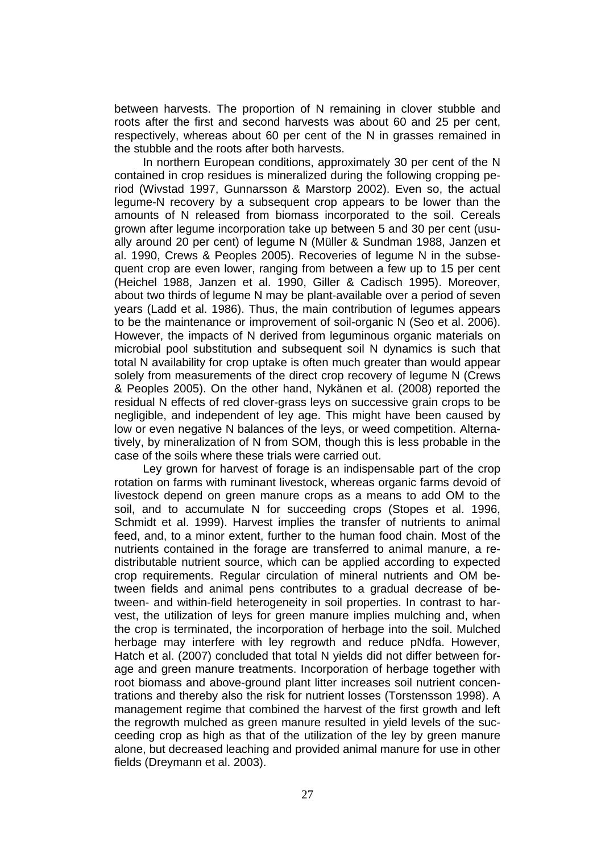between harvests. The proportion of N remaining in clover stubble and roots after the first and second harvests was about 60 and 25 per cent, respectively, whereas about 60 per cent of the N in grasses remained in the stubble and the roots after both harvests.

In northern European conditions, approximately 30 per cent of the N contained in crop residues is mineralized during the following cropping period (Wivstad 1997, Gunnarsson & Marstorp 2002). Even so, the actual legume-N recovery by a subsequent crop appears to be lower than the amounts of N released from biomass incorporated to the soil. Cereals grown after legume incorporation take up between 5 and 30 per cent (usually around 20 per cent) of legume N (Müller & Sundman 1988, Janzen et al. 1990, Crews & Peoples 2005). Recoveries of legume N in the subsequent crop are even lower, ranging from between a few up to 15 per cent (Heichel 1988, Janzen et al. 1990, Giller & Cadisch 1995). Moreover, about two thirds of legume N may be plant-available over a period of seven years (Ladd et al. 1986). Thus, the main contribution of legumes appears to be the maintenance or improvement of soil-organic N (Seo et al. 2006). However, the impacts of N derived from leguminous organic materials on microbial pool substitution and subsequent soil N dynamics is such that total N availability for crop uptake is often much greater than would appear solely from measurements of the direct crop recovery of legume N (Crews & Peoples 2005). On the other hand, Nykänen et al. (2008) reported the residual N effects of red clover-grass leys on successive grain crops to be negligible, and independent of ley age. This might have been caused by low or even negative N balances of the leys, or weed competition. Alternatively, by mineralization of N from SOM, though this is less probable in the case of the soils where these trials were carried out.

Ley grown for harvest of forage is an indispensable part of the crop rotation on farms with ruminant livestock, whereas organic farms devoid of livestock depend on green manure crops as a means to add OM to the soil, and to accumulate N for succeeding crops (Stopes et al. 1996, Schmidt et al. 1999). Harvest implies the transfer of nutrients to animal feed, and, to a minor extent, further to the human food chain. Most of the nutrients contained in the forage are transferred to animal manure, a redistributable nutrient source, which can be applied according to expected crop requirements. Regular circulation of mineral nutrients and OM between fields and animal pens contributes to a gradual decrease of between- and within-field heterogeneity in soil properties. In contrast to harvest, the utilization of leys for green manure implies mulching and, when the crop is terminated, the incorporation of herbage into the soil. Mulched herbage may interfere with ley regrowth and reduce pNdfa. However, Hatch et al. (2007) concluded that total N yields did not differ between forage and green manure treatments. Incorporation of herbage together with root biomass and above-ground plant litter increases soil nutrient concentrations and thereby also the risk for nutrient losses (Torstensson 1998). A management regime that combined the harvest of the first growth and left the regrowth mulched as green manure resulted in yield levels of the succeeding crop as high as that of the utilization of the ley by green manure alone, but decreased leaching and provided animal manure for use in other fields (Dreymann et al. 2003).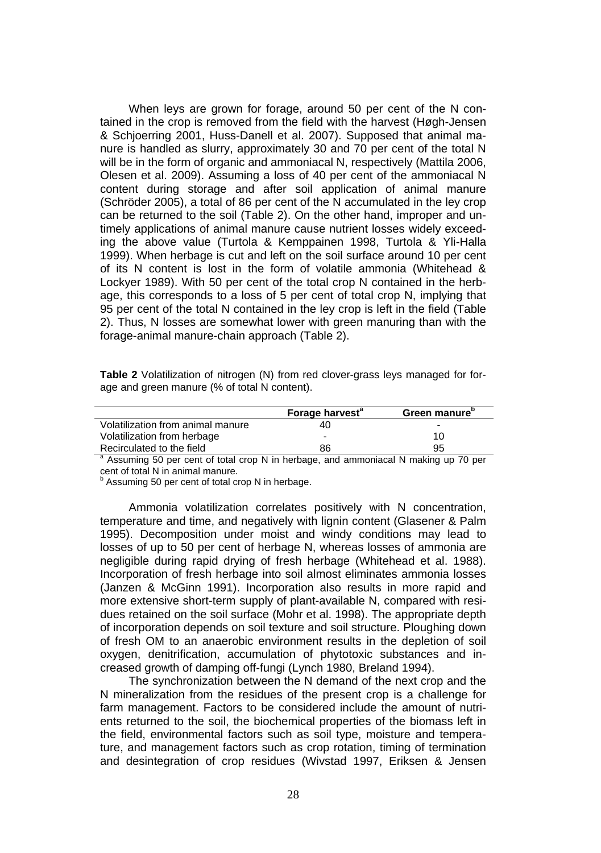When leys are grown for forage, around 50 per cent of the N contained in the crop is removed from the field with the harvest (Høgh-Jensen & Schjoerring 2001, Huss-Danell et al. 2007). Supposed that animal manure is handled as slurry, approximately 30 and 70 per cent of the total N will be in the form of organic and ammoniacal N, respectively (Mattila 2006, Olesen et al. 2009). Assuming a loss of 40 per cent of the ammoniacal N content during storage and after soil application of animal manure (Schröder 2005), a total of 86 per cent of the N accumulated in the ley crop can be returned to the soil (Table 2). On the other hand, improper and untimely applications of animal manure cause nutrient losses widely exceeding the above value (Turtola & Kemppainen 1998, Turtola & Yli-Halla 1999). When herbage is cut and left on the soil surface around 10 per cent of its N content is lost in the form of volatile ammonia (Whitehead & Lockyer 1989). With 50 per cent of the total crop N contained in the herbage, this corresponds to a loss of 5 per cent of total crop N, implying that 95 per cent of the total N contained in the ley crop is left in the field (Table 2). Thus, N losses are somewhat lower with green manuring than with the forage-animal manure-chain approach (Table 2).

| <b>Table 2</b> Volatilization of nitrogen (N) from red clover-grass leys managed for for- |  |  |  |  |
|-------------------------------------------------------------------------------------------|--|--|--|--|
| age and green manure (% of total N content).                                              |  |  |  |  |

|                                                                                                 | Forage harvest <sup>a</sup> | Green manure" |
|-------------------------------------------------------------------------------------------------|-----------------------------|---------------|
| Volatilization from animal manure                                                               | 40                          | -             |
| Volatilization from herbage                                                                     |                             | 10            |
| Recirculated to the field                                                                       | 86                          | 95            |
| <sup>a</sup> Assuming 50 per cent of total crop N in herbage, and ammoniacal N making up 70 per |                             |               |

cent of total N in animal manure.

<sup>b</sup> Assuming 50 per cent of total crop N in herbage.

Ammonia volatilization correlates positively with N concentration, temperature and time, and negatively with lignin content (Glasener & Palm 1995). Decomposition under moist and windy conditions may lead to losses of up to 50 per cent of herbage N, whereas losses of ammonia are negligible during rapid drying of fresh herbage (Whitehead et al. 1988). Incorporation of fresh herbage into soil almost eliminates ammonia losses (Janzen & McGinn 1991). Incorporation also results in more rapid and more extensive short-term supply of plant-available N, compared with residues retained on the soil surface (Mohr et al. 1998). The appropriate depth of incorporation depends on soil texture and soil structure. Ploughing down of fresh OM to an anaerobic environment results in the depletion of soil oxygen, denitrification, accumulation of phytotoxic substances and increased growth of damping off-fungi (Lynch 1980, Breland 1994).

The synchronization between the N demand of the next crop and the N mineralization from the residues of the present crop is a challenge for farm management. Factors to be considered include the amount of nutrients returned to the soil, the biochemical properties of the biomass left in the field, environmental factors such as soil type, moisture and temperature, and management factors such as crop rotation, timing of termination and desintegration of crop residues (Wivstad 1997, Eriksen & Jensen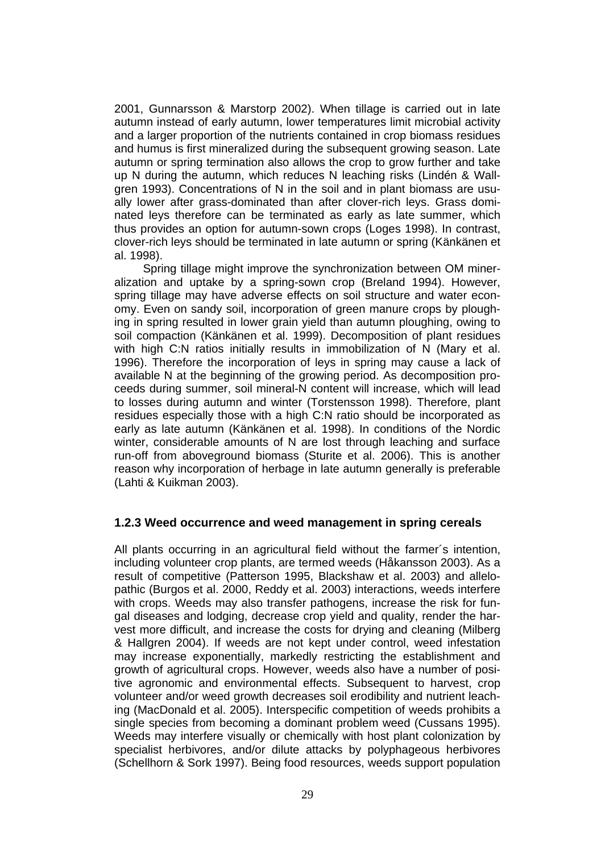2001, Gunnarsson & Marstorp 2002). When tillage is carried out in late autumn instead of early autumn, lower temperatures limit microbial activity and a larger proportion of the nutrients contained in crop biomass residues and humus is first mineralized during the subsequent growing season. Late autumn or spring termination also allows the crop to grow further and take up N during the autumn, which reduces N leaching risks (Lindén & Wallgren 1993). Concentrations of N in the soil and in plant biomass are usually lower after grass-dominated than after clover-rich leys. Grass dominated leys therefore can be terminated as early as late summer, which thus provides an option for autumn-sown crops (Loges 1998). In contrast, clover-rich leys should be terminated in late autumn or spring (Känkänen et al. 1998).

Spring tillage might improve the synchronization between OM mineralization and uptake by a spring-sown crop (Breland 1994). However, spring tillage may have adverse effects on soil structure and water economy. Even on sandy soil, incorporation of green manure crops by ploughing in spring resulted in lower grain yield than autumn ploughing, owing to soil compaction (Känkänen et al. 1999). Decomposition of plant residues with high C:N ratios initially results in immobilization of N (Mary et al. 1996). Therefore the incorporation of leys in spring may cause a lack of available N at the beginning of the growing period. As decomposition proceeds during summer, soil mineral-N content will increase, which will lead to losses during autumn and winter (Torstensson 1998). Therefore, plant residues especially those with a high C:N ratio should be incorporated as early as late autumn (Känkänen et al. 1998). In conditions of the Nordic winter, considerable amounts of N are lost through leaching and surface run-off from aboveground biomass (Sturite et al. 2006). This is another reason why incorporation of herbage in late autumn generally is preferable (Lahti & Kuikman 2003).

#### **1.2.3 Weed occurrence and weed management in spring cereals**

All plants occurring in an agricultural field without the farmer´s intention, including volunteer crop plants, are termed weeds (Håkansson 2003). As a result of competitive (Patterson 1995, Blackshaw et al. 2003) and allelopathic (Burgos et al. 2000, Reddy et al. 2003) interactions, weeds interfere with crops. Weeds may also transfer pathogens, increase the risk for fungal diseases and lodging, decrease crop yield and quality, render the harvest more difficult, and increase the costs for drying and cleaning (Milberg & Hallgren 2004). If weeds are not kept under control, weed infestation may increase exponentially, markedly restricting the establishment and growth of agricultural crops. However, weeds also have a number of positive agronomic and environmental effects. Subsequent to harvest, crop volunteer and/or weed growth decreases soil erodibility and nutrient leaching (MacDonald et al. 2005). Interspecific competition of weeds prohibits a single species from becoming a dominant problem weed (Cussans 1995). Weeds may interfere visually or chemically with host plant colonization by specialist herbivores, and/or dilute attacks by polyphageous herbivores (Schellhorn & Sork 1997). Being food resources, weeds support population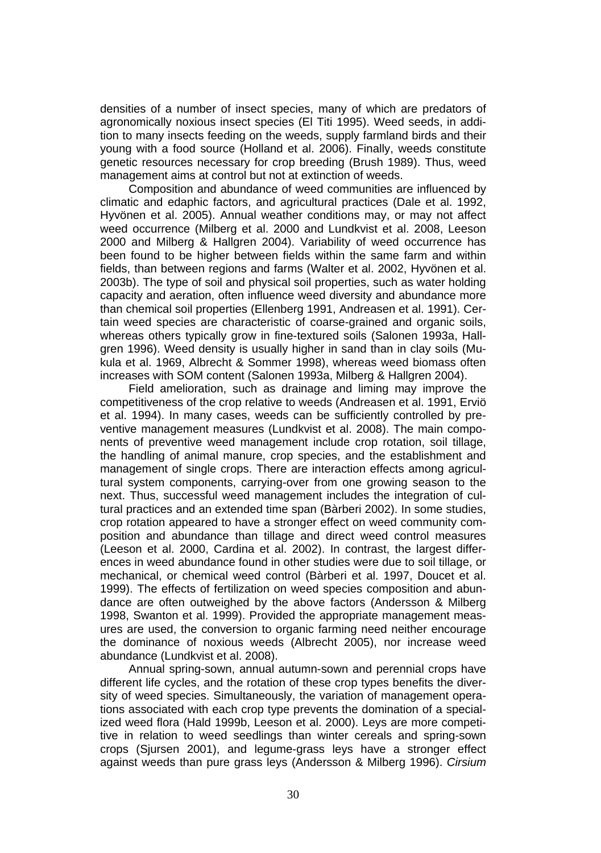densities of a number of insect species, many of which are predators of agronomically noxious insect species (El Titi 1995). Weed seeds, in addition to many insects feeding on the weeds, supply farmland birds and their young with a food source (Holland et al. 2006). Finally, weeds constitute genetic resources necessary for crop breeding (Brush 1989). Thus, weed management aims at control but not at extinction of weeds.

Composition and abundance of weed communities are influenced by climatic and edaphic factors, and agricultural practices (Dale et al. 1992, Hyvönen et al. 2005). Annual weather conditions may, or may not affect weed occurrence (Milberg et al. 2000 and Lundkvist et al. 2008, Leeson 2000 and Milberg & Hallgren 2004). Variability of weed occurrence has been found to be higher between fields within the same farm and within fields, than between regions and farms (Walter et al. 2002, Hyvönen et al. 2003b). The type of soil and physical soil properties, such as water holding capacity and aeration, often influence weed diversity and abundance more than chemical soil properties (Ellenberg 1991, Andreasen et al. 1991). Certain weed species are characteristic of coarse-grained and organic soils, whereas others typically grow in fine-textured soils (Salonen 1993a, Hallgren 1996). Weed density is usually higher in sand than in clay soils (Mukula et al. 1969, Albrecht & Sommer 1998), whereas weed biomass often increases with SOM content (Salonen 1993a, Milberg & Hallgren 2004).

Field amelioration, such as drainage and liming may improve the competitiveness of the crop relative to weeds (Andreasen et al. 1991, Erviö et al. 1994). In many cases, weeds can be sufficiently controlled by preventive management measures (Lundkvist et al. 2008). The main components of preventive weed management include crop rotation, soil tillage, the handling of animal manure, crop species, and the establishment and management of single crops. There are interaction effects among agricultural system components, carrying-over from one growing season to the next. Thus, successful weed management includes the integration of cultural practices and an extended time span (Bàrberi 2002). In some studies, crop rotation appeared to have a stronger effect on weed community composition and abundance than tillage and direct weed control measures (Leeson et al. 2000, Cardina et al. 2002). In contrast, the largest differences in weed abundance found in other studies were due to soil tillage, or mechanical, or chemical weed control (Bàrberi et al. 1997, Doucet et al. 1999). The effects of fertilization on weed species composition and abundance are often outweighed by the above factors (Andersson & Milberg 1998, Swanton et al. 1999). Provided the appropriate management measures are used, the conversion to organic farming need neither encourage the dominance of noxious weeds (Albrecht 2005), nor increase weed abundance (Lundkvist et al. 2008).

Annual spring-sown, annual autumn-sown and perennial crops have different life cycles, and the rotation of these crop types benefits the diversity of weed species. Simultaneously, the variation of management operations associated with each crop type prevents the domination of a specialized weed flora (Hald 1999b, Leeson et al. 2000). Leys are more competitive in relation to weed seedlings than winter cereals and spring-sown crops (Sjursen 2001), and legume-grass leys have a stronger effect against weeds than pure grass leys (Andersson & Milberg 1996). *Cirsium*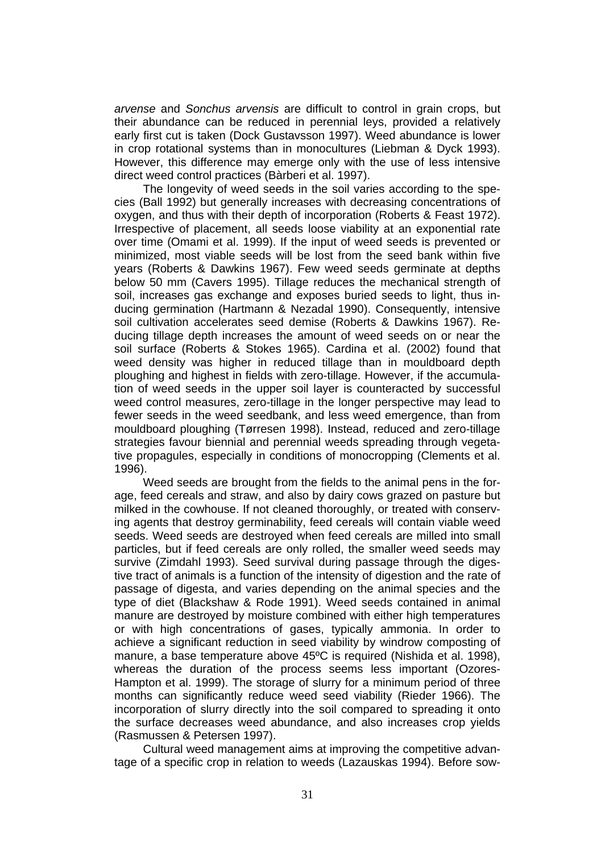*arvense* and *Sonchus arvensis* are difficult to control in grain crops, but their abundance can be reduced in perennial leys, provided a relatively early first cut is taken (Dock Gustavsson 1997). Weed abundance is lower in crop rotational systems than in monocultures (Liebman & Dyck 1993). However, this difference may emerge only with the use of less intensive direct weed control practices (Bàrberi et al. 1997).

The longevity of weed seeds in the soil varies according to the species (Ball 1992) but generally increases with decreasing concentrations of oxygen, and thus with their depth of incorporation (Roberts & Feast 1972). Irrespective of placement, all seeds loose viability at an exponential rate over time (Omami et al. 1999). If the input of weed seeds is prevented or minimized, most viable seeds will be lost from the seed bank within five years (Roberts & Dawkins 1967). Few weed seeds germinate at depths below 50 mm (Cavers 1995). Tillage reduces the mechanical strength of soil, increases gas exchange and exposes buried seeds to light, thus inducing germination (Hartmann & Nezadal 1990). Consequently, intensive soil cultivation accelerates seed demise (Roberts & Dawkins 1967). Reducing tillage depth increases the amount of weed seeds on or near the soil surface (Roberts & Stokes 1965). Cardina et al. (2002) found that weed density was higher in reduced tillage than in mouldboard depth ploughing and highest in fields with zero-tillage. However, if the accumulation of weed seeds in the upper soil layer is counteracted by successful weed control measures, zero-tillage in the longer perspective may lead to fewer seeds in the weed seedbank, and less weed emergence, than from mouldboard ploughing (Tørresen 1998). Instead, reduced and zero-tillage strategies favour biennial and perennial weeds spreading through vegetative propagules, especially in conditions of monocropping (Clements et al. 1996).

Weed seeds are brought from the fields to the animal pens in the forage, feed cereals and straw, and also by dairy cows grazed on pasture but milked in the cowhouse. If not cleaned thoroughly, or treated with conserving agents that destroy germinability, feed cereals will contain viable weed seeds. Weed seeds are destroyed when feed cereals are milled into small particles, but if feed cereals are only rolled, the smaller weed seeds may survive (Zimdahl 1993). Seed survival during passage through the digestive tract of animals is a function of the intensity of digestion and the rate of passage of digesta, and varies depending on the animal species and the type of diet (Blackshaw & Rode 1991). Weed seeds contained in animal manure are destroyed by moisture combined with either high temperatures or with high concentrations of gases, typically ammonia. In order to achieve a significant reduction in seed viability by windrow composting of manure, a base temperature above 45ºC is required (Nishida et al. 1998), whereas the duration of the process seems less important (Ozores-Hampton et al. 1999). The storage of slurry for a minimum period of three months can significantly reduce weed seed viability (Rieder 1966). The incorporation of slurry directly into the soil compared to spreading it onto the surface decreases weed abundance, and also increases crop yields (Rasmussen & Petersen 1997).

Cultural weed management aims at improving the competitive advantage of a specific crop in relation to weeds (Lazauskas 1994). Before sow-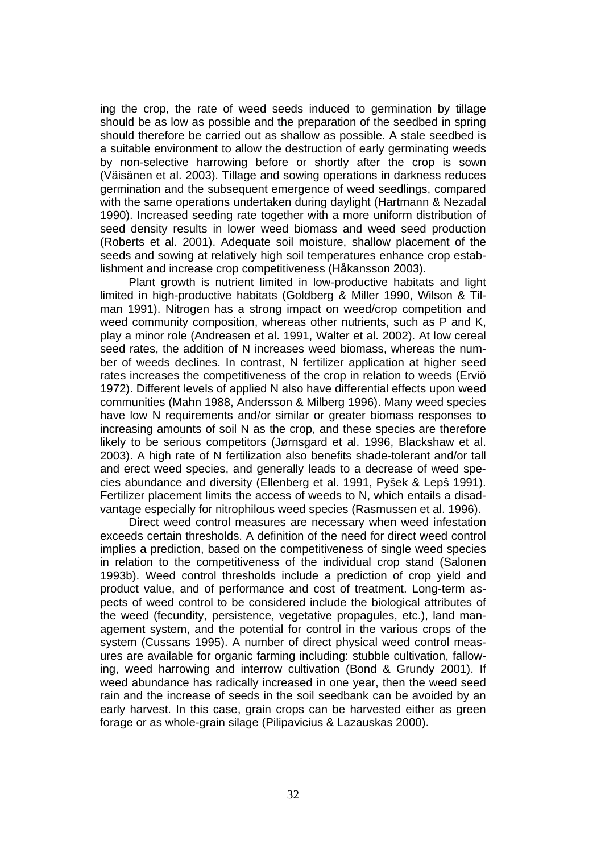ing the crop, the rate of weed seeds induced to germination by tillage should be as low as possible and the preparation of the seedbed in spring should therefore be carried out as shallow as possible. A stale seedbed is a suitable environment to allow the destruction of early germinating weeds by non-selective harrowing before or shortly after the crop is sown (Väisänen et al. 2003). Tillage and sowing operations in darkness reduces germination and the subsequent emergence of weed seedlings, compared with the same operations undertaken during daylight (Hartmann & Nezadal 1990). Increased seeding rate together with a more uniform distribution of seed density results in lower weed biomass and weed seed production (Roberts et al. 2001). Adequate soil moisture, shallow placement of the seeds and sowing at relatively high soil temperatures enhance crop establishment and increase crop competitiveness (Håkansson 2003).

Plant growth is nutrient limited in low-productive habitats and light limited in high-productive habitats (Goldberg & Miller 1990, Wilson & Tilman 1991). Nitrogen has a strong impact on weed/crop competition and weed community composition, whereas other nutrients, such as P and K, play a minor role (Andreasen et al. 1991, Walter et al. 2002). At low cereal seed rates, the addition of N increases weed biomass, whereas the number of weeds declines. In contrast, N fertilizer application at higher seed rates increases the competitiveness of the crop in relation to weeds (Erviö 1972). Different levels of applied N also have differential effects upon weed communities (Mahn 1988, Andersson & Milberg 1996). Many weed species have low N requirements and/or similar or greater biomass responses to increasing amounts of soil N as the crop, and these species are therefore likely to be serious competitors (Jørnsgard et al. 1996, Blackshaw et al. 2003). A high rate of N fertilization also benefits shade-tolerant and/or tall and erect weed species, and generally leads to a decrease of weed species abundance and diversity (Ellenberg et al. 1991, Pyšek & Lepš 1991). Fertilizer placement limits the access of weeds to N, which entails a disadvantage especially for nitrophilous weed species (Rasmussen et al. 1996).

Direct weed control measures are necessary when weed infestation exceeds certain thresholds. A definition of the need for direct weed control implies a prediction, based on the competitiveness of single weed species in relation to the competitiveness of the individual crop stand (Salonen 1993b). Weed control thresholds include a prediction of crop yield and product value, and of performance and cost of treatment. Long-term aspects of weed control to be considered include the biological attributes of the weed (fecundity, persistence, vegetative propagules, etc.), land management system, and the potential for control in the various crops of the system (Cussans 1995). A number of direct physical weed control measures are available for organic farming including: stubble cultivation, fallowing, weed harrowing and interrow cultivation (Bond & Grundy 2001). If weed abundance has radically increased in one year, then the weed seed rain and the increase of seeds in the soil seedbank can be avoided by an early harvest. In this case, grain crops can be harvested either as green forage or as whole-grain silage (Pilipavicius & Lazauskas 2000).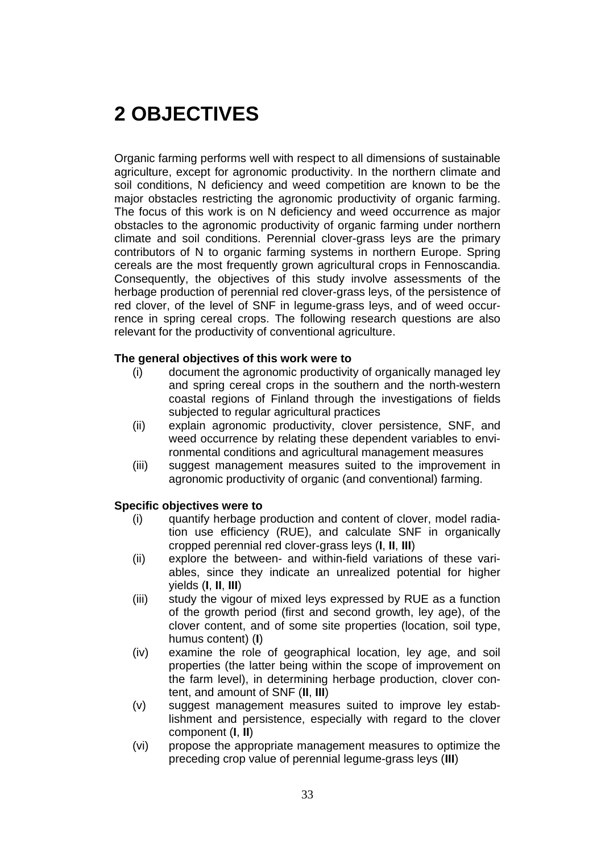# **2 OBJECTIVES**

Organic farming performs well with respect to all dimensions of sustainable agriculture, except for agronomic productivity. In the northern climate and soil conditions, N deficiency and weed competition are known to be the major obstacles restricting the agronomic productivity of organic farming. The focus of this work is on N deficiency and weed occurrence as major obstacles to the agronomic productivity of organic farming under northern climate and soil conditions. Perennial clover-grass leys are the primary contributors of N to organic farming systems in northern Europe. Spring cereals are the most frequently grown agricultural crops in Fennoscandia. Consequently, the objectives of this study involve assessments of the herbage production of perennial red clover-grass leys, of the persistence of red clover, of the level of SNF in legume-grass leys, and of weed occurrence in spring cereal crops. The following research questions are also relevant for the productivity of conventional agriculture.

#### **The general objectives of this work were to**

- (i) document the agronomic productivity of organically managed ley and spring cereal crops in the southern and the north-western coastal regions of Finland through the investigations of fields subjected to regular agricultural practices
- (ii) explain agronomic productivity, clover persistence, SNF, and weed occurrence by relating these dependent variables to environmental conditions and agricultural management measures
- (iii) suggest management measures suited to the improvement in agronomic productivity of organic (and conventional) farming.

#### **Specific objectives were to**

- (i) quantify herbage production and content of clover, model radiation use efficiency (RUE), and calculate SNF in organically cropped perennial red clover-grass leys (**I**, **II**, **III**)
- (ii) explore the between- and within-field variations of these variables, since they indicate an unrealized potential for higher yields (**I**, **II**, **III**)
- (iii) study the vigour of mixed leys expressed by RUE as a function of the growth period (first and second growth, ley age), of the clover content, and of some site properties (location, soil type, humus content) (**I**)
- (iv) examine the role of geographical location, ley age, and soil properties (the latter being within the scope of improvement on the farm level), in determining herbage production, clover content, and amount of SNF (**II**, **III**)
- (v) suggest management measures suited to improve ley establishment and persistence, especially with regard to the clover component (**I**, **II**)
- (vi) propose the appropriate management measures to optimize the preceding crop value of perennial legume-grass leys (**III**)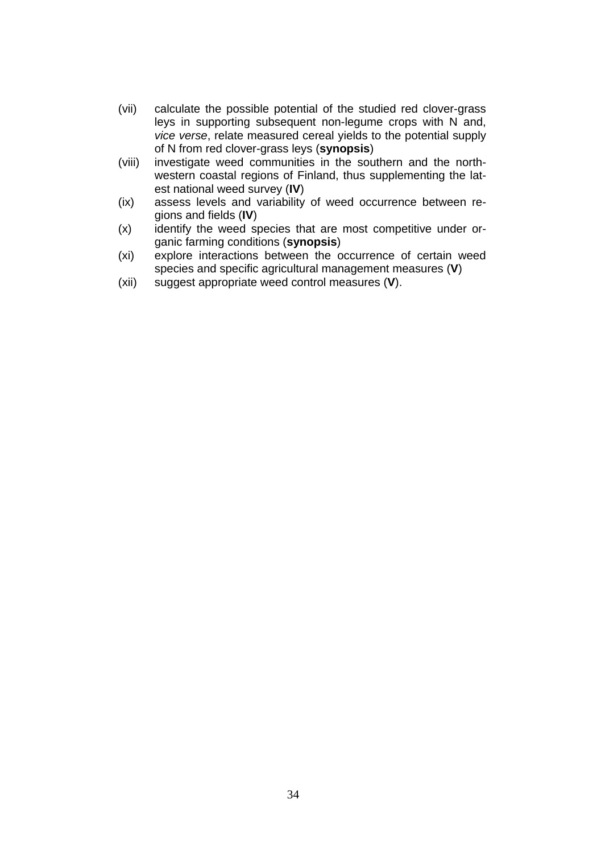- (vii) calculate the possible potential of the studied red clover-grass leys in supporting subsequent non-legume crops with N and, *vice verse*, relate measured cereal yields to the potential supply of N from red clover-grass leys (**synopsis**)
- (viii) investigate weed communities in the southern and the northwestern coastal regions of Finland, thus supplementing the latest national weed survey (**IV**)
- (ix) assess levels and variability of weed occurrence between regions and fields (**IV**)
- (x) identify the weed species that are most competitive under organic farming conditions (**synopsis**)
- (xi) explore interactions between the occurrence of certain weed species and specific agricultural management measures (**V**)
- (xii) suggest appropriate weed control measures (**V**).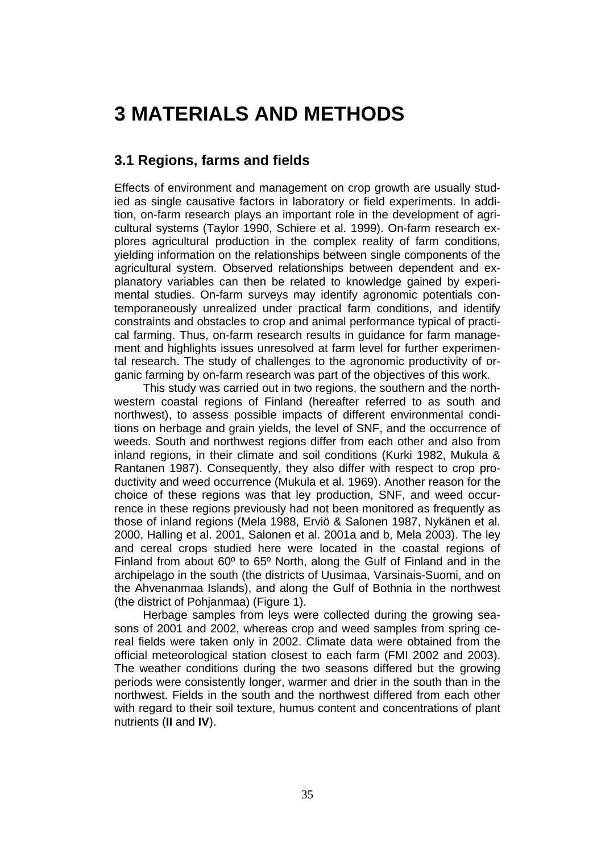## **3 MATERIALS AND METHODS**

### **3.1 Regions, farms and fields**

Effects of environment and management on crop growth are usually studied as single causative factors in laboratory or field experiments. In addition, on-farm research plays an important role in the development of agricultural systems (Taylor 1990, Schiere et al. 1999). On-farm research explores agricultural production in the complex reality of farm conditions, yielding information on the relationships between single components of the agricultural system. Observed relationships between dependent and explanatory variables can then be related to knowledge gained by experimental studies. On-farm surveys may identify agronomic potentials contemporaneously unrealized under practical farm conditions, and identify constraints and obstacles to crop and animal performance typical of practical farming. Thus, on-farm research results in guidance for farm management and highlights issues unresolved at farm level for further experimental research. The study of challenges to the agronomic productivity of organic farming by on-farm research was part of the objectives of this work.

This study was carried out in two regions, the southern and the northwestern coastal regions of Finland (hereafter referred to as south and northwest), to assess possible impacts of different environmental conditions on herbage and grain yields, the level of SNF, and the occurrence of weeds. South and northwest regions differ from each other and also from inland regions, in their climate and soil conditions (Kurki 1982, Mukula & Rantanen 1987). Consequently, they also differ with respect to crop productivity and weed occurrence (Mukula et al. 1969). Another reason for the choice of these regions was that ley production, SNF, and weed occurrence in these regions previously had not been monitored as frequently as those of inland regions (Mela 1988, Erviö & Salonen 1987, Nykänen et al. 2000, Halling et al. 2001, Salonen et al. 2001a and b, Mela 2003). The ley and cereal crops studied here were located in the coastal regions of Finland from about 60º to 65º North, along the Gulf of Finland and in the archipelago in the south (the districts of Uusimaa, Varsinais-Suomi, and on the Ahvenanmaa Islands), and along the Gulf of Bothnia in the northwest (the district of Pohjanmaa) (Figure 1).

Herbage samples from leys were collected during the growing seasons of 2001 and 2002, whereas crop and weed samples from spring cereal fields were taken only in 2002. Climate data were obtained from the official meteorological station closest to each farm (FMI 2002 and 2003). The weather conditions during the two seasons differed but the growing periods were consistently longer, warmer and drier in the south than in the northwest. Fields in the south and the northwest differed from each other with regard to their soil texture, humus content and concentrations of plant nutrients (**II** and **IV**).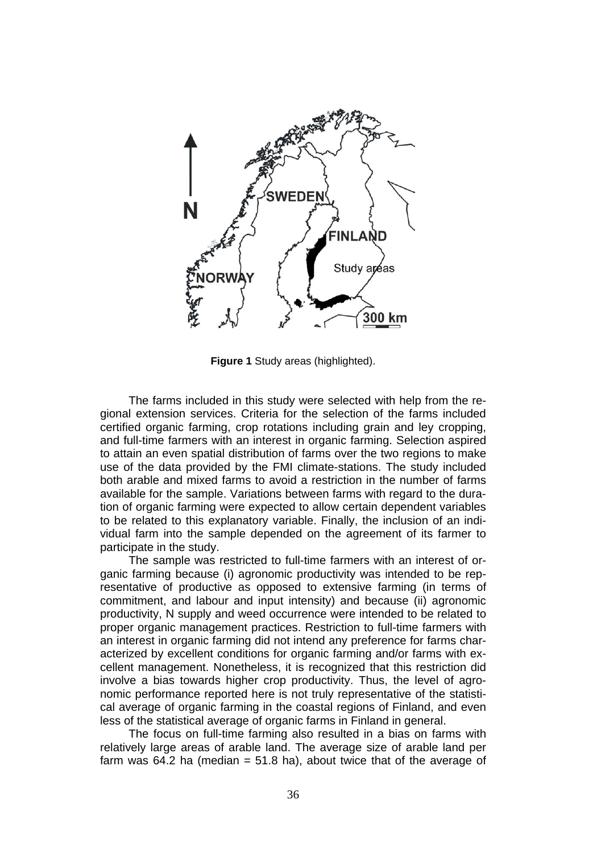

**Figure 1** Study areas (highlighted).

The farms included in this study were selected with help from the regional extension services. Criteria for the selection of the farms included certified organic farming, crop rotations including grain and ley cropping, and full-time farmers with an interest in organic farming. Selection aspired to attain an even spatial distribution of farms over the two regions to make use of the data provided by the FMI climate-stations. The study included both arable and mixed farms to avoid a restriction in the number of farms available for the sample. Variations between farms with regard to the duration of organic farming were expected to allow certain dependent variables to be related to this explanatory variable. Finally, the inclusion of an individual farm into the sample depended on the agreement of its farmer to participate in the study.

The sample was restricted to full-time farmers with an interest of organic farming because (i) agronomic productivity was intended to be representative of productive as opposed to extensive farming (in terms of commitment, and labour and input intensity) and because (ii) agronomic productivity, N supply and weed occurrence were intended to be related to proper organic management practices. Restriction to full-time farmers with an interest in organic farming did not intend any preference for farms characterized by excellent conditions for organic farming and/or farms with excellent management. Nonetheless, it is recognized that this restriction did involve a bias towards higher crop productivity. Thus, the level of agronomic performance reported here is not truly representative of the statistical average of organic farming in the coastal regions of Finland, and even less of the statistical average of organic farms in Finland in general.

The focus on full-time farming also resulted in a bias on farms with relatively large areas of arable land. The average size of arable land per farm was 64.2 ha (median  $= 51.8$  ha), about twice that of the average of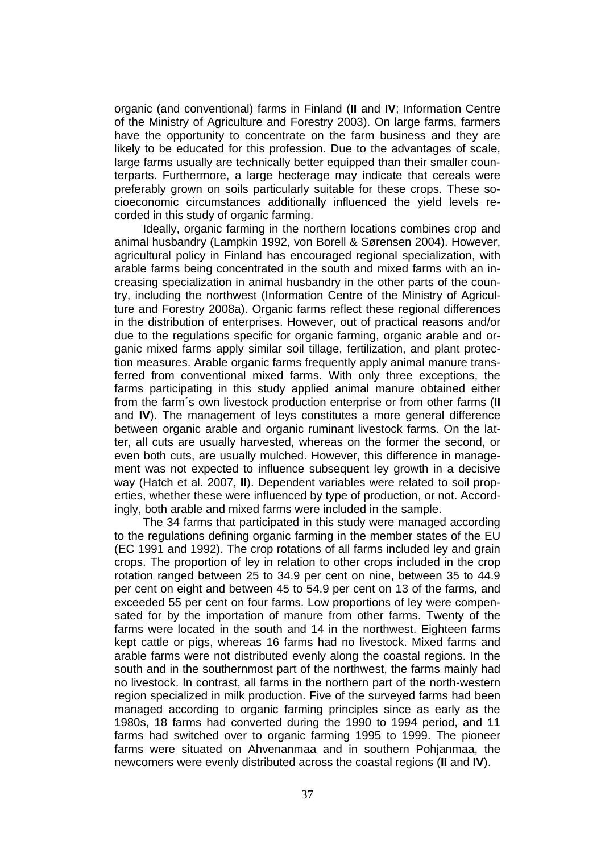organic (and conventional) farms in Finland (**II** and **IV**; Information Centre of the Ministry of Agriculture and Forestry 2003). On large farms, farmers have the opportunity to concentrate on the farm business and they are likely to be educated for this profession. Due to the advantages of scale, large farms usually are technically better equipped than their smaller counterparts. Furthermore, a large hecterage may indicate that cereals were preferably grown on soils particularly suitable for these crops. These socioeconomic circumstances additionally influenced the yield levels recorded in this study of organic farming.

Ideally, organic farming in the northern locations combines crop and animal husbandry (Lampkin 1992, von Borell & Sørensen 2004). However, agricultural policy in Finland has encouraged regional specialization, with arable farms being concentrated in the south and mixed farms with an increasing specialization in animal husbandry in the other parts of the country, including the northwest (Information Centre of the Ministry of Agriculture and Forestry 2008a). Organic farms reflect these regional differences in the distribution of enterprises. However, out of practical reasons and/or due to the regulations specific for organic farming, organic arable and organic mixed farms apply similar soil tillage, fertilization, and plant protection measures. Arable organic farms frequently apply animal manure transferred from conventional mixed farms. With only three exceptions, the farms participating in this study applied animal manure obtained either from the farm´s own livestock production enterprise or from other farms (**II** and **IV**). The management of leys constitutes a more general difference between organic arable and organic ruminant livestock farms. On the latter, all cuts are usually harvested, whereas on the former the second, or even both cuts, are usually mulched. However, this difference in management was not expected to influence subsequent ley growth in a decisive way (Hatch et al. 2007, **II**). Dependent variables were related to soil properties, whether these were influenced by type of production, or not. Accordingly, both arable and mixed farms were included in the sample.

The 34 farms that participated in this study were managed according to the regulations defining organic farming in the member states of the EU (EC 1991 and 1992). The crop rotations of all farms included ley and grain crops. The proportion of ley in relation to other crops included in the crop rotation ranged between 25 to 34.9 per cent on nine, between 35 to 44.9 per cent on eight and between 45 to 54.9 per cent on 13 of the farms, and exceeded 55 per cent on four farms. Low proportions of ley were compensated for by the importation of manure from other farms. Twenty of the farms were located in the south and 14 in the northwest. Eighteen farms kept cattle or pigs, whereas 16 farms had no livestock. Mixed farms and arable farms were not distributed evenly along the coastal regions. In the south and in the southernmost part of the northwest, the farms mainly had no livestock. In contrast, all farms in the northern part of the north-western region specialized in milk production. Five of the surveyed farms had been managed according to organic farming principles since as early as the 1980s, 18 farms had converted during the 1990 to 1994 period, and 11 farms had switched over to organic farming 1995 to 1999. The pioneer farms were situated on Ahvenanmaa and in southern Pohjanmaa, the newcomers were evenly distributed across the coastal regions (**II** and **IV**).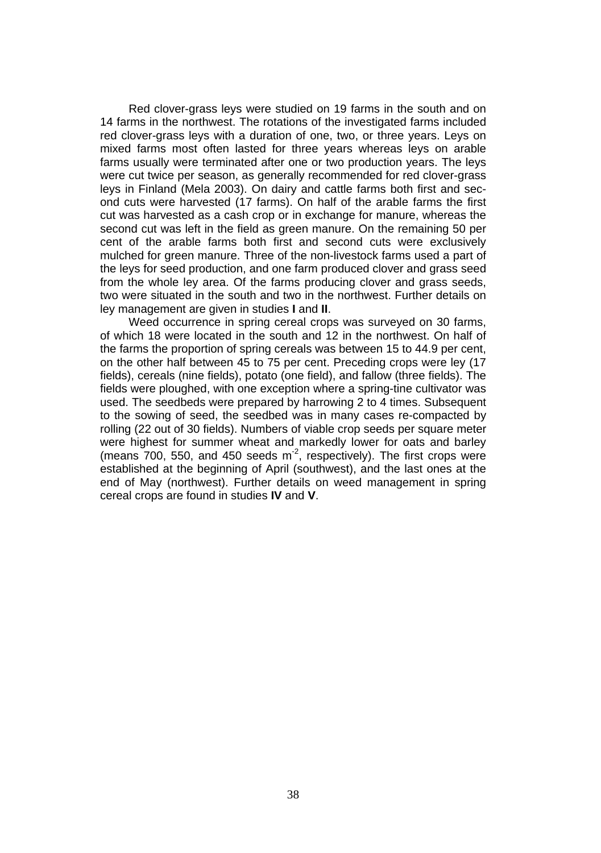Red clover-grass leys were studied on 19 farms in the south and on 14 farms in the northwest. The rotations of the investigated farms included red clover-grass leys with a duration of one, two, or three years. Leys on mixed farms most often lasted for three years whereas leys on arable farms usually were terminated after one or two production years. The leys were cut twice per season, as generally recommended for red clover-grass leys in Finland (Mela 2003). On dairy and cattle farms both first and second cuts were harvested (17 farms). On half of the arable farms the first cut was harvested as a cash crop or in exchange for manure, whereas the second cut was left in the field as green manure. On the remaining 50 per cent of the arable farms both first and second cuts were exclusively mulched for green manure. Three of the non-livestock farms used a part of the leys for seed production, and one farm produced clover and grass seed from the whole ley area. Of the farms producing clover and grass seeds, two were situated in the south and two in the northwest. Further details on ley management are given in studies **I** and **II**.

Weed occurrence in spring cereal crops was surveyed on 30 farms, of which 18 were located in the south and 12 in the northwest. On half of the farms the proportion of spring cereals was between 15 to 44.9 per cent, on the other half between 45 to 75 per cent. Preceding crops were ley (17 fields), cereals (nine fields), potato (one field), and fallow (three fields). The fields were ploughed, with one exception where a spring-tine cultivator was used. The seedbeds were prepared by harrowing 2 to 4 times. Subsequent to the sowing of seed, the seedbed was in many cases re-compacted by rolling (22 out of 30 fields). Numbers of viable crop seeds per square meter were highest for summer wheat and markedly lower for oats and barley (means 700, 550, and 450 seeds m<sup>-2</sup>, respectively). The first crops were established at the beginning of April (southwest), and the last ones at the end of May (northwest). Further details on weed management in spring cereal crops are found in studies **IV** and **V**.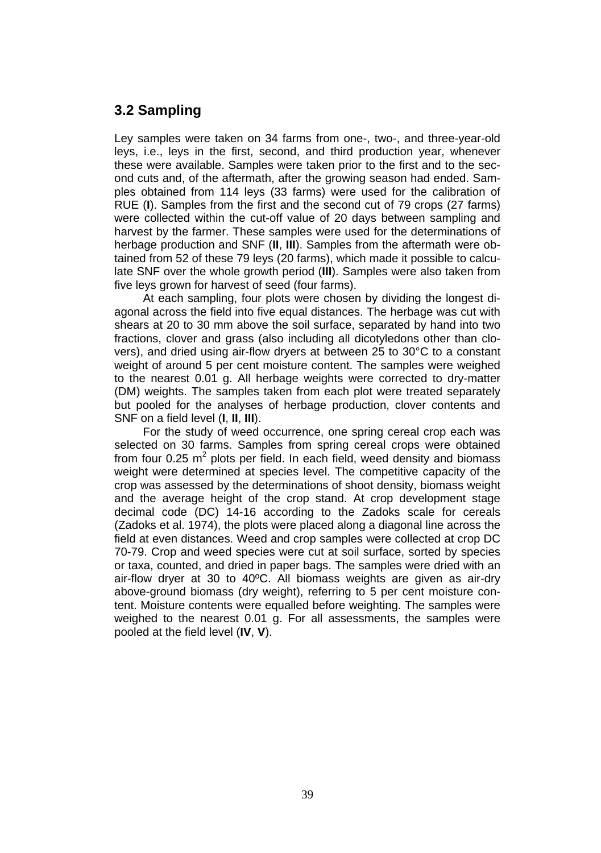## **3.2 Sampling**

Ley samples were taken on 34 farms from one-, two-, and three-year-old leys, i.e., leys in the first, second, and third production year, whenever these were available. Samples were taken prior to the first and to the second cuts and, of the aftermath, after the growing season had ended. Samples obtained from 114 leys (33 farms) were used for the calibration of RUE (**I**). Samples from the first and the second cut of 79 crops (27 farms) were collected within the cut-off value of 20 days between sampling and harvest by the farmer. These samples were used for the determinations of herbage production and SNF (**II**, **III**). Samples from the aftermath were obtained from 52 of these 79 leys (20 farms), which made it possible to calculate SNF over the whole growth period (**III**). Samples were also taken from five leys grown for harvest of seed (four farms).

At each sampling, four plots were chosen by dividing the longest diagonal across the field into five equal distances. The herbage was cut with shears at 20 to 30 mm above the soil surface, separated by hand into two fractions, clover and grass (also including all dicotyledons other than clovers), and dried using air-flow dryers at between 25 to 30°C to a constant weight of around 5 per cent moisture content. The samples were weighed to the nearest 0.01 g. All herbage weights were corrected to dry-matter (DM) weights. The samples taken from each plot were treated separately but pooled for the analyses of herbage production, clover contents and SNF on a field level (**I**, **II**, **III**).

For the study of weed occurrence, one spring cereal crop each was selected on 30 farms. Samples from spring cereal crops were obtained from four 0.25  $m^2$  plots per field. In each field, weed density and biomass weight were determined at species level. The competitive capacity of the crop was assessed by the determinations of shoot density, biomass weight and the average height of the crop stand. At crop development stage decimal code (DC) 14-16 according to the Zadoks scale for cereals (Zadoks et al. 1974), the plots were placed along a diagonal line across the field at even distances. Weed and crop samples were collected at crop DC 70-79. Crop and weed species were cut at soil surface, sorted by species or taxa, counted, and dried in paper bags. The samples were dried with an air-flow dryer at 30 to 40ºC. All biomass weights are given as air-dry above-ground biomass (dry weight), referring to 5 per cent moisture content. Moisture contents were equalled before weighting. The samples were weighed to the nearest 0.01 g. For all assessments, the samples were pooled at the field level (**IV**, **V**).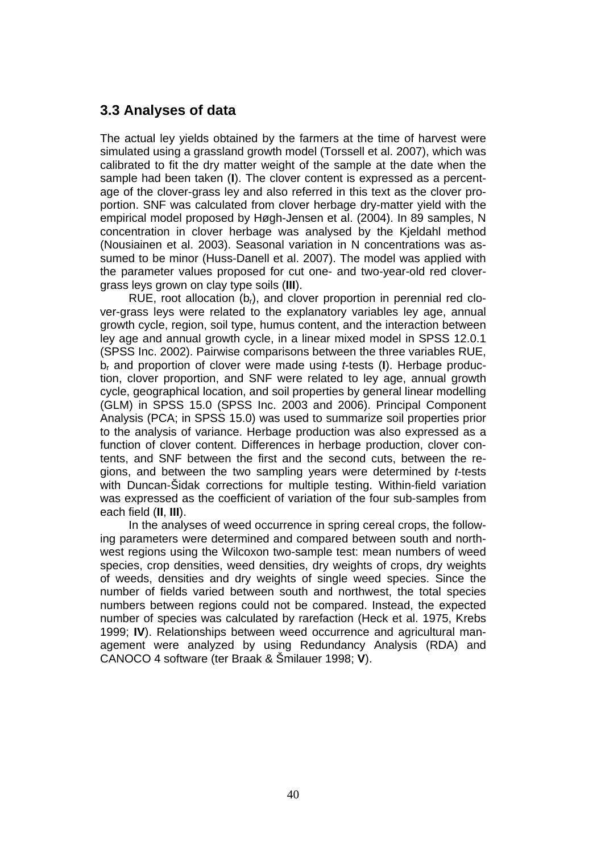### **3.3 Analyses of data**

The actual ley yields obtained by the farmers at the time of harvest were simulated using a grassland growth model (Torssell et al. 2007), which was calibrated to fit the dry matter weight of the sample at the date when the sample had been taken (**I**). The clover content is expressed as a percentage of the clover-grass ley and also referred in this text as the clover proportion. SNF was calculated from clover herbage dry-matter yield with the empirical model proposed by Høgh-Jensen et al. (2004). In 89 samples, N concentration in clover herbage was analysed by the Kjeldahl method (Nousiainen et al. 2003). Seasonal variation in N concentrations was assumed to be minor (Huss-Danell et al. 2007). The model was applied with the parameter values proposed for cut one- and two-year-old red clovergrass leys grown on clay type soils (**III**).

RUE, root allocation  $(b<sub>r</sub>)$ , and clover proportion in perennial red clover-grass leys were related to the explanatory variables ley age, annual growth cycle, region, soil type, humus content, and the interaction between ley age and annual growth cycle, in a linear mixed model in SPSS 12.0.1 (SPSS Inc. 2002). Pairwise comparisons between the three variables RUE, br and proportion of clover were made using *t*-tests (**I**). Herbage production, clover proportion, and SNF were related to ley age, annual growth cycle, geographical location, and soil properties by general linear modelling (GLM) in SPSS 15.0 (SPSS Inc. 2003 and 2006). Principal Component Analysis (PCA; in SPSS 15.0) was used to summarize soil properties prior to the analysis of variance. Herbage production was also expressed as a function of clover content. Differences in herbage production, clover contents, and SNF between the first and the second cuts, between the regions, and between the two sampling years were determined by *t*-tests with Duncan-Šidak corrections for multiple testing. Within-field variation was expressed as the coefficient of variation of the four sub-samples from each field (**II**, **III**).

In the analyses of weed occurrence in spring cereal crops, the following parameters were determined and compared between south and northwest regions using the Wilcoxon two-sample test: mean numbers of weed species, crop densities, weed densities, dry weights of crops, dry weights of weeds, densities and dry weights of single weed species. Since the number of fields varied between south and northwest, the total species numbers between regions could not be compared. Instead, the expected number of species was calculated by rarefaction (Heck et al. 1975, Krebs 1999; **IV**). Relationships between weed occurrence and agricultural management were analyzed by using Redundancy Analysis (RDA) and CANOCO 4 software (ter Braak & Šmilauer 1998; **V**).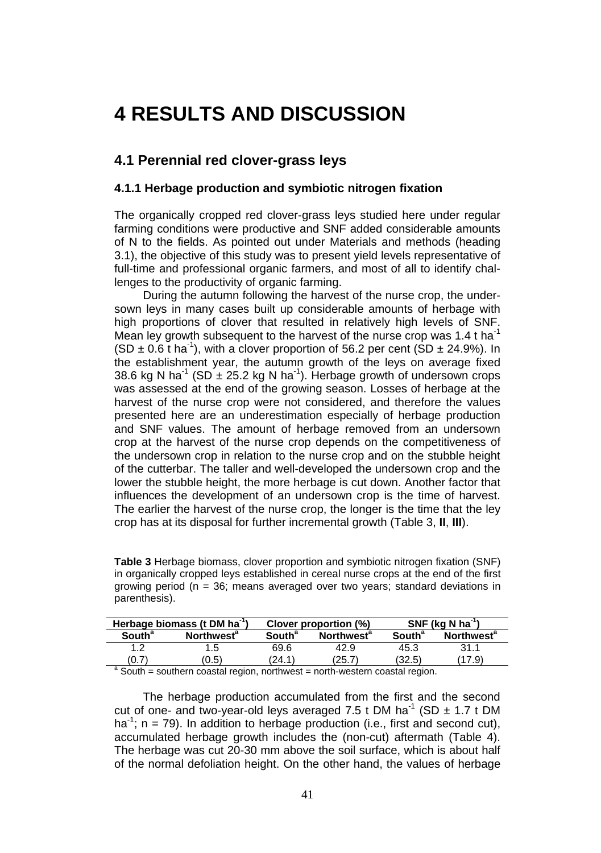## **4 RESULTS AND DISCUSSION**

### **4.1 Perennial red clover-grass leys**

#### **4.1.1 Herbage production and symbiotic nitrogen fixation**

The organically cropped red clover-grass leys studied here under regular farming conditions were productive and SNF added considerable amounts of N to the fields. As pointed out under Materials and methods (heading 3.1), the objective of this study was to present yield levels representative of full-time and professional organic farmers, and most of all to identify challenges to the productivity of organic farming.

During the autumn following the harvest of the nurse crop, the undersown leys in many cases built up considerable amounts of herbage with high proportions of clover that resulted in relatively high levels of SNF. Mean ley growth subsequent to the harvest of the nurse crop was 1.4 t ha<sup>-1</sup>  $(SD \pm 0.6$  t ha<sup>-1</sup>), with a clover proportion of 56.2 per cent (SD  $\pm$  24.9%). In the establishment year, the autumn growth of the leys on average fixed 38.6 kg N ha<sup>-1</sup> (SD  $\pm$  25.2 kg N ha<sup>-1</sup>). Herbage growth of undersown crops was assessed at the end of the growing season. Losses of herbage at the harvest of the nurse crop were not considered, and therefore the values presented here are an underestimation especially of herbage production and SNF values. The amount of herbage removed from an undersown crop at the harvest of the nurse crop depends on the competitiveness of the undersown crop in relation to the nurse crop and on the stubble height of the cutterbar. The taller and well-developed the undersown crop and the lower the stubble height, the more herbage is cut down. Another factor that influences the development of an undersown crop is the time of harvest. The earlier the harvest of the nurse crop, the longer is the time that the ley crop has at its disposal for further incremental growth (Table 3, **II**, **III**).

| <b>Table 3</b> Herbage biomass, clover proportion and symbiotic nitrogen fixation (SNF)            |
|----------------------------------------------------------------------------------------------------|
| in organically cropped leys established in cereal nurse crops at the end of the first              |
| growing period ( $n = 36$ ; means averaged over two years; standard deviations in<br>parenthesis). |

|                          | Herbage biomass (t DM ha <sup>-1</sup> )                                  |                          | Clover proportion (%)                                                                                                                                                                                                          |                          | $SNF$ (kg N ha <sup>-1</sup> ) |
|--------------------------|---------------------------------------------------------------------------|--------------------------|--------------------------------------------------------------------------------------------------------------------------------------------------------------------------------------------------------------------------------|--------------------------|--------------------------------|
| <b>South<sup>a</sup></b> | <b>Northwest</b> <sup>a</sup>                                             | <b>South<sup>a</sup></b> | <b>Northwest<sup>a</sup></b>                                                                                                                                                                                                   | <b>South<sup>a</sup></b> | <b>Northwest<sup>a</sup></b>   |
|                          |                                                                           | 69.6                     | 42.9                                                                                                                                                                                                                           | 45.3                     | 31.1                           |
| (0.7                     | (0.5)                                                                     | 24.1'                    | (25.7                                                                                                                                                                                                                          | (32.5)                   | 17.9                           |
| $a \sim a$               | the countries are considered to a state of the countries and the constant |                          | the contract contract the contract of the contract of the contract of the contract of the contract of the contract of the contract of the contract of the contract of the contract of the contract of the contract of the cont |                          |                                |

<sup>a</sup> South = southern coastal region, northwest = north-western coastal region.

The herbage production accumulated from the first and the second cut of one- and two-year-old leys averaged 7.5 t DM ha<sup>-1</sup> (SD  $\pm$  1.7 t DM ha<sup>-1</sup>; n = 79). In addition to herbage production (i.e., first and second cut), accumulated herbage growth includes the (non-cut) aftermath (Table 4). The herbage was cut 20-30 mm above the soil surface, which is about half of the normal defoliation height. On the other hand, the values of herbage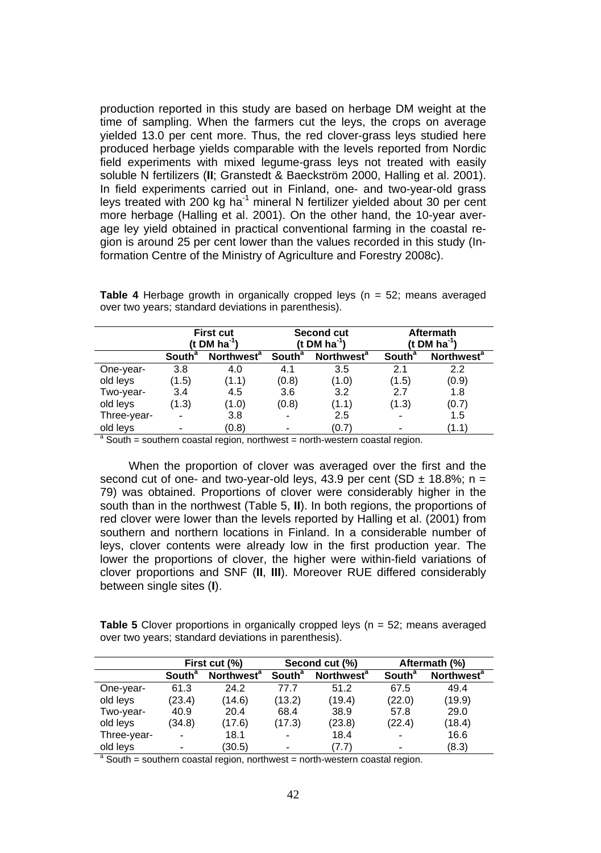production reported in this study are based on herbage DM weight at the time of sampling. When the farmers cut the leys, the crops on average yielded 13.0 per cent more. Thus, the red clover-grass leys studied here produced herbage yields comparable with the levels reported from Nordic field experiments with mixed legume-grass leys not treated with easily soluble N fertilizers (**II**; Granstedt & Baeckström 2000, Halling et al. 2001). In field experiments carried out in Finland, one- and two-year-old grass leys treated with 200 kg ha<sup>-1</sup> mineral N fertilizer yielded about 30 per cent more herbage (Halling et al. 2001). On the other hand, the 10-year average ley yield obtained in practical conventional farming in the coastal region is around 25 per cent lower than the values recorded in this study (Information Centre of the Ministry of Agriculture and Forestry 2008c).

|             |                           | <b>First cut</b><br>(t DM ha <sup>-1</sup> ) |                          | <b>Second cut</b><br>(t DM $ha^{-1}$ ) |                          | <b>Aftermath</b><br>(t DM $ha^1$ ) |
|-------------|---------------------------|----------------------------------------------|--------------------------|----------------------------------------|--------------------------|------------------------------------|
|             | <b>South</b> <sup>a</sup> | Northwest <sup>a</sup>                       | <b>South<sup>a</sup></b> | Northwest <sup>a</sup>                 | <b>South<sup>a</sup></b> | Northwest <sup>a</sup>             |
| One-year-   | 3.8                       | 4.0                                          | 4.1                      | 3.5                                    | 2.1                      | 2.2                                |
| old leys    | (1.5)                     | (1.1)                                        | (0.8)                    | (1.0)                                  | (1.5)                    | (0.9)                              |
| Two-year-   | 3.4                       | 4.5                                          | 3.6                      | 3.2                                    | 2.7                      | 1.8                                |
| old leys    | (1.3)                     | (1.0)                                        | (0.8)                    | (1.1)                                  | (1.3)                    | (0.7)                              |
| Three-year- |                           | 3.8                                          | ۰                        | 2.5                                    | ۰                        | 1.5                                |
| old leys    |                           | (0.8)                                        |                          | (0.7)                                  | ۰                        | (1.1)                              |

**Table 4** Herbage growth in organically cropped leys (n = 52; means averaged over two years; standard deviations in parenthesis).

<sup>a</sup> South = southern coastal region, northwest = north-western coastal region.

When the proportion of clover was averaged over the first and the second cut of one- and two-year-old leys, 43.9 per cent (SD  $\pm$  18.8%; n = 79) was obtained. Proportions of clover were considerably higher in the south than in the northwest (Table 5, **II**). In both regions, the proportions of red clover were lower than the levels reported by Halling et al. (2001) from southern and northern locations in Finland. In a considerable number of leys, clover contents were already low in the first production year. The lower the proportions of clover, the higher were within-field variations of clover proportions and SNF (**II**, **III**). Moreover RUE differed considerably between single sites (**I**).

**Table 5** Clover proportions in organically cropped leys (n = 52; means averaged over two years; standard deviations in parenthesis).

|             |                          | First cut (%)          |                    | Second cut (%)                |                          | Aftermath (%)          |
|-------------|--------------------------|------------------------|--------------------|-------------------------------|--------------------------|------------------------|
|             | South <sup>a</sup>       | Northwest <sup>a</sup> | South <sup>a</sup> | <b>Northwest</b> <sup>a</sup> | <b>South<sup>a</sup></b> | Northwest <sup>a</sup> |
| One-year-   | 61.3                     | 24.2                   | 77.7               | 51.2                          | 67.5                     | 49.4                   |
| old leys    | (23.4)                   | (14.6)                 | (13.2)             | (19.4)                        | (22.0)                   | (19.9)                 |
| Two-year-   | 40.9                     | 20.4                   | 68.4               | 38.9                          | 57.8                     | 29.0                   |
| old leys    | (34.8)                   | (17.6)                 | (17.3)             | (23.8)                        | (22.4)                   | (18.4)                 |
| Three-year- | $\overline{\phantom{0}}$ | 18.1                   | ۰                  | 18.4                          | $\overline{\phantom{0}}$ | 16.6                   |
| old leys    | -                        | (30.5)                 | -                  | (7.7)                         | ۰                        | (8.3)                  |

<sup>a</sup> South = southern coastal region, northwest = north-western coastal region.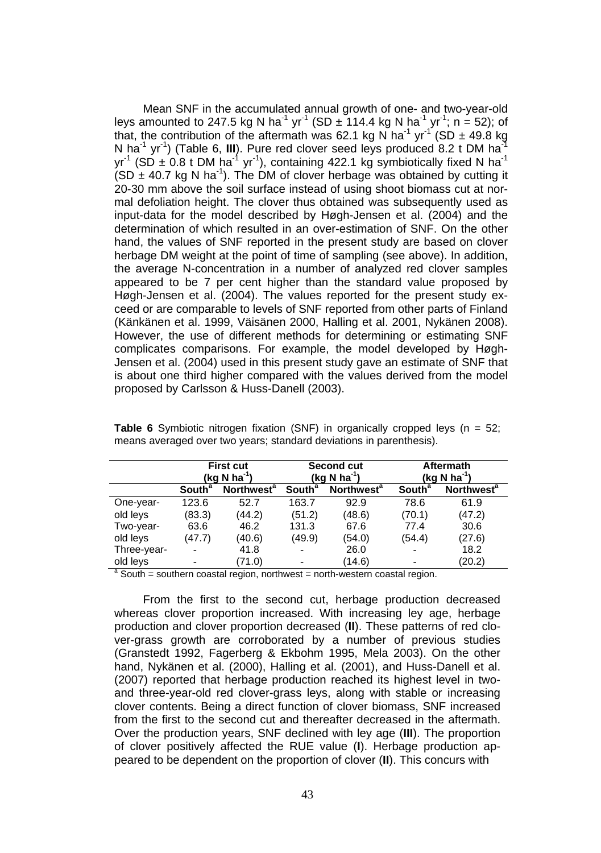Mean SNF in the accumulated annual growth of one- and two-year-old leys amounted to 247.5 kg N ha<sup>-1</sup> yr<sup>-1</sup> (SD  $\pm$  114.4 kg N ha<sup>-1</sup> yr<sup>-1</sup>; n = 52); of that, the contribution of the aftermath was 62.1 kg N ha<sup>-1</sup> yr<sup>-1</sup> (SD  $\pm$  49.8 kg N ha<sup>-1</sup> yr<sup>-1</sup>) (Table 6, III). Pure red clover seed leys produced 8.2 t DM ha<sup>-1</sup>  $yr^{-1}$  (SD  $\pm$  0.8 t DM ha<sup>-1</sup> yr<sup>-1</sup>), containing 422.1 kg symbiotically fixed N ha<sup>-1</sup> (SD  $\pm$  40.7 kg N ha<sup>-1</sup>). The DM of clover herbage was obtained by cutting it 20-30 mm above the soil surface instead of using shoot biomass cut at normal defoliation height. The clover thus obtained was subsequently used as input-data for the model described by Høgh-Jensen et al. (2004) and the determination of which resulted in an over-estimation of SNF. On the other hand, the values of SNF reported in the present study are based on clover herbage DM weight at the point of time of sampling (see above). In addition, the average N-concentration in a number of analyzed red clover samples appeared to be 7 per cent higher than the standard value proposed by Høgh-Jensen et al. (2004). The values reported for the present study exceed or are comparable to levels of SNF reported from other parts of Finland (Känkänen et al. 1999, Väisänen 2000, Halling et al. 2001, Nykänen 2008). However, the use of different methods for determining or estimating SNF complicates comparisons. For example, the model developed by Høgh-Jensen et al. (2004) used in this present study gave an estimate of SNF that is about one third higher compared with the values derived from the model proposed by Carlsson & Huss-Danell (2003).

|             |                          | <b>First cut</b><br>(kg N ha <sup>-1</sup> ) |                          | <b>Second cut</b><br>$(kg N ha-1)$ |                           | <b>Aftermath</b><br>(kg N ha <sup>-1</sup> ) |
|-------------|--------------------------|----------------------------------------------|--------------------------|------------------------------------|---------------------------|----------------------------------------------|
|             | <b>South<sup>a</sup></b> | <b>Northwest<sup>a</sup></b>                 | <b>South<sup>a</sup></b> | Northwest <sup>a</sup>             | <b>South</b> <sup>a</sup> | Northwest <sup>a</sup>                       |
| One-year-   | 123.6                    | 52.7                                         | 163.7                    | 92.9                               | 78.6                      | 61.9                                         |
| old leys    | (83.3)                   | (44.2)                                       | (51.2)                   | (48.6)                             | (70.1)                    | (47.2)                                       |
| Two-year-   | 63.6                     | 46.2                                         | 131.3                    | 67.6                               | 77.4                      | 30.6                                         |
| old leys    | (47.7)                   | (40.6)                                       | (49.9)                   | (54.0)                             | (54.4)                    | (27.6)                                       |
| Three-year- | $\overline{\phantom{0}}$ | 41.8                                         | $\overline{\phantom{0}}$ | 26.0                               | ۰                         | 18.2                                         |
| old leys    | -                        | (71.0)                                       |                          | (14.6)                             |                           | (20.2)                                       |

**Table 6** Symbiotic nitrogen fixation (SNF) in organically cropped leys (n = 52; means averaged over two years; standard deviations in parenthesis).

<sup>a</sup> South = southern coastal region, northwest = north-western coastal region.

From the first to the second cut, herbage production decreased whereas clover proportion increased. With increasing ley age, herbage production and clover proportion decreased (**II**). These patterns of red clover-grass growth are corroborated by a number of previous studies (Granstedt 1992, Fagerberg & Ekbohm 1995, Mela 2003). On the other hand, Nykänen et al. (2000), Halling et al. (2001), and Huss-Danell et al. (2007) reported that herbage production reached its highest level in twoand three-year-old red clover-grass leys, along with stable or increasing clover contents. Being a direct function of clover biomass, SNF increased from the first to the second cut and thereafter decreased in the aftermath. Over the production years, SNF declined with ley age (**III**). The proportion of clover positively affected the RUE value (**I**). Herbage production appeared to be dependent on the proportion of clover (**II**). This concurs with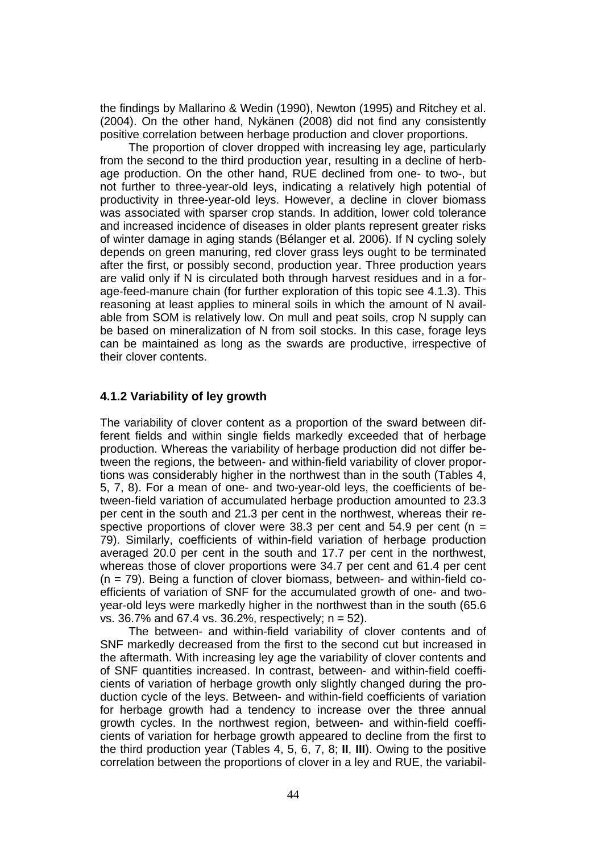the findings by Mallarino & Wedin (1990), Newton (1995) and Ritchey et al. (2004). On the other hand, Nykänen (2008) did not find any consistently positive correlation between herbage production and clover proportions.

The proportion of clover dropped with increasing ley age, particularly from the second to the third production year, resulting in a decline of herbage production. On the other hand, RUE declined from one- to two-, but not further to three-year-old leys, indicating a relatively high potential of productivity in three-year-old leys. However, a decline in clover biomass was associated with sparser crop stands. In addition, lower cold tolerance and increased incidence of diseases in older plants represent greater risks of winter damage in aging stands (Bélanger et al. 2006). If N cycling solely depends on green manuring, red clover grass leys ought to be terminated after the first, or possibly second, production year. Three production years are valid only if N is circulated both through harvest residues and in a forage-feed-manure chain (for further exploration of this topic see 4.1.3). This reasoning at least applies to mineral soils in which the amount of N available from SOM is relatively low. On mull and peat soils, crop N supply can be based on mineralization of N from soil stocks. In this case, forage leys can be maintained as long as the swards are productive, irrespective of their clover contents.

#### **4.1.2 Variability of ley growth**

The variability of clover content as a proportion of the sward between different fields and within single fields markedly exceeded that of herbage production. Whereas the variability of herbage production did not differ between the regions, the between- and within-field variability of clover proportions was considerably higher in the northwest than in the south (Tables 4, 5, 7, 8). For a mean of one- and two-year-old leys, the coefficients of between-field variation of accumulated herbage production amounted to 23.3 per cent in the south and 21.3 per cent in the northwest, whereas their respective proportions of clover were 38.3 per cent and 54.9 per cent ( $n =$ 79). Similarly, coefficients of within-field variation of herbage production averaged 20.0 per cent in the south and 17.7 per cent in the northwest, whereas those of clover proportions were 34.7 per cent and 61.4 per cent  $(n = 79)$ . Being a function of clover biomass, between- and within-field coefficients of variation of SNF for the accumulated growth of one- and twoyear-old leys were markedly higher in the northwest than in the south (65.6 vs. 36.7% and 67.4 vs. 36.2%, respectively; n = 52).

The between- and within-field variability of clover contents and of SNF markedly decreased from the first to the second cut but increased in the aftermath. With increasing ley age the variability of clover contents and of SNF quantities increased. In contrast, between- and within-field coefficients of variation of herbage growth only slightly changed during the production cycle of the leys. Between- and within-field coefficients of variation for herbage growth had a tendency to increase over the three annual growth cycles. In the northwest region, between- and within-field coefficients of variation for herbage growth appeared to decline from the first to the third production year (Tables 4, 5, 6, 7, 8; **II**, **III**). Owing to the positive correlation between the proportions of clover in a ley and RUE, the variabil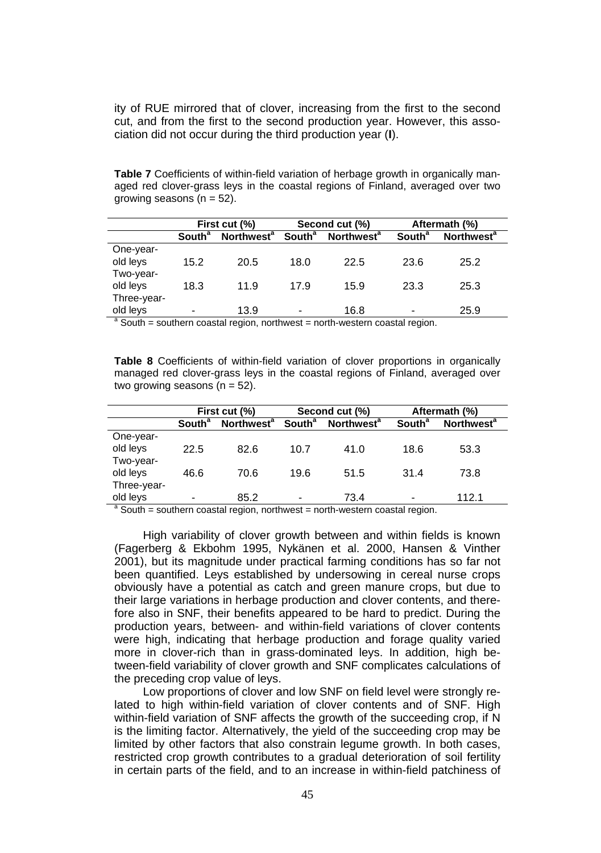ity of RUE mirrored that of clover, increasing from the first to the second cut, and from the first to the second production year. However, this association did not occur during the third production year (**I**).

**Table 7** Coefficients of within-field variation of herbage growth in organically managed red clover-grass leys in the coastal regions of Finland, averaged over two growing seasons  $(n = 52)$ .

|             |                           | First cut (%)          |                          | Second cut (%)                                                                           |                          | Aftermath (%)          |
|-------------|---------------------------|------------------------|--------------------------|------------------------------------------------------------------------------------------|--------------------------|------------------------|
|             | <b>South</b> <sup>a</sup> | Northwest <sup>a</sup> | <b>South<sup>a</sup></b> | <b>Northwest<sup>a</sup></b>                                                             | <b>South<sup>a</sup></b> | Northwest <sup>a</sup> |
| One-year-   |                           |                        |                          |                                                                                          |                          |                        |
| old leys    | 15.2                      | 20.5                   | 18.0                     | 22.5                                                                                     | 23.6                     | 25.2                   |
| Two-year-   |                           |                        |                          |                                                                                          |                          |                        |
| old leys    | 18.3                      | 11.9                   | 17.9                     | 15.9                                                                                     | 23.3                     | 25.3                   |
| Three-year- |                           |                        |                          |                                                                                          |                          |                        |
| old leys    |                           | 13.9                   |                          | 16.8                                                                                     | -                        | 25.9                   |
|             |                           |                        |                          | $\frac{a}{a}$ South = southern coastal region, northwest = north-western coastal region. |                          |                        |

**Table 8** Coefficients of within-field variation of clover proportions in organically managed red clover-grass leys in the coastal regions of Finland, averaged over two growing seasons  $(n = 52)$ .

|             |                           | First cut (%)                |                          | Second cut (%)                                                                 |                          | Aftermath (%)                |
|-------------|---------------------------|------------------------------|--------------------------|--------------------------------------------------------------------------------|--------------------------|------------------------------|
|             | <b>South</b> <sup>a</sup> | <b>Northwest<sup>a</sup></b> | <b>South<sup>a</sup></b> | <b>Northwest</b> <sup>a</sup>                                                  | <b>South<sup>a</sup></b> | <b>Northwest<sup>a</sup></b> |
| One-year-   |                           |                              |                          |                                                                                |                          |                              |
| old leys    | 22.5                      | 82.6                         | 10.7                     | 41.0                                                                           | 18.6                     | 53.3                         |
| Two-year-   |                           |                              |                          |                                                                                |                          |                              |
| old leys    | 46.6                      | 70.6                         | 19.6                     | 51.5                                                                           | 31.4                     | 73.8                         |
| Three-year- |                           |                              |                          |                                                                                |                          |                              |
| old leys    |                           | 85.2                         | ٠                        | 73.4                                                                           | $\overline{\phantom{0}}$ | 112.1                        |
|             |                           |                              |                          | $a$ South = southern coastal region, northwest = north-western coastal region. |                          |                              |

High variability of clover growth between and within fields is known (Fagerberg & Ekbohm 1995, Nykänen et al. 2000, Hansen & Vinther 2001), but its magnitude under practical farming conditions has so far not been quantified. Leys established by undersowing in cereal nurse crops obviously have a potential as catch and green manure crops, but due to their large variations in herbage production and clover contents, and therefore also in SNF, their benefits appeared to be hard to predict. During the production years, between- and within-field variations of clover contents were high, indicating that herbage production and forage quality varied more in clover-rich than in grass-dominated leys. In addition, high between-field variability of clover growth and SNF complicates calculations of the preceding crop value of leys.

Low proportions of clover and low SNF on field level were strongly related to high within-field variation of clover contents and of SNF. High within-field variation of SNF affects the growth of the succeeding crop, if N is the limiting factor. Alternatively, the yield of the succeeding crop may be limited by other factors that also constrain legume growth. In both cases, restricted crop growth contributes to a gradual deterioration of soil fertility in certain parts of the field, and to an increase in within-field patchiness of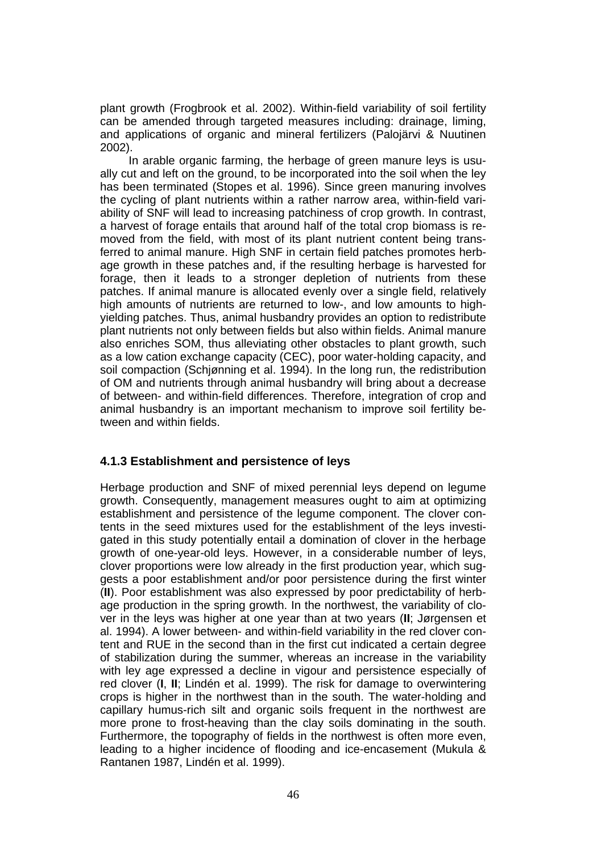plant growth (Frogbrook et al. 2002). Within-field variability of soil fertility can be amended through targeted measures including: drainage, liming, and applications of organic and mineral fertilizers (Palojärvi & Nuutinen 2002).

In arable organic farming, the herbage of green manure leys is usually cut and left on the ground, to be incorporated into the soil when the ley has been terminated (Stopes et al. 1996). Since green manuring involves the cycling of plant nutrients within a rather narrow area, within-field variability of SNF will lead to increasing patchiness of crop growth. In contrast, a harvest of forage entails that around half of the total crop biomass is removed from the field, with most of its plant nutrient content being transferred to animal manure. High SNF in certain field patches promotes herbage growth in these patches and, if the resulting herbage is harvested for forage, then it leads to a stronger depletion of nutrients from these patches. If animal manure is allocated evenly over a single field, relatively high amounts of nutrients are returned to low-, and low amounts to highyielding patches. Thus, animal husbandry provides an option to redistribute plant nutrients not only between fields but also within fields. Animal manure also enriches SOM, thus alleviating other obstacles to plant growth, such as a low cation exchange capacity (CEC), poor water-holding capacity, and soil compaction (Schjønning et al. 1994). In the long run, the redistribution of OM and nutrients through animal husbandry will bring about a decrease of between- and within-field differences. Therefore, integration of crop and animal husbandry is an important mechanism to improve soil fertility between and within fields.

#### **4.1.3 Establishment and persistence of leys**

Herbage production and SNF of mixed perennial leys depend on legume growth. Consequently, management measures ought to aim at optimizing establishment and persistence of the legume component. The clover contents in the seed mixtures used for the establishment of the leys investigated in this study potentially entail a domination of clover in the herbage growth of one-year-old leys. However, in a considerable number of leys, clover proportions were low already in the first production year, which suggests a poor establishment and/or poor persistence during the first winter (**II**). Poor establishment was also expressed by poor predictability of herbage production in the spring growth. In the northwest, the variability of clover in the leys was higher at one year than at two years (**II**; Jørgensen et al. 1994). A lower between- and within-field variability in the red clover content and RUE in the second than in the first cut indicated a certain degree of stabilization during the summer, whereas an increase in the variability with ley age expressed a decline in vigour and persistence especially of red clover (**I**, **II**; Lindén et al. 1999). The risk for damage to overwintering crops is higher in the northwest than in the south. The water-holding and capillary humus-rich silt and organic soils frequent in the northwest are more prone to frost-heaving than the clay soils dominating in the south. Furthermore, the topography of fields in the northwest is often more even, leading to a higher incidence of flooding and ice-encasement (Mukula & Rantanen 1987, Lindén et al. 1999).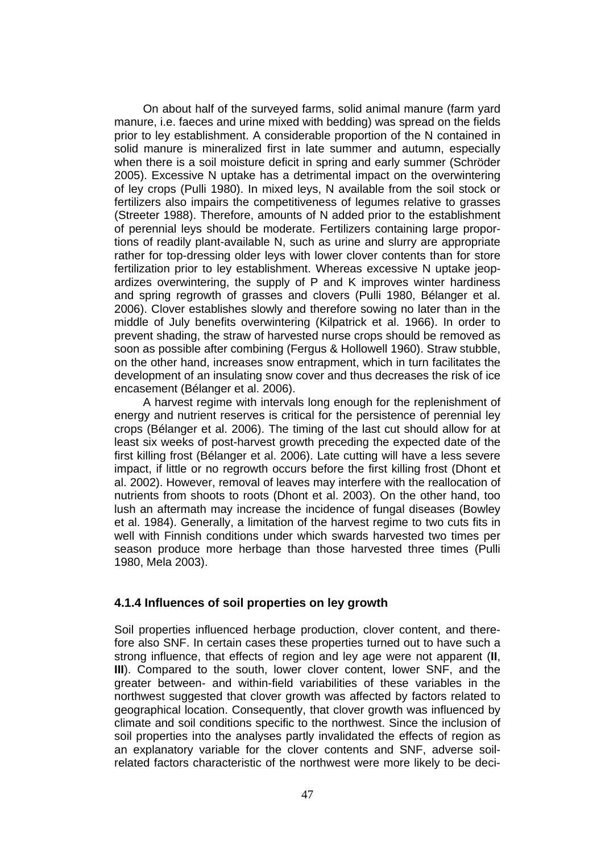On about half of the surveyed farms, solid animal manure (farm yard manure, i.e. faeces and urine mixed with bedding) was spread on the fields prior to ley establishment. A considerable proportion of the N contained in solid manure is mineralized first in late summer and autumn, especially when there is a soil moisture deficit in spring and early summer (Schröder 2005). Excessive N uptake has a detrimental impact on the overwintering of ley crops (Pulli 1980). In mixed leys, N available from the soil stock or fertilizers also impairs the competitiveness of legumes relative to grasses (Streeter 1988). Therefore, amounts of N added prior to the establishment of perennial leys should be moderate. Fertilizers containing large proportions of readily plant-available N, such as urine and slurry are appropriate rather for top-dressing older leys with lower clover contents than for store fertilization prior to ley establishment. Whereas excessive N uptake jeopardizes overwintering, the supply of P and K improves winter hardiness and spring regrowth of grasses and clovers (Pulli 1980, Bélanger et al. 2006). Clover establishes slowly and therefore sowing no later than in the middle of July benefits overwintering (Kilpatrick et al. 1966). In order to prevent shading, the straw of harvested nurse crops should be removed as soon as possible after combining (Fergus & Hollowell 1960). Straw stubble, on the other hand, increases snow entrapment, which in turn facilitates the development of an insulating snow cover and thus decreases the risk of ice encasement (Bélanger et al. 2006).

A harvest regime with intervals long enough for the replenishment of energy and nutrient reserves is critical for the persistence of perennial ley crops (Bélanger et al. 2006). The timing of the last cut should allow for at least six weeks of post-harvest growth preceding the expected date of the first killing frost (Bélanger et al. 2006). Late cutting will have a less severe impact, if little or no regrowth occurs before the first killing frost (Dhont et al. 2002). However, removal of leaves may interfere with the reallocation of nutrients from shoots to roots (Dhont et al. 2003). On the other hand, too lush an aftermath may increase the incidence of fungal diseases (Bowley et al. 1984). Generally, a limitation of the harvest regime to two cuts fits in well with Finnish conditions under which swards harvested two times per season produce more herbage than those harvested three times (Pulli 1980, Mela 2003).

#### **4.1.4 Influences of soil properties on ley growth**

Soil properties influenced herbage production, clover content, and therefore also SNF. In certain cases these properties turned out to have such a strong influence, that effects of region and ley age were not apparent (**II**, **III**). Compared to the south, lower clover content, lower SNF, and the greater between- and within-field variabilities of these variables in the northwest suggested that clover growth was affected by factors related to geographical location. Consequently, that clover growth was influenced by climate and soil conditions specific to the northwest. Since the inclusion of soil properties into the analyses partly invalidated the effects of region as an explanatory variable for the clover contents and SNF, adverse soilrelated factors characteristic of the northwest were more likely to be deci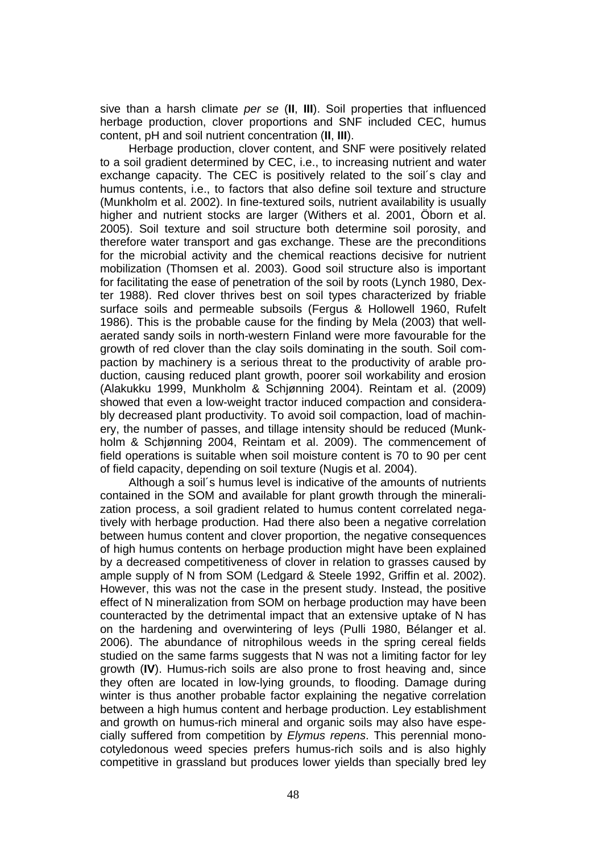sive than a harsh climate *per se* (**II**, **III**). Soil properties that influenced herbage production, clover proportions and SNF included CEC, humus content, pH and soil nutrient concentration (**II**, **III**).

Herbage production, clover content, and SNF were positively related to a soil gradient determined by CEC, i.e., to increasing nutrient and water exchange capacity. The CEC is positively related to the soil´s clay and humus contents, i.e., to factors that also define soil texture and structure (Munkholm et al. 2002). In fine-textured soils, nutrient availability is usually higher and nutrient stocks are larger (Withers et al. 2001, Öborn et al. 2005). Soil texture and soil structure both determine soil porosity, and therefore water transport and gas exchange. These are the preconditions for the microbial activity and the chemical reactions decisive for nutrient mobilization (Thomsen et al. 2003). Good soil structure also is important for facilitating the ease of penetration of the soil by roots (Lynch 1980, Dexter 1988). Red clover thrives best on soil types characterized by friable surface soils and permeable subsoils (Fergus & Hollowell 1960, Rufelt 1986). This is the probable cause for the finding by Mela (2003) that wellaerated sandy soils in north-western Finland were more favourable for the growth of red clover than the clay soils dominating in the south. Soil compaction by machinery is a serious threat to the productivity of arable production, causing reduced plant growth, poorer soil workability and erosion (Alakukku 1999, Munkholm & Schjønning 2004). Reintam et al. (2009) showed that even a low-weight tractor induced compaction and considerably decreased plant productivity. To avoid soil compaction, load of machinery, the number of passes, and tillage intensity should be reduced (Munkholm & Schjønning 2004, Reintam et al. 2009). The commencement of field operations is suitable when soil moisture content is 70 to 90 per cent of field capacity, depending on soil texture (Nugis et al. 2004).

Although a soil´s humus level is indicative of the amounts of nutrients contained in the SOM and available for plant growth through the mineralization process, a soil gradient related to humus content correlated negatively with herbage production. Had there also been a negative correlation between humus content and clover proportion, the negative consequences of high humus contents on herbage production might have been explained by a decreased competitiveness of clover in relation to grasses caused by ample supply of N from SOM (Ledgard & Steele 1992, Griffin et al. 2002). However, this was not the case in the present study. Instead, the positive effect of N mineralization from SOM on herbage production may have been counteracted by the detrimental impact that an extensive uptake of N has on the hardening and overwintering of leys (Pulli 1980, Bélanger et al. 2006). The abundance of nitrophilous weeds in the spring cereal fields studied on the same farms suggests that N was not a limiting factor for ley growth (**IV**). Humus-rich soils are also prone to frost heaving and, since they often are located in low-lying grounds, to flooding. Damage during winter is thus another probable factor explaining the negative correlation between a high humus content and herbage production. Ley establishment and growth on humus-rich mineral and organic soils may also have especially suffered from competition by *Elymus repens*. This perennial monocotyledonous weed species prefers humus-rich soils and is also highly competitive in grassland but produces lower yields than specially bred ley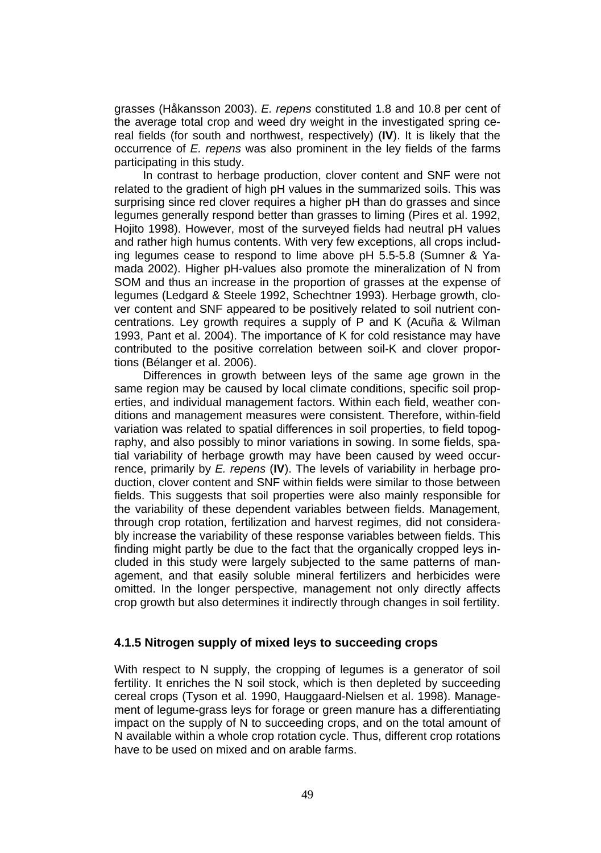grasses (Håkansson 2003). *E. repens* constituted 1.8 and 10.8 per cent of the average total crop and weed dry weight in the investigated spring cereal fields (for south and northwest, respectively) (**IV**). It is likely that the occurrence of *E. repens* was also prominent in the ley fields of the farms participating in this study.

In contrast to herbage production, clover content and SNF were not related to the gradient of high pH values in the summarized soils. This was surprising since red clover requires a higher pH than do grasses and since legumes generally respond better than grasses to liming (Pires et al. 1992, Hojito 1998). However, most of the surveyed fields had neutral pH values and rather high humus contents. With very few exceptions, all crops including legumes cease to respond to lime above pH 5.5-5.8 (Sumner & Yamada 2002). Higher pH-values also promote the mineralization of N from SOM and thus an increase in the proportion of grasses at the expense of legumes (Ledgard & Steele 1992, Schechtner 1993). Herbage growth, clover content and SNF appeared to be positively related to soil nutrient concentrations. Ley growth requires a supply of P and K (Acuña & Wilman 1993, Pant et al. 2004). The importance of K for cold resistance may have contributed to the positive correlation between soil-K and clover proportions (Bélanger et al. 2006).

Differences in growth between leys of the same age grown in the same region may be caused by local climate conditions, specific soil properties, and individual management factors. Within each field, weather conditions and management measures were consistent. Therefore, within-field variation was related to spatial differences in soil properties, to field topography, and also possibly to minor variations in sowing. In some fields, spatial variability of herbage growth may have been caused by weed occurrence, primarily by *E. repens* (**IV**). The levels of variability in herbage production, clover content and SNF within fields were similar to those between fields. This suggests that soil properties were also mainly responsible for the variability of these dependent variables between fields. Management, through crop rotation, fertilization and harvest regimes, did not considerably increase the variability of these response variables between fields. This finding might partly be due to the fact that the organically cropped leys included in this study were largely subjected to the same patterns of management, and that easily soluble mineral fertilizers and herbicides were omitted. In the longer perspective, management not only directly affects crop growth but also determines it indirectly through changes in soil fertility.

#### **4.1.5 Nitrogen supply of mixed leys to succeeding crops**

With respect to N supply, the cropping of legumes is a generator of soil fertility. It enriches the N soil stock, which is then depleted by succeeding cereal crops (Tyson et al. 1990, Hauggaard-Nielsen et al. 1998). Management of legume-grass leys for forage or green manure has a differentiating impact on the supply of N to succeeding crops, and on the total amount of N available within a whole crop rotation cycle. Thus, different crop rotations have to be used on mixed and on arable farms.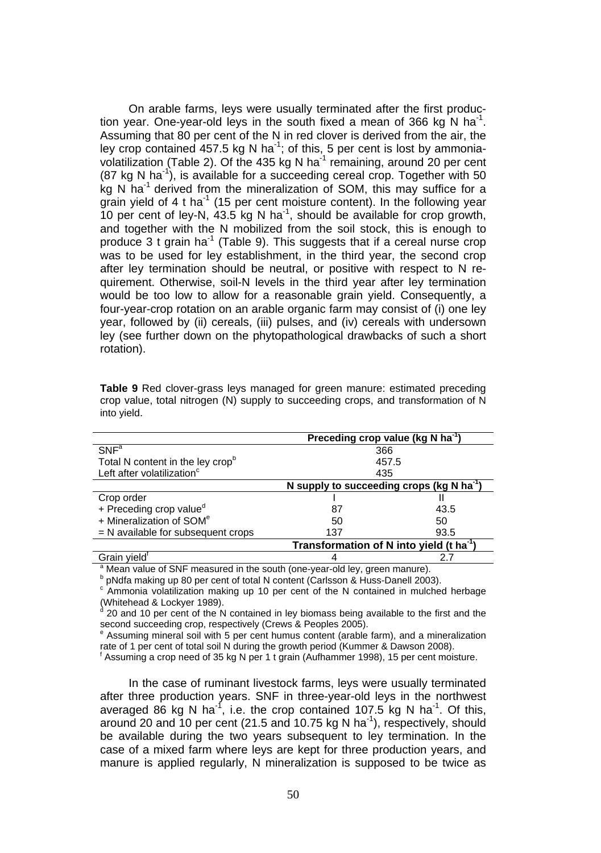On arable farms, leys were usually terminated after the first production year. One-year-old leys in the south fixed a mean of 366 kg N ha<sup>-1</sup>. Assuming that 80 per cent of the N in red clover is derived from the air, the ley crop contained 457.5 kg N ha<sup>-1</sup>; of this, 5 per cent is lost by ammoniavolatilization (Table 2). Of the 435 kg N ha $^{-1}$  remaining, around 20 per cent  $(87 \text{ kg N} \text{ ha}^{-1})$ , is available for a succeeding cereal crop. Together with 50  $kg$  N ha<sup>-1</sup> derived from the mineralization of SOM, this may suffice for a grain yield of 4 t ha<sup>-1</sup> (15 per cent moisture content). In the following year 10 per cent of ley-N, 43.5 kg N ha-1, should be available for crop growth, and together with the N mobilized from the soil stock, this is enough to produce 3 t grain ha<sup>-1</sup> (Table 9). This suggests that if a cereal nurse crop was to be used for ley establishment, in the third year, the second crop after ley termination should be neutral, or positive with respect to N requirement. Otherwise, soil-N levels in the third year after ley termination would be too low to allow for a reasonable grain yield. Consequently, a four-year-crop rotation on an arable organic farm may consist of (i) one ley year, followed by (ii) cereals, (iii) pulses, and (iv) cereals with undersown ley (see further down on the phytopathological drawbacks of such a short rotation).

|                                                                                        | Preceding crop value (kg N ha <sup>-1</sup> )         |      |
|----------------------------------------------------------------------------------------|-------------------------------------------------------|------|
| $SNF^a$                                                                                | 366                                                   |      |
| Total N content in the ley cropb                                                       | 457.5                                                 |      |
| Left after volatilization <sup>c</sup>                                                 | 435                                                   |      |
|                                                                                        | N supply to succeeding crops (kg N ha <sup>-1</sup> ) |      |
| Crop order                                                                             |                                                       |      |
| + Preceding crop value <sup>d</sup>                                                    | 87                                                    | 43.5 |
| + Mineralization of SOM <sup>e</sup>                                                   | 50                                                    | 50   |
| $=$ N available for subsequent crops                                                   | 137                                                   | 93.5 |
|                                                                                        | Transformation of N into yield (t ha <sup>-1</sup>    |      |
| Grain yield <sup>"</sup>                                                               |                                                       | 2.7  |
| <sup>a</sup> Mean value of SNF measured in the south (one-year-old ley, green manure). |                                                       |      |

**Table 9** Red clover-grass leys managed for green manure: estimated preceding crop value, total nitrogen (N) supply to succeeding crops, and transformation of N into yield.

<sup>b</sup> pNdfa making up 80 per cent of total N content (Carlsson & Huss-Danell 2003).

c Ammonia volatilization making up 10 per cent of the N contained in mulched herbage (Whitehead & Lockyer 1989).<br>(20 and 10 per cent of the N

 20 and 10 per cent of the N contained in ley biomass being available to the first and the second succeeding crop, respectively (Crews & Peoples 2005).

e Assuming mineral soil with 5 per cent humus content (arable farm), and a mineralization rate of 1 per cent of total soil N during the growth period (Kummer & Dawson 2008).

<sup>f</sup> Assuming a crop need of 35 kg N per 1 t grain (Aufhammer 1998), 15 per cent moisture.

In the case of ruminant livestock farms, leys were usually terminated after three production years. SNF in three-year-old leys in the northwest averaged 86 kg N ha<sup>-1</sup>, i.e. the crop contained 107.5 kg N ha<sup>-1</sup>. Of this, around 20 and 10 per cent (21.5 and 10.75 kg N ha<sup>-1</sup>), respectively, should be available during the two years subsequent to ley termination. In the case of a mixed farm where leys are kept for three production years, and manure is applied regularly, N mineralization is supposed to be twice as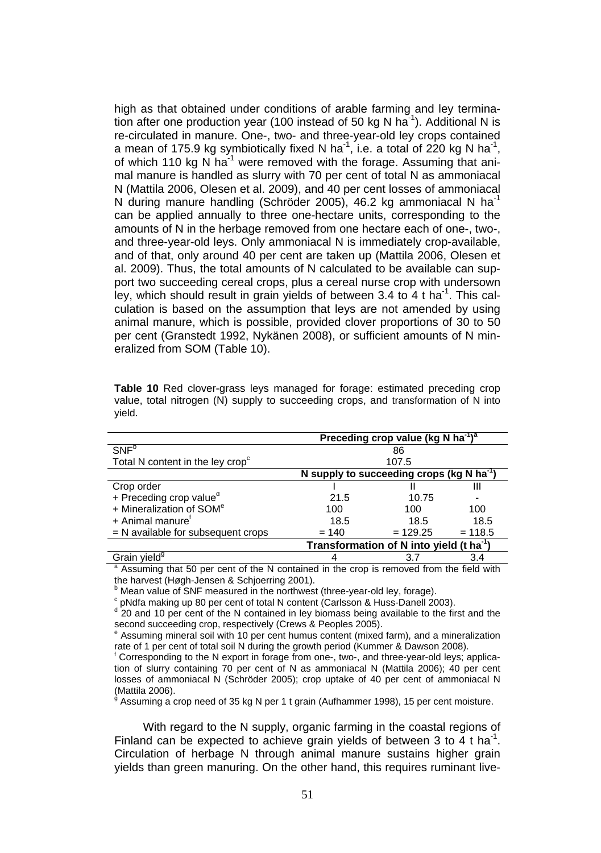high as that obtained under conditions of arable farming and ley termination after one production year (100 instead of 50 kg N ha<sup>-1</sup>). Additional N is re-circulated in manure. One-, two- and three-year-old ley crops contained a mean of 175.9 kg symbiotically fixed N ha<sup>-1</sup>, i.e. a total of 220 kg N ha<sup>-1</sup>, of which 110 kg N ha<sup>-1</sup> were removed with the forage. Assuming that animal manure is handled as slurry with 70 per cent of total N as ammoniacal N (Mattila 2006, Olesen et al. 2009), and 40 per cent losses of ammoniacal N during manure handling (Schröder 2005), 46.2 kg ammoniacal N ha<sup>-1</sup> can be applied annually to three one-hectare units, corresponding to the amounts of N in the herbage removed from one hectare each of one-, two-, and three-year-old leys. Only ammoniacal N is immediately crop-available, and of that, only around 40 per cent are taken up (Mattila 2006, Olesen et al. 2009). Thus, the total amounts of N calculated to be available can support two succeeding cereal crops, plus a cereal nurse crop with undersown ley, which should result in grain yields of between 3.4 to 4 t ha<sup>-1</sup>. This calculation is based on the assumption that leys are not amended by using animal manure, which is possible, provided clover proportions of 30 to 50 per cent (Granstedt 1992, Nykänen 2008), or sufficient amounts of N mineralized from SOM (Table 10).

|                                              |         | Preceding crop value (kg N ha <sup>-1)a</sup>         |           |
|----------------------------------------------|---------|-------------------------------------------------------|-----------|
| SNF <sup>b</sup>                             |         | 86                                                    |           |
| Total N content in the ley crop <sup>c</sup> |         | 107.5                                                 |           |
|                                              |         | N supply to succeeding crops (kg N ha <sup>-1</sup> ) |           |
| Crop order                                   |         |                                                       | Ш         |
| + Preceding crop value <sup>d</sup>          | 21.5    | 10.75                                                 |           |
| + Mineralization of SOM <sup>e</sup>         | 100     | 100                                                   | 100       |
| + Animal manure <sup>t</sup>                 | 18.5    | 18.5                                                  | 18.5      |
| $=$ N available for subsequent crops         | $= 140$ | $= 129.25$                                            | $= 118.5$ |
|                                              |         | Transformation of N into yield (t ha <sup>-1</sup> )  |           |
| Grain yield <sup>9</sup>                     |         |                                                       |           |

**Table 10** Red clover-grass leys managed for forage: estimated preceding crop value, total nitrogen (N) supply to succeeding crops, and transformation of N into yield.

Grain yield<sup>9</sup> 3.4 3.4 3.4 assuming that 50 per cent of the N contained in the crop is removed from the field with the harvest (Høgh-Jensen & Schjoerring 2001).

<sup>b</sup> Mean value of SNF measured in the northwest (three-year-old ley, forage).

c pNdfa making up 80 per cent of total N content (Carlsson & Huss-Danell 2003).

<sup>d</sup> 20 and 10 per cent of the N contained in ley biomass being available to the first and the second succeeding crop, respectively (Crews & Peoples 2005).

e Assuming mineral soil with 10 per cent humus content (mixed farm), and a mineralization rate of 1 per cent of total soil N during the growth period (Kummer & Dawson 2008).

<sup>g</sup> Assuming a crop need of 35 kg N per 1 t grain (Aufhammer 1998), 15 per cent moisture.

With regard to the N supply, organic farming in the coastal regions of Finland can be expected to achieve grain yields of between 3 to 4 t ha<sup>-1</sup>. Circulation of herbage N through animal manure sustains higher grain yields than green manuring. On the other hand, this requires ruminant live-

f Corresponding to the N export in forage from one-, two-, and three-year-old leys; application of slurry containing 70 per cent of N as ammoniacal N (Mattila 2006); 40 per cent losses of ammoniacal N (Schröder 2005); crop uptake of 40 per cent of ammoniacal N (Mattila 2006).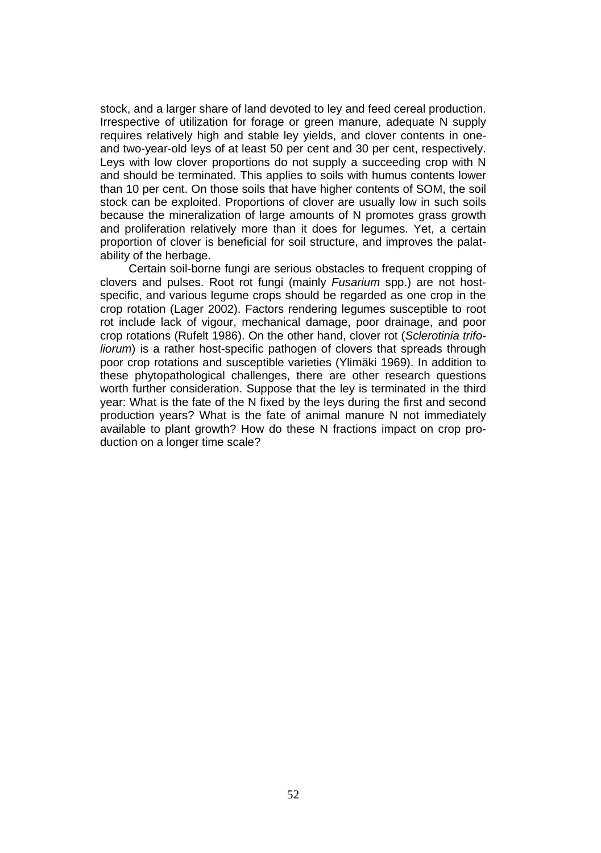stock, and a larger share of land devoted to ley and feed cereal production. Irrespective of utilization for forage or green manure, adequate N supply requires relatively high and stable ley yields, and clover contents in oneand two-year-old leys of at least 50 per cent and 30 per cent, respectively. Leys with low clover proportions do not supply a succeeding crop with N and should be terminated. This applies to soils with humus contents lower than 10 per cent. On those soils that have higher contents of SOM, the soil stock can be exploited. Proportions of clover are usually low in such soils because the mineralization of large amounts of N promotes grass growth and proliferation relatively more than it does for legumes. Yet, a certain proportion of clover is beneficial for soil structure, and improves the palatability of the herbage.

Certain soil-borne fungi are serious obstacles to frequent cropping of clovers and pulses. Root rot fungi (mainly *Fusarium* spp.) are not hostspecific, and various legume crops should be regarded as one crop in the crop rotation (Lager 2002). Factors rendering legumes susceptible to root rot include lack of vigour, mechanical damage, poor drainage, and poor crop rotations (Rufelt 1986). On the other hand, clover rot (*Sclerotinia trifoliorum*) is a rather host-specific pathogen of clovers that spreads through poor crop rotations and susceptible varieties (Ylimäki 1969). In addition to these phytopathological challenges, there are other research questions worth further consideration. Suppose that the ley is terminated in the third year: What is the fate of the N fixed by the leys during the first and second production years? What is the fate of animal manure N not immediately available to plant growth? How do these N fractions impact on crop production on a longer time scale?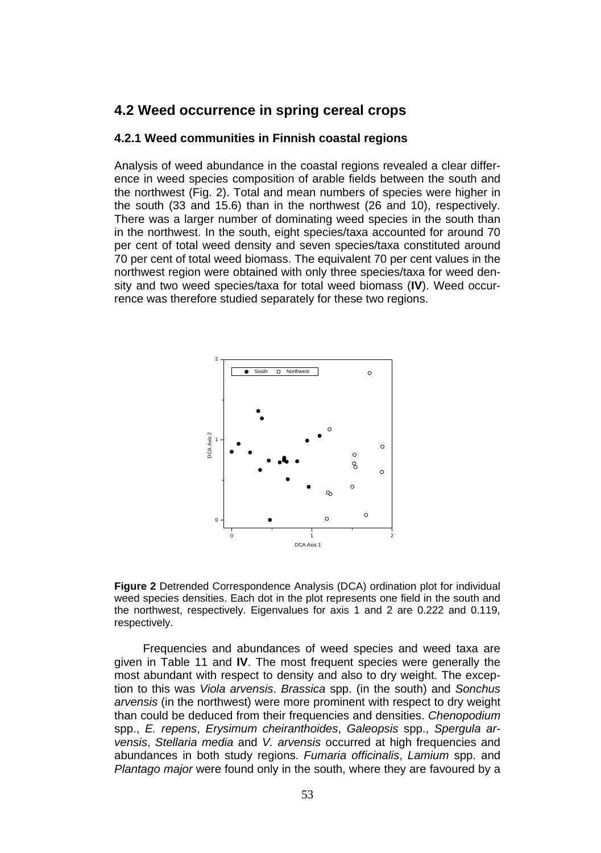### **4.2 Weed occurrence in spring cereal crops**

#### **4.2.1 Weed communities in Finnish coastal regions**

Analysis of weed abundance in the coastal regions revealed a clear difference in weed species composition of arable fields between the south and the northwest (Fig. 2). Total and mean numbers of species were higher in the south (33 and 15.6) than in the northwest (26 and 10), respectively. There was a larger number of dominating weed species in the south than in the northwest. In the south, eight species/taxa accounted for around 70 per cent of total weed density and seven species/taxa constituted around 70 per cent of total weed biomass. The equivalent 70 per cent values in the northwest region were obtained with only three species/taxa for weed density and two weed species/taxa for total weed biomass (**IV**). Weed occurrence was therefore studied separately for these two regions.





Frequencies and abundances of weed species and weed taxa are given in Table 11 and **IV**. The most frequent species were generally the most abundant with respect to density and also to dry weight. The exception to this was *Viola arvensis*. *Brassica* spp. (in the south) and *Sonchus arvensis* (in the northwest) were more prominent with respect to dry weight than could be deduced from their frequencies and densities. *Chenopodium*  spp., *E. repens*, *Erysimum cheiranthoides*, *Galeopsis* spp., *Spergula arvensis*, *Stellaria media* and *V. arvensis* occurred at high frequencies and abundances in both study regions. *Fumaria officinalis*, *Lamium* spp. and *Plantago major* were found only in the south, where they are favoured by a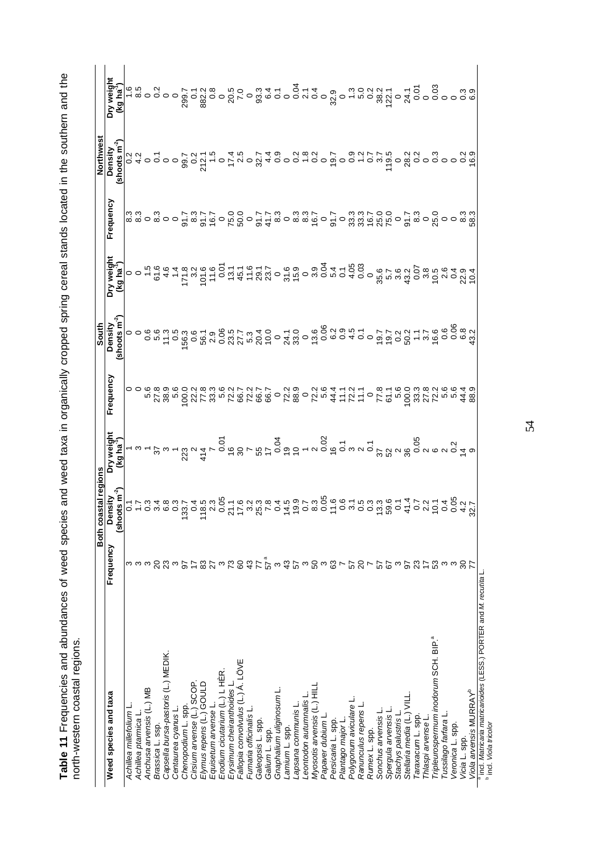Table 11 Frequencies and abundances of weed species and weed taxa in organically cropped spring cereal stands located in the southern and the<br>north-western coastal regions. **Table 11** Frequencies and abundances of weed species and weed taxa in organically cropped spring cereal stands located in the southern and the north-western coastal regions.

|                                                                                            |                                         | Both coastal regions                                                                                                                                       |           | South                                |                                                                                                                                                                                                                                                                                                                                                                  |           | Northwest             |            |
|--------------------------------------------------------------------------------------------|-----------------------------------------|------------------------------------------------------------------------------------------------------------------------------------------------------------|-----------|--------------------------------------|------------------------------------------------------------------------------------------------------------------------------------------------------------------------------------------------------------------------------------------------------------------------------------------------------------------------------------------------------------------|-----------|-----------------------|------------|
| Weed species and taxa                                                                      | Frequency                               | Density                                                                                                                                                    | Frequency |                                      |                                                                                                                                                                                                                                                                                                                                                                  | Frequency | Density               | higiəw Yıd |
|                                                                                            |                                         | shoots m                                                                                                                                                   |           | Density<br>(shoots m <sup>-2</sup> ) | $\texttt{S}$<br>$\texttt{S}$<br>$\texttt{S}$<br>$\texttt{S}$<br>$\texttt{S}$<br>$\texttt{S}$<br>$\texttt{S}$<br>$\texttt{S}$<br>$\texttt{S}$<br>$\texttt{S}$<br>$\texttt{S}$<br>$\texttt{S}$<br>$\texttt{S}$<br>$\texttt{S}$<br>$\texttt{S}$<br>$\texttt{S}$<br>$\texttt{S}$<br>$\texttt{S}$<br>$\texttt{S}$<br>$\texttt{S}$<br>$\texttt{S}$<br>$\texttt{S}$<br> |           | shoots $\mathsf{m}^2$ |            |
| Achillea millefolium L                                                                     |                                         |                                                                                                                                                            |           |                                      |                                                                                                                                                                                                                                                                                                                                                                  |           |                       |            |
| Achillea ptarmica                                                                          |                                         |                                                                                                                                                            |           |                                      |                                                                                                                                                                                                                                                                                                                                                                  |           |                       |            |
| Anchusa arvensis (L.) MB                                                                   |                                         |                                                                                                                                                            |           |                                      |                                                                                                                                                                                                                                                                                                                                                                  |           |                       |            |
| Brassica L. ssp.                                                                           |                                         |                                                                                                                                                            |           |                                      |                                                                                                                                                                                                                                                                                                                                                                  |           |                       |            |
| Capsella bursa-pastoris (L.) MEDIK.                                                        |                                         |                                                                                                                                                            |           |                                      |                                                                                                                                                                                                                                                                                                                                                                  |           |                       |            |
| Centaurea cyanus L.                                                                        |                                         |                                                                                                                                                            |           |                                      |                                                                                                                                                                                                                                                                                                                                                                  |           |                       |            |
| Chenopodium L. spp.                                                                        |                                         |                                                                                                                                                            |           |                                      |                                                                                                                                                                                                                                                                                                                                                                  |           |                       |            |
| Cirsium arvense (L.) SCOP.                                                                 |                                         |                                                                                                                                                            |           |                                      |                                                                                                                                                                                                                                                                                                                                                                  |           |                       |            |
| Elymus repens (L.) GOULD                                                                   |                                         |                                                                                                                                                            |           |                                      |                                                                                                                                                                                                                                                                                                                                                                  |           |                       |            |
| Equisetum arvense L.                                                                       |                                         |                                                                                                                                                            |           |                                      |                                                                                                                                                                                                                                                                                                                                                                  |           |                       |            |
| Erodium cicutarium (L.) L HÈR                                                              |                                         |                                                                                                                                                            |           |                                      |                                                                                                                                                                                                                                                                                                                                                                  |           |                       |            |
| Erysimum cheiranthoides L                                                                  |                                         |                                                                                                                                                            |           |                                      |                                                                                                                                                                                                                                                                                                                                                                  |           |                       |            |
| Fallopia convolvulus (L.) Á. LÖVE                                                          |                                         |                                                                                                                                                            |           |                                      |                                                                                                                                                                                                                                                                                                                                                                  |           |                       |            |
| Fumaria officinalis L                                                                      |                                         |                                                                                                                                                            |           |                                      |                                                                                                                                                                                                                                                                                                                                                                  |           |                       |            |
| Galeopsis L. spp.                                                                          |                                         |                                                                                                                                                            |           |                                      |                                                                                                                                                                                                                                                                                                                                                                  |           |                       |            |
| Galium L. spp.                                                                             |                                         |                                                                                                                                                            |           |                                      |                                                                                                                                                                                                                                                                                                                                                                  |           |                       |            |
| Gnaphalium uliginosum L                                                                    |                                         |                                                                                                                                                            |           |                                      |                                                                                                                                                                                                                                                                                                                                                                  |           |                       |            |
| Lamium L. spp.                                                                             |                                         |                                                                                                                                                            |           |                                      |                                                                                                                                                                                                                                                                                                                                                                  |           |                       |            |
| Lapsana communis L.                                                                        |                                         |                                                                                                                                                            |           |                                      |                                                                                                                                                                                                                                                                                                                                                                  |           |                       |            |
| eontodon autumnalis l                                                                      |                                         |                                                                                                                                                            |           |                                      |                                                                                                                                                                                                                                                                                                                                                                  |           |                       |            |
| Myosotis arvensis (L.) HILL                                                                |                                         |                                                                                                                                                            |           |                                      |                                                                                                                                                                                                                                                                                                                                                                  |           |                       |            |
| Papaver dubium L                                                                           |                                         |                                                                                                                                                            |           |                                      |                                                                                                                                                                                                                                                                                                                                                                  |           |                       |            |
| Persicaria L. spp.                                                                         |                                         |                                                                                                                                                            |           |                                      |                                                                                                                                                                                                                                                                                                                                                                  |           |                       |            |
| Plantago major L                                                                           |                                         |                                                                                                                                                            |           |                                      |                                                                                                                                                                                                                                                                                                                                                                  |           |                       |            |
| Polygonum aviculare                                                                        |                                         |                                                                                                                                                            |           |                                      |                                                                                                                                                                                                                                                                                                                                                                  |           |                       |            |
| Ranunculus repens L                                                                        |                                         |                                                                                                                                                            |           |                                      |                                                                                                                                                                                                                                                                                                                                                                  |           |                       |            |
| Rumex L. spp.                                                                              |                                         |                                                                                                                                                            |           |                                      |                                                                                                                                                                                                                                                                                                                                                                  |           |                       |            |
| Sonchus arvensis L                                                                         |                                         |                                                                                                                                                            |           |                                      |                                                                                                                                                                                                                                                                                                                                                                  |           |                       |            |
| Spergula arvensis L                                                                        |                                         |                                                                                                                                                            |           |                                      |                                                                                                                                                                                                                                                                                                                                                                  |           |                       |            |
| Stachys palustris                                                                          |                                         |                                                                                                                                                            |           |                                      |                                                                                                                                                                                                                                                                                                                                                                  |           |                       |            |
| Stellaria media (L.) VIL                                                                   |                                         |                                                                                                                                                            |           |                                      |                                                                                                                                                                                                                                                                                                                                                                  |           |                       |            |
| araxacum L. spp.                                                                           |                                         |                                                                                                                                                            |           |                                      |                                                                                                                                                                                                                                                                                                                                                                  |           |                       |            |
| Thlaspi arvense L                                                                          |                                         |                                                                                                                                                            |           |                                      |                                                                                                                                                                                                                                                                                                                                                                  |           |                       |            |
| "ripleurospermum inodorum SCH. BIP.                                                        |                                         |                                                                                                                                                            |           |                                      |                                                                                                                                                                                                                                                                                                                                                                  |           |                       |            |
| Tussilago farfara                                                                          |                                         |                                                                                                                                                            |           |                                      |                                                                                                                                                                                                                                                                                                                                                                  |           |                       |            |
| Veronica L. spp.                                                                           |                                         |                                                                                                                                                            |           |                                      |                                                                                                                                                                                                                                                                                                                                                                  |           |                       |            |
| Vicia L. spp.                                                                              | はゐ55站は段も6倍にしてたしい5%5倍5倍ははかのひ5万的けあ6%で5500 | פרס מפס מס ב מס צרכ מ אירס ב קסס מס ב ס מס מ ה ש ס ב ס מ ס פ ס מ ה פ ס מ ל<br>בר מ 4 מ מ ה 4 מ מ ק 5 ב מ מ מ מ 4 מ ס ר מ 6 מ פ ב מ מ מ מ ב 4 ר מ ב 4 ק מ ר |           |                                      |                                                                                                                                                                                                                                                                                                                                                                  |           |                       |            |
| Viola arvensis MURRAY <sup>b</sup>                                                         |                                         |                                                                                                                                                            |           |                                      |                                                                                                                                                                                                                                                                                                                                                                  |           |                       |            |
| a ind. Matricaria matricarioides (LESS.) PORTER and M.<br><sup>b</sup> ind. Viola tricolor |                                         |                                                                                                                                                            |           |                                      |                                                                                                                                                                                                                                                                                                                                                                  |           |                       |            |

54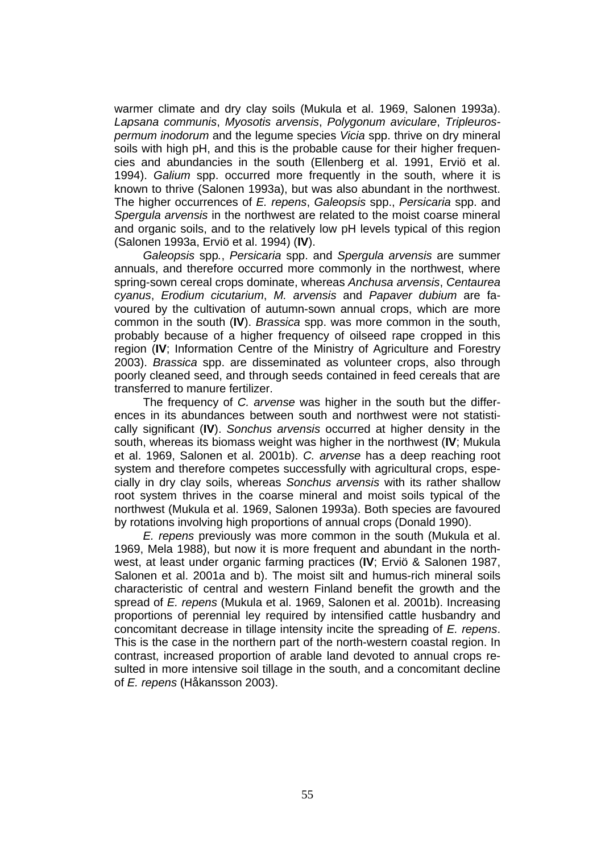warmer climate and dry clay soils (Mukula et al. 1969, Salonen 1993a). *Lapsana communis*, *Myosotis arvensis*, *Polygonum aviculare*, *Tripleurospermum inodorum* and the legume species *Vicia* spp. thrive on dry mineral soils with high pH, and this is the probable cause for their higher frequencies and abundancies in the south (Ellenberg et al. 1991, Erviö et al. 1994). *Galium* spp. occurred more frequently in the south, where it is known to thrive (Salonen 1993a), but was also abundant in the northwest. The higher occurrences of *E. repens*, *Galeopsis* spp., *Persicaria* spp. and *Spergula arvensis* in the northwest are related to the moist coarse mineral and organic soils, and to the relatively low pH levels typical of this region (Salonen 1993a, Erviö et al. 1994) (**IV**).

*Galeopsis* spp*.*, *Persicaria* spp. and *Spergula arvensis* are summer annuals, and therefore occurred more commonly in the northwest, where spring-sown cereal crops dominate, whereas *Anchusa arvensis*, *Centaurea cyanus*, *Erodium cicutarium*, *M. arvensis* and *Papaver dubium* are favoured by the cultivation of autumn-sown annual crops, which are more common in the south (**IV**). *Brassica* spp. was more common in the south, probably because of a higher frequency of oilseed rape cropped in this region (**IV**; Information Centre of the Ministry of Agriculture and Forestry 2003). *Brassica* spp. are disseminated as volunteer crops, also through poorly cleaned seed, and through seeds contained in feed cereals that are transferred to manure fertilizer.

The frequency of *C. arvense* was higher in the south but the differences in its abundances between south and northwest were not statistically significant (**IV**). *Sonchus arvensis* occurred at higher density in the south, whereas its biomass weight was higher in the northwest (**IV**; Mukula et al. 1969, Salonen et al. 2001b). *C. arvense* has a deep reaching root system and therefore competes successfully with agricultural crops, especially in dry clay soils, whereas *Sonchus arvensis* with its rather shallow root system thrives in the coarse mineral and moist soils typical of the northwest (Mukula et al. 1969, Salonen 1993a). Both species are favoured by rotations involving high proportions of annual crops (Donald 1990).

*E. repens* previously was more common in the south (Mukula et al. 1969, Mela 1988), but now it is more frequent and abundant in the northwest, at least under organic farming practices (**IV**; Erviö & Salonen 1987, Salonen et al. 2001a and b). The moist silt and humus-rich mineral soils characteristic of central and western Finland benefit the growth and the spread of *E. repens* (Mukula et al. 1969, Salonen et al. 2001b). Increasing proportions of perennial ley required by intensified cattle husbandry and concomitant decrease in tillage intensity incite the spreading of *E. repens*. This is the case in the northern part of the north-western coastal region. In contrast, increased proportion of arable land devoted to annual crops resulted in more intensive soil tillage in the south, and a concomitant decline of *E. repens* (Håkansson 2003).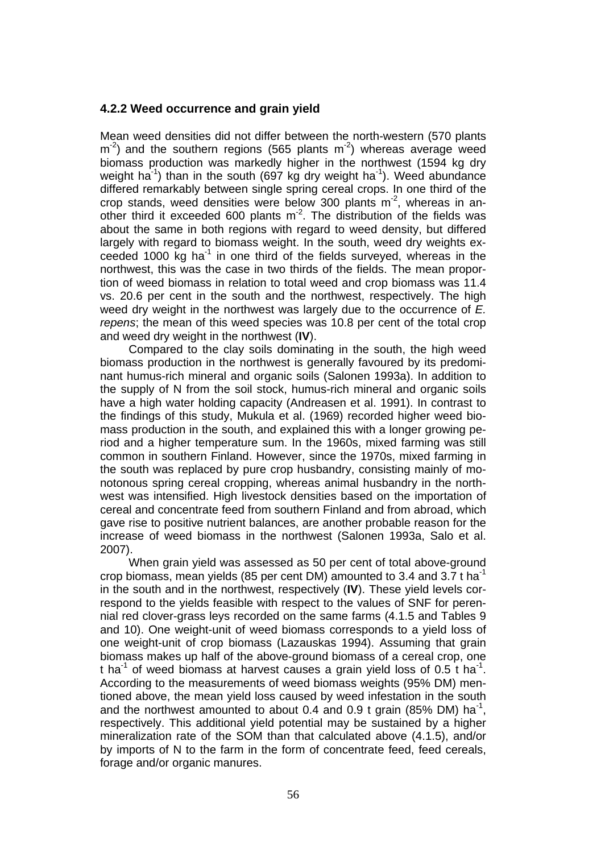#### **4.2.2 Weed occurrence and grain yield**

Mean weed densities did not differ between the north-western (570 plants  $\rm m^{2}$ ) and the southern regions (565 plants  $\rm m^{2}$ ) whereas average weed biomass production was markedly higher in the northwest (1594 kg dry weight ha<sup>-1</sup>) than in the south (697 kg dry weight ha<sup>-1</sup>). Weed abundance differed remarkably between single spring cereal crops. In one third of the crop stands, weed densities were below 300 plants  $m<sup>2</sup>$ , whereas in another third it exceeded 600 plants  $m<sup>2</sup>$ . The distribution of the fields was about the same in both regions with regard to weed density, but differed largely with regard to biomass weight. In the south, weed dry weights exceeded 1000 kg ha $^{-1}$  in one third of the fields surveyed, whereas in the northwest, this was the case in two thirds of the fields. The mean proportion of weed biomass in relation to total weed and crop biomass was 11.4 vs. 20.6 per cent in the south and the northwest, respectively. The high weed dry weight in the northwest was largely due to the occurrence of *E. repens*; the mean of this weed species was 10.8 per cent of the total crop and weed dry weight in the northwest (**IV**).

Compared to the clay soils dominating in the south, the high weed biomass production in the northwest is generally favoured by its predominant humus-rich mineral and organic soils (Salonen 1993a). In addition to the supply of N from the soil stock, humus-rich mineral and organic soils have a high water holding capacity (Andreasen et al. 1991). In contrast to the findings of this study, Mukula et al. (1969) recorded higher weed biomass production in the south, and explained this with a longer growing period and a higher temperature sum. In the 1960s, mixed farming was still common in southern Finland. However, since the 1970s, mixed farming in the south was replaced by pure crop husbandry, consisting mainly of monotonous spring cereal cropping, whereas animal husbandry in the northwest was intensified. High livestock densities based on the importation of cereal and concentrate feed from southern Finland and from abroad, which gave rise to positive nutrient balances, are another probable reason for the increase of weed biomass in the northwest (Salonen 1993a, Salo et al. 2007).

When grain yield was assessed as 50 per cent of total above-ground crop biomass, mean yields (85 per cent DM) amounted to 3.4 and 3.7 t ha<sup>-1</sup> in the south and in the northwest, respectively (**IV**). These yield levels correspond to the yields feasible with respect to the values of SNF for perennial red clover-grass leys recorded on the same farms (4.1.5 and Tables 9 and 10). One weight-unit of weed biomass corresponds to a yield loss of one weight-unit of crop biomass (Lazauskas 1994). Assuming that grain biomass makes up half of the above-ground biomass of a cereal crop, one t ha<sup>-1</sup> of weed biomass at harvest causes a grain yield loss of 0.5 t ha<sup>-1</sup>. According to the measurements of weed biomass weights (95% DM) mentioned above, the mean yield loss caused by weed infestation in the south and the northwest amounted to about 0.4 and 0.9 t grain (85% DM) ha<sup>-1</sup>, respectively. This additional yield potential may be sustained by a higher mineralization rate of the SOM than that calculated above (4.1.5), and/or by imports of N to the farm in the form of concentrate feed, feed cereals, forage and/or organic manures.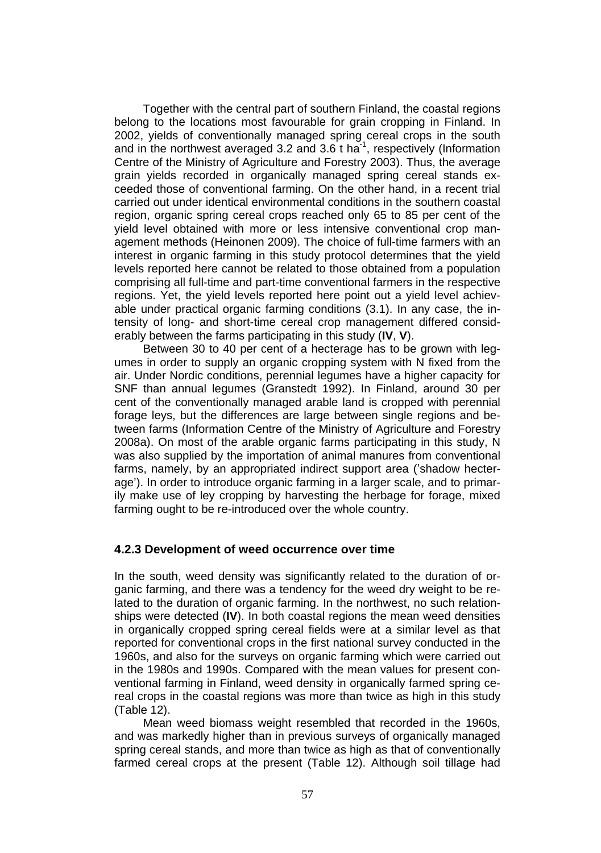Together with the central part of southern Finland, the coastal regions belong to the locations most favourable for grain cropping in Finland. In 2002, yields of conventionally managed spring cereal crops in the south and in the northwest averaged 3.2 and 3.6 t ha<sup>-1</sup>, respectively (Information Centre of the Ministry of Agriculture and Forestry 2003). Thus, the average grain yields recorded in organically managed spring cereal stands exceeded those of conventional farming. On the other hand, in a recent trial carried out under identical environmental conditions in the southern coastal region, organic spring cereal crops reached only 65 to 85 per cent of the yield level obtained with more or less intensive conventional crop management methods (Heinonen 2009). The choice of full-time farmers with an interest in organic farming in this study protocol determines that the yield levels reported here cannot be related to those obtained from a population comprising all full-time and part-time conventional farmers in the respective regions. Yet, the yield levels reported here point out a yield level achievable under practical organic farming conditions (3.1). In any case, the intensity of long- and short-time cereal crop management differed considerably between the farms participating in this study (**IV**, **V**).

Between 30 to 40 per cent of a hecterage has to be grown with legumes in order to supply an organic cropping system with N fixed from the air. Under Nordic conditions, perennial legumes have a higher capacity for SNF than annual legumes (Granstedt 1992). In Finland, around 30 per cent of the conventionally managed arable land is cropped with perennial forage leys, but the differences are large between single regions and between farms (Information Centre of the Ministry of Agriculture and Forestry 2008a). On most of the arable organic farms participating in this study, N was also supplied by the importation of animal manures from conventional farms, namely, by an appropriated indirect support area ('shadow hecterage'). In order to introduce organic farming in a larger scale, and to primarily make use of ley cropping by harvesting the herbage for forage, mixed farming ought to be re-introduced over the whole country.

#### **4.2.3 Development of weed occurrence over time**

In the south, weed density was significantly related to the duration of organic farming, and there was a tendency for the weed dry weight to be related to the duration of organic farming. In the northwest, no such relationships were detected (**IV**). In both coastal regions the mean weed densities in organically cropped spring cereal fields were at a similar level as that reported for conventional crops in the first national survey conducted in the 1960s, and also for the surveys on organic farming which were carried out in the 1980s and 1990s. Compared with the mean values for present conventional farming in Finland, weed density in organically farmed spring cereal crops in the coastal regions was more than twice as high in this study (Table 12).

Mean weed biomass weight resembled that recorded in the 1960s, and was markedly higher than in previous surveys of organically managed spring cereal stands, and more than twice as high as that of conventionally farmed cereal crops at the present (Table 12). Although soil tillage had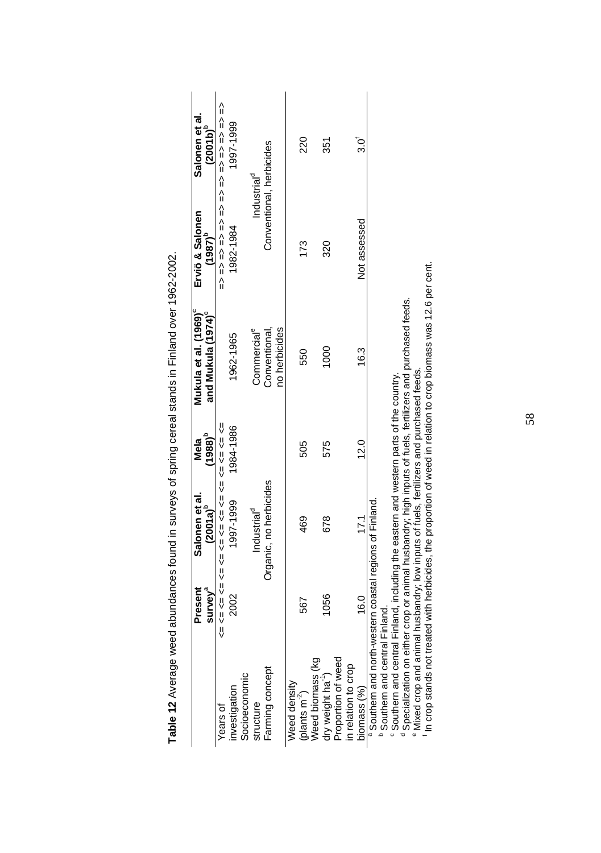|                                                                                                    | Present<br>survey <sup>ª</sup>               | Salonen et al.<br>$(2001a)^{5}$                                 | $(1988)^5$<br>Mela                                                                                             | Mukula et al. (1969) <sup>c</sup><br>and Mukula (1974)°                          | Erviö & Salonen<br>$(1987)^{p}$ | Salonen et al<br>$(2001b)^5$ |
|----------------------------------------------------------------------------------------------------|----------------------------------------------|-----------------------------------------------------------------|----------------------------------------------------------------------------------------------------------------|----------------------------------------------------------------------------------|---------------------------------|------------------------------|
| Years of                                                                                           | Ψ                                            | ヘリ ヘリ ヘリ ヘリ ヘリ ヘリ ヘリ ヘリ ヘリ ヘリ ヘリ                                |                                                                                                                |                                                                                  | 슈스 스크스 스크스 스크스 스크스 스크스 스크스 스크   |                              |
| investigation                                                                                      | 2002                                         | 1997-1999                                                       | 1984-1986                                                                                                      | 1962-1965                                                                        | 982-1984                        | 1997-1999                    |
| Socioeconomic                                                                                      |                                              |                                                                 |                                                                                                                |                                                                                  |                                 |                              |
| structure                                                                                          |                                              | Industrial <sup>d</sup>                                         |                                                                                                                | Commercial <sup>e</sup>                                                          | Industrial <sup>d</sup>         |                              |
| Farming concept                                                                                    |                                              | Organic, no herbicides                                          |                                                                                                                | no herbicides<br>Conventional                                                    | Conventional, herbicides        |                              |
| <b>Need density</b>                                                                                |                                              |                                                                 |                                                                                                                |                                                                                  |                                 |                              |
| plants m <sup>-2</sup> )                                                                           | 567                                          | 469                                                             | 505                                                                                                            | 550                                                                              | 173                             | 220                          |
| Weed biomass (kg                                                                                   |                                              |                                                                 |                                                                                                                |                                                                                  |                                 |                              |
| dry weight ha <sup>-1</sup> )<br>Proportion of weed                                                | 1056                                         | 678                                                             | 575                                                                                                            | 1000                                                                             | 320                             | 351                          |
|                                                                                                    |                                              |                                                                 |                                                                                                                |                                                                                  |                                 |                              |
| in relation to crop                                                                                |                                              |                                                                 |                                                                                                                |                                                                                  |                                 |                              |
| biomass (%)                                                                                        | 16.0                                         | 17.1                                                            | 12.0                                                                                                           | 16.3                                                                             | Not assessed                    | _<br>ვე                      |
| Southern and north-western coastal regions of Finland.                                             |                                              |                                                                 |                                                                                                                |                                                                                  |                                 |                              |
| <sup>p</sup> Southern and central Finland                                                          |                                              |                                                                 |                                                                                                                |                                                                                  |                                 |                              |
| <sup>6</sup> Southern and central Finland, including the eastern and western parts of the country. |                                              |                                                                 |                                                                                                                |                                                                                  |                                 |                              |
| Specialization on either                                                                           |                                              |                                                                 |                                                                                                                | crop or animal husbandry; high inputs of fuels, fertilizers and purchased feeds. |                                 |                              |
| Mixed crop and animal h                                                                            |                                              | usbandry; low inputs of fuels, fertilizers and purchased feeds. |                                                                                                                |                                                                                  |                                 |                              |
|                                                                                                    | a contract to a state of a state of the con- |                                                                 | and the state of the state of the state of the state of the state of the state of the state of the state of th | $\frac{1}{2}$                                                                    |                                 |                              |

Table 12 Average weed abundances found in surveys of spring cereal stands in Finland over 1962-2002. **Table 12** Average weed abundances found in surveys of spring cereal stands in Finland over 1962-2002.

f In crop stands not treated with herbicides, the proportion of weed in relation to crop biomass was 12.6 per cent. In crop stands not treated with herbicides, the proportion of weed in relation to crop biomass was 12.6 per cent.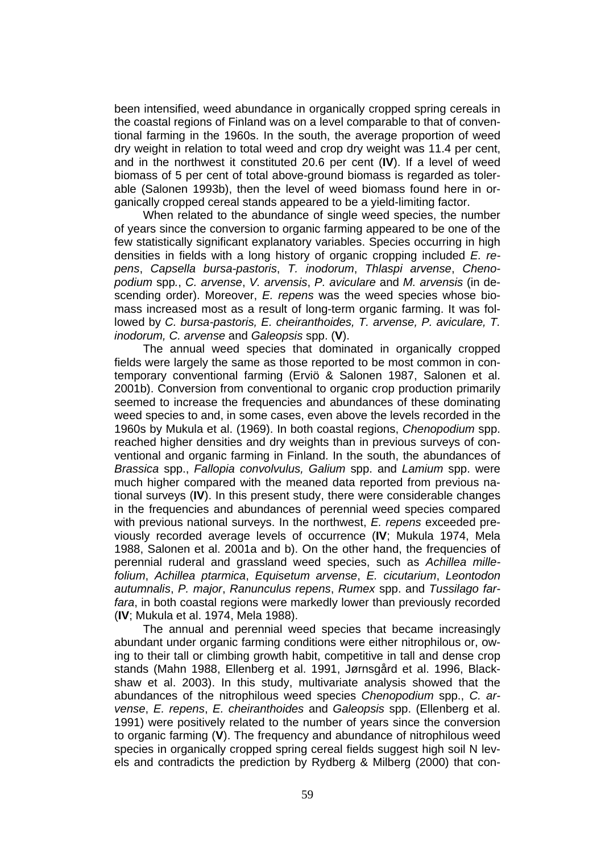been intensified, weed abundance in organically cropped spring cereals in the coastal regions of Finland was on a level comparable to that of conventional farming in the 1960s. In the south, the average proportion of weed dry weight in relation to total weed and crop dry weight was 11.4 per cent, and in the northwest it constituted 20.6 per cent (**IV**). If a level of weed biomass of 5 per cent of total above-ground biomass is regarded as tolerable (Salonen 1993b), then the level of weed biomass found here in organically cropped cereal stands appeared to be a yield-limiting factor.

When related to the abundance of single weed species, the number of years since the conversion to organic farming appeared to be one of the few statistically significant explanatory variables. Species occurring in high densities in fields with a long history of organic cropping included *E. repens*, *Capsella bursa-pastoris*, *T. inodorum*, *Thlaspi arvense*, *Chenopodium* spp*.*, *C. arvense*, *V. arvensis*, *P. aviculare* and *M. arvensis* (in descending order). Moreover, *E. repens* was the weed species whose biomass increased most as a result of long-term organic farming. It was followed by *C. bursa-pastoris, E. cheiranthoides, T. arvense, P. aviculare, T. inodorum, C. arvense* and *Galeopsis* spp. (**V**).

The annual weed species that dominated in organically cropped fields were largely the same as those reported to be most common in contemporary conventional farming (Erviö & Salonen 1987, Salonen et al. 2001b). Conversion from conventional to organic crop production primarily seemed to increase the frequencies and abundances of these dominating weed species to and, in some cases, even above the levels recorded in the 1960s by Mukula et al. (1969). In both coastal regions, *Chenopodium* spp. reached higher densities and dry weights than in previous surveys of conventional and organic farming in Finland. In the south, the abundances of *Brassica* spp., *Fallopia convolvulus, Galium* spp. and *Lamium* spp. were much higher compared with the meaned data reported from previous national surveys (**IV**). In this present study, there were considerable changes in the frequencies and abundances of perennial weed species compared with previous national surveys. In the northwest, *E. repens* exceeded previously recorded average levels of occurrence (**IV**; Mukula 1974, Mela 1988, Salonen et al. 2001a and b). On the other hand, the frequencies of perennial ruderal and grassland weed species, such as *Achillea millefolium*, *Achillea ptarmica*, *Equisetum arvense*, *E. cicutarium*, *Leontodon autumnalis*, *P. major*, *Ranunculus repens*, *Rumex* spp. and *Tussilago farfara*, in both coastal regions were markedly lower than previously recorded (**IV**; Mukula et al. 1974, Mela 1988).

The annual and perennial weed species that became increasingly abundant under organic farming conditions were either nitrophilous or, owing to their tall or climbing growth habit, competitive in tall and dense crop stands (Mahn 1988, Ellenberg et al. 1991, Jørnsgård et al. 1996, Blackshaw et al. 2003). In this study, multivariate analysis showed that the abundances of the nitrophilous weed species *Chenopodium* spp., *C. arvense*, *E. repens*, *E. cheiranthoides* and *Galeopsis* spp. (Ellenberg et al. 1991) were positively related to the number of years since the conversion to organic farming (**V**). The frequency and abundance of nitrophilous weed species in organically cropped spring cereal fields suggest high soil N levels and contradicts the prediction by Rydberg & Milberg (2000) that con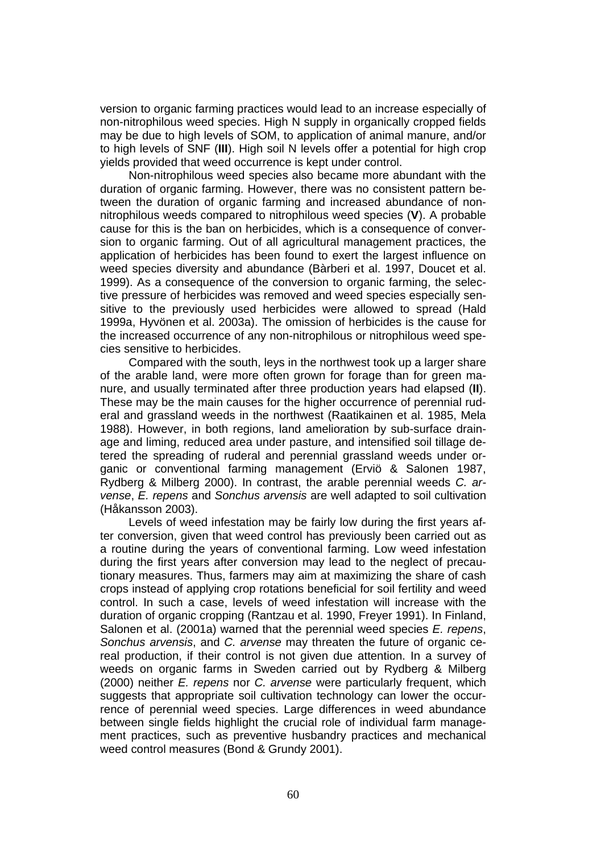version to organic farming practices would lead to an increase especially of non-nitrophilous weed species. High N supply in organically cropped fields may be due to high levels of SOM, to application of animal manure, and/or to high levels of SNF (**III**). High soil N levels offer a potential for high crop yields provided that weed occurrence is kept under control.

Non-nitrophilous weed species also became more abundant with the duration of organic farming. However, there was no consistent pattern between the duration of organic farming and increased abundance of nonnitrophilous weeds compared to nitrophilous weed species (**V**). A probable cause for this is the ban on herbicides, which is a consequence of conversion to organic farming. Out of all agricultural management practices, the application of herbicides has been found to exert the largest influence on weed species diversity and abundance (Bàrberi et al. 1997, Doucet et al. 1999). As a consequence of the conversion to organic farming, the selective pressure of herbicides was removed and weed species especially sensitive to the previously used herbicides were allowed to spread (Hald 1999a, Hyvönen et al. 2003a). The omission of herbicides is the cause for the increased occurrence of any non-nitrophilous or nitrophilous weed species sensitive to herbicides.

Compared with the south, leys in the northwest took up a larger share of the arable land, were more often grown for forage than for green manure, and usually terminated after three production years had elapsed (**II**). These may be the main causes for the higher occurrence of perennial ruderal and grassland weeds in the northwest (Raatikainen et al. 1985, Mela 1988). However, in both regions, land amelioration by sub-surface drainage and liming, reduced area under pasture, and intensified soil tillage detered the spreading of ruderal and perennial grassland weeds under organic or conventional farming management (Erviö & Salonen 1987, Rydberg & Milberg 2000). In contrast, the arable perennial weeds *C. arvense*, *E. repens* and *Sonchus arvensis* are well adapted to soil cultivation (Håkansson 2003).

Levels of weed infestation may be fairly low during the first years after conversion, given that weed control has previously been carried out as a routine during the years of conventional farming. Low weed infestation during the first years after conversion may lead to the neglect of precautionary measures. Thus, farmers may aim at maximizing the share of cash crops instead of applying crop rotations beneficial for soil fertility and weed control. In such a case, levels of weed infestation will increase with the duration of organic cropping (Rantzau et al. 1990, Freyer 1991). In Finland, Salonen et al. (2001a) warned that the perennial weed species *E. repens*, *Sonchus arvensis*, and *C. arvense* may threaten the future of organic cereal production, if their control is not given due attention. In a survey of weeds on organic farms in Sweden carried out by Rydberg & Milberg (2000) neither *E. repens* nor *C. arvense* were particularly frequent, which suggests that appropriate soil cultivation technology can lower the occurrence of perennial weed species. Large differences in weed abundance between single fields highlight the crucial role of individual farm management practices, such as preventive husbandry practices and mechanical weed control measures (Bond & Grundy 2001).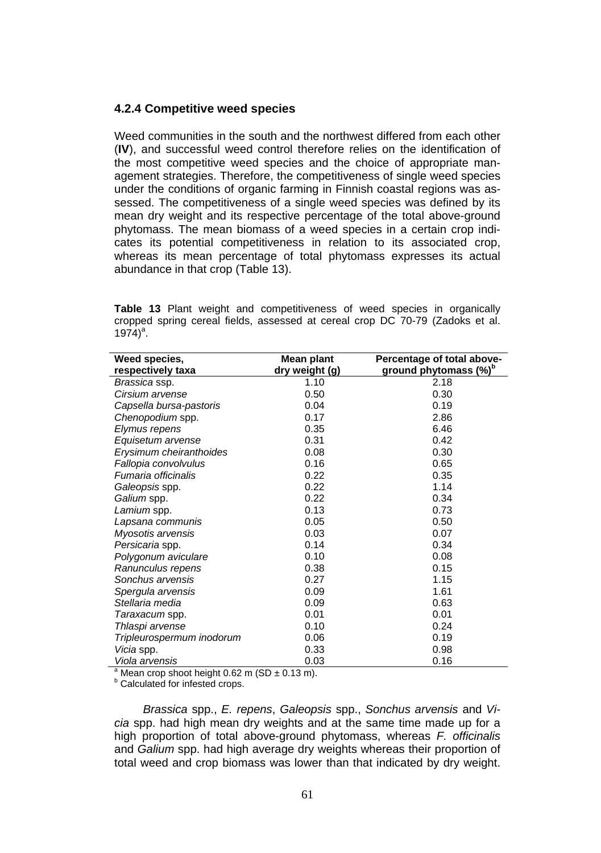#### **4.2.4 Competitive weed species**

Weed communities in the south and the northwest differed from each other (**IV**), and successful weed control therefore relies on the identification of the most competitive weed species and the choice of appropriate management strategies. Therefore, the competitiveness of single weed species under the conditions of organic farming in Finnish coastal regions was assessed. The competitiveness of a single weed species was defined by its mean dry weight and its respective percentage of the total above-ground phytomass. The mean biomass of a weed species in a certain crop indicates its potential competitiveness in relation to its associated crop, whereas its mean percentage of total phytomass expresses its actual abundance in that crop (Table 13).

**Table 13** Plant weight and competitiveness of weed species in organically cropped spring cereal fields, assessed at cereal crop DC 70-79 (Zadoks et al.  $1974)^{a}$ .

| Weed species,                                                 | Mean plant     | Percentage of total above-        |
|---------------------------------------------------------------|----------------|-----------------------------------|
| respectively taxa                                             | dry weight (g) | ground phytomass (%) <sup>b</sup> |
| Brassica ssp.                                                 | 1.10           | 2.18                              |
| Cirsium arvense                                               | 0.50           | 0.30                              |
| Capsella bursa-pastoris                                       | 0.04           | 0.19                              |
| Chenopodium spp.                                              | 0.17           | 2.86                              |
| Elymus repens                                                 | 0.35           | 6.46                              |
| Equisetum arvense                                             | 0.31           | 0.42                              |
| Erysimum cheiranthoides                                       | 0.08           | 0.30                              |
| Fallopia convolvulus                                          | 0.16           | 0.65                              |
| Fumaria officinalis                                           | 0.22           | 0.35                              |
| Galeopsis spp.                                                | 0.22           | 1.14                              |
| Galium spp.                                                   | 0.22           | 0.34                              |
| Lamium spp.                                                   | 0.13           | 0.73                              |
| Lapsana communis                                              | 0.05           | 0.50                              |
| Myosotis arvensis                                             | 0.03           | 0.07                              |
| Persicaria spp.                                               | 0.14           | 0.34                              |
| Polygonum aviculare                                           | 0.10           | 0.08                              |
| Ranunculus repens                                             | 0.38           | 0.15                              |
| Sonchus arvensis                                              | 0.27           | 1.15                              |
| Spergula arvensis                                             | 0.09           | 1.61                              |
| Stellaria media                                               | 0.09           | 0.63                              |
| Taraxacum spp.                                                | 0.01           | 0.01                              |
| Thlaspi arvense                                               | 0.10           | 0.24                              |
| Tripleurospermum inodorum                                     | 0.06           | 0.19                              |
| Vicia spp.                                                    | 0.33           | 0.98                              |
| Viola arvensis                                                | 0.03           | 0.16                              |
| <sup>a</sup> Mean crop shoot height 0.62 m (SD $\pm$ 0.13 m). |                |                                   |

**b** Calculated for infested crops.

*Brassica* spp., *E. repens*, *Galeopsis* spp., *Sonchus arvensis* and *Vicia* spp. had high mean dry weights and at the same time made up for a high proportion of total above-ground phytomass, whereas *F. officinalis* and *Galium* spp. had high average dry weights whereas their proportion of total weed and crop biomass was lower than that indicated by dry weight.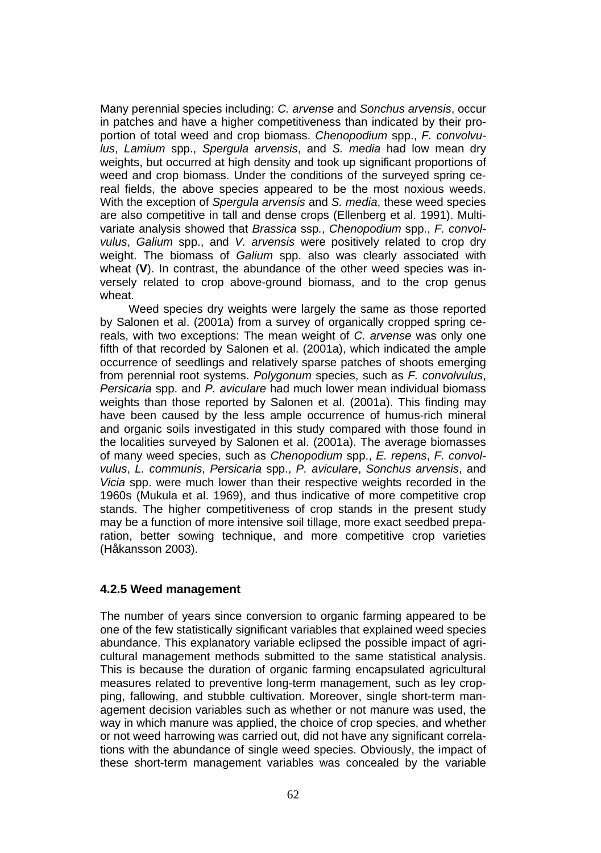Many perennial species including: *C. arvense* and *Sonchus arvensis*, occur in patches and have a higher competitiveness than indicated by their proportion of total weed and crop biomass. *Chenopodium* spp., *F. convolvulus*, *Lamium* spp., *Spergula arvensis*, and *S. media* had low mean dry weights, but occurred at high density and took up significant proportions of weed and crop biomass. Under the conditions of the surveyed spring cereal fields, the above species appeared to be the most noxious weeds. With the exception of *Spergula arvensis* and *S. media*, these weed species are also competitive in tall and dense crops (Ellenberg et al. 1991). Multivariate analysis showed that *Brassica* ssp*.*, *Chenopodium* spp., *F. convolvulus*, *Galium* spp., and *V. arvensis* were positively related to crop dry weight. The biomass of *Galium* spp*.* also was clearly associated with wheat (**V**). In contrast, the abundance of the other weed species was inversely related to crop above-ground biomass, and to the crop genus wheat.

Weed species dry weights were largely the same as those reported by Salonen et al. (2001a) from a survey of organically cropped spring cereals, with two exceptions: The mean weight of *C. arvense* was only one fifth of that recorded by Salonen et al. (2001a), which indicated the ample occurrence of seedlings and relatively sparse patches of shoots emerging from perennial root systems. *Polygonum* species, such as *F. convolvulus*, *Persicaria* spp. and *P. aviculare* had much lower mean individual biomass weights than those reported by Salonen et al. (2001a). This finding may have been caused by the less ample occurrence of humus-rich mineral and organic soils investigated in this study compared with those found in the localities surveyed by Salonen et al. (2001a). The average biomasses of many weed species, such as *Chenopodium* spp., *E. repens*, *F. convolvulus*, *L. communis*, *Persicaria* spp., *P. aviculare*, *Sonchus arvensis*, and *Vicia* spp. were much lower than their respective weights recorded in the 1960s (Mukula et al. 1969), and thus indicative of more competitive crop stands. The higher competitiveness of crop stands in the present study may be a function of more intensive soil tillage, more exact seedbed preparation, better sowing technique, and more competitive crop varieties (Håkansson 2003).

#### **4.2.5 Weed management**

The number of years since conversion to organic farming appeared to be one of the few statistically significant variables that explained weed species abundance. This explanatory variable eclipsed the possible impact of agricultural management methods submitted to the same statistical analysis. This is because the duration of organic farming encapsulated agricultural measures related to preventive long-term management, such as ley cropping, fallowing, and stubble cultivation. Moreover, single short-term management decision variables such as whether or not manure was used, the way in which manure was applied, the choice of crop species, and whether or not weed harrowing was carried out, did not have any significant correlations with the abundance of single weed species. Obviously, the impact of these short-term management variables was concealed by the variable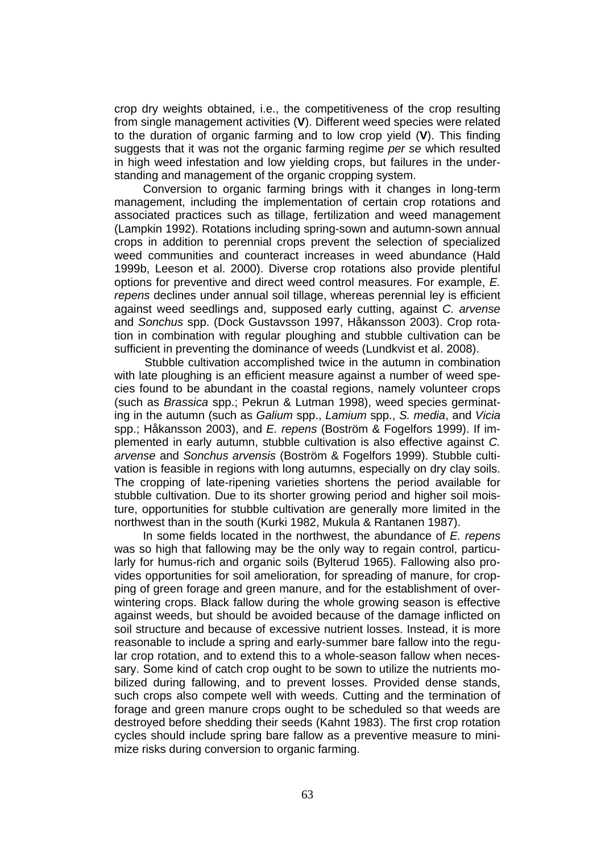crop dry weights obtained, i.e., the competitiveness of the crop resulting from single management activities (**V**). Different weed species were related to the duration of organic farming and to low crop yield (**V**). This finding suggests that it was not the organic farming regime *per se* which resulted in high weed infestation and low yielding crops, but failures in the understanding and management of the organic cropping system.

Conversion to organic farming brings with it changes in long-term management, including the implementation of certain crop rotations and associated practices such as tillage, fertilization and weed management (Lampkin 1992). Rotations including spring-sown and autumn-sown annual crops in addition to perennial crops prevent the selection of specialized weed communities and counteract increases in weed abundance (Hald 1999b, Leeson et al. 2000). Diverse crop rotations also provide plentiful options for preventive and direct weed control measures. For example, *E. repens* declines under annual soil tillage, whereas perennial ley is efficient against weed seedlings and, supposed early cutting, against *C. arvense* and *Sonchus* spp. (Dock Gustavsson 1997, Håkansson 2003). Crop rotation in combination with regular ploughing and stubble cultivation can be sufficient in preventing the dominance of weeds (Lundkvist et al. 2008).

Stubble cultivation accomplished twice in the autumn in combination with late ploughing is an efficient measure against a number of weed species found to be abundant in the coastal regions, namely volunteer crops (such as *Brassica* spp.; Pekrun & Lutman 1998), weed species germinating in the autumn (such as *Galium* spp., *Lamium* spp., *S. media*, and *Vicia* spp.; Håkansson 2003), and *E. repens* (Boström & Fogelfors 1999). If implemented in early autumn, stubble cultivation is also effective against *C. arvense* and *Sonchus arvensis* (Boström & Fogelfors 1999). Stubble cultivation is feasible in regions with long autumns, especially on dry clay soils. The cropping of late-ripening varieties shortens the period available for stubble cultivation. Due to its shorter growing period and higher soil moisture, opportunities for stubble cultivation are generally more limited in the northwest than in the south (Kurki 1982, Mukula & Rantanen 1987).

In some fields located in the northwest, the abundance of *E. repens*  was so high that fallowing may be the only way to regain control, particularly for humus-rich and organic soils (Bylterud 1965). Fallowing also provides opportunities for soil amelioration, for spreading of manure, for cropping of green forage and green manure, and for the establishment of overwintering crops. Black fallow during the whole growing season is effective against weeds, but should be avoided because of the damage inflicted on soil structure and because of excessive nutrient losses. Instead, it is more reasonable to include a spring and early-summer bare fallow into the regular crop rotation, and to extend this to a whole-season fallow when necessary. Some kind of catch crop ought to be sown to utilize the nutrients mobilized during fallowing, and to prevent losses. Provided dense stands, such crops also compete well with weeds. Cutting and the termination of forage and green manure crops ought to be scheduled so that weeds are destroyed before shedding their seeds (Kahnt 1983). The first crop rotation cycles should include spring bare fallow as a preventive measure to minimize risks during conversion to organic farming.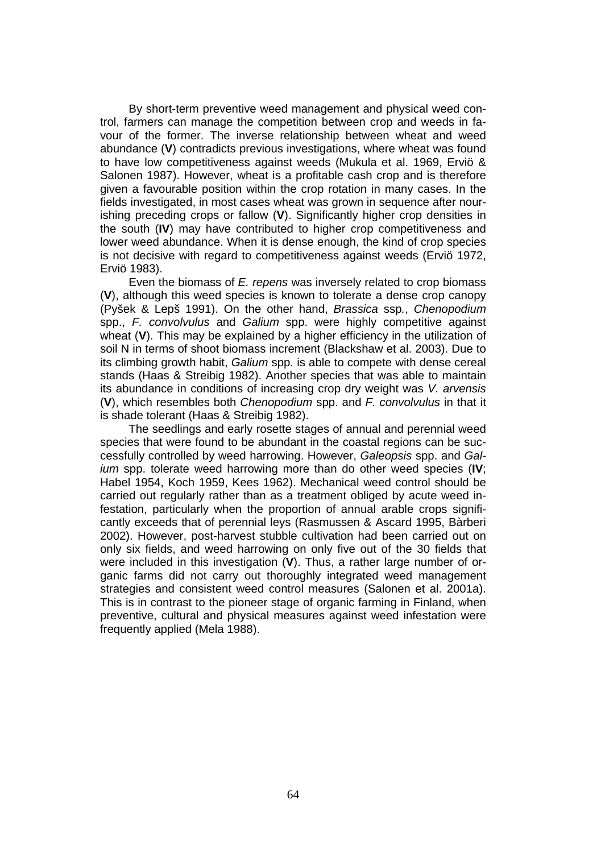By short-term preventive weed management and physical weed control, farmers can manage the competition between crop and weeds in favour of the former. The inverse relationship between wheat and weed abundance (**V**) contradicts previous investigations, where wheat was found to have low competitiveness against weeds (Mukula et al. 1969, Erviö & Salonen 1987). However, wheat is a profitable cash crop and is therefore given a favourable position within the crop rotation in many cases. In the fields investigated, in most cases wheat was grown in sequence after nourishing preceding crops or fallow (**V**). Significantly higher crop densities in the south (**IV**) may have contributed to higher crop competitiveness and lower weed abundance. When it is dense enough, the kind of crop species is not decisive with regard to competitiveness against weeds (Erviö 1972, Erviö 1983).

Even the biomass of *E. repens* was inversely related to crop biomass (**V**), although this weed species is known to tolerate a dense crop canopy (Pyšek & Lepš 1991). On the other hand, *Brassica* ssp*.*, *Chenopodium*  spp., *F. convolvulus* and *Galium* spp. were highly competitive against wheat (**V**). This may be explained by a higher efficiency in the utilization of soil N in terms of shoot biomass increment (Blackshaw et al. 2003). Due to its climbing growth habit, *Galium* spp*.* is able to compete with dense cereal stands (Haas & Streibig 1982). Another species that was able to maintain its abundance in conditions of increasing crop dry weight was *V. arvensis*  (**V**), which resembles both *Chenopodium* spp. and *F. convolvulus* in that it is shade tolerant (Haas & Streibig 1982).

The seedlings and early rosette stages of annual and perennial weed species that were found to be abundant in the coastal regions can be successfully controlled by weed harrowing. However, *Galeopsis* spp. and *Galium* spp. tolerate weed harrowing more than do other weed species (**IV**; Habel 1954, Koch 1959, Kees 1962). Mechanical weed control should be carried out regularly rather than as a treatment obliged by acute weed infestation, particularly when the proportion of annual arable crops significantly exceeds that of perennial leys (Rasmussen & Ascard 1995, Bàrberi 2002). However, post-harvest stubble cultivation had been carried out on only six fields, and weed harrowing on only five out of the 30 fields that were included in this investigation (**V**). Thus, a rather large number of organic farms did not carry out thoroughly integrated weed management strategies and consistent weed control measures (Salonen et al. 2001a). This is in contrast to the pioneer stage of organic farming in Finland, when preventive, cultural and physical measures against weed infestation were frequently applied (Mela 1988).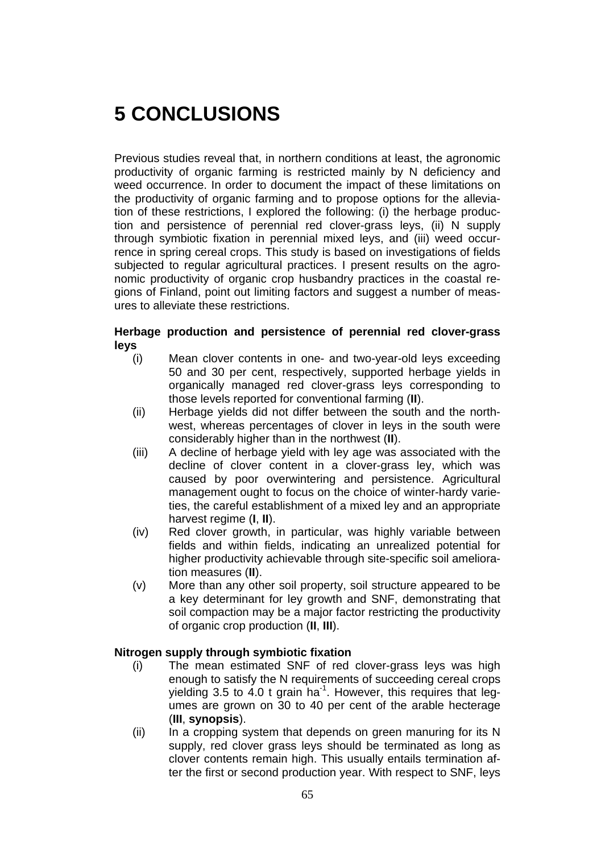# **5 CONCLUSIONS**

Previous studies reveal that, in northern conditions at least, the agronomic productivity of organic farming is restricted mainly by N deficiency and weed occurrence. In order to document the impact of these limitations on the productivity of organic farming and to propose options for the alleviation of these restrictions, I explored the following: (i) the herbage production and persistence of perennial red clover-grass leys, (ii) N supply through symbiotic fixation in perennial mixed leys, and (iii) weed occurrence in spring cereal crops. This study is based on investigations of fields subjected to regular agricultural practices. I present results on the agronomic productivity of organic crop husbandry practices in the coastal regions of Finland, point out limiting factors and suggest a number of measures to alleviate these restrictions.

#### **Herbage production and persistence of perennial red clover-grass leys**

- (i) Mean clover contents in one- and two-year-old leys exceeding 50 and 30 per cent, respectively, supported herbage yields in organically managed red clover-grass leys corresponding to those levels reported for conventional farming (**II**).
- (ii) Herbage yields did not differ between the south and the northwest, whereas percentages of clover in leys in the south were considerably higher than in the northwest (**II**).
- (iii) A decline of herbage yield with ley age was associated with the decline of clover content in a clover-grass ley, which was caused by poor overwintering and persistence. Agricultural management ought to focus on the choice of winter-hardy varieties, the careful establishment of a mixed ley and an appropriate harvest regime (**I**, **II**).
- (iv) Red clover growth, in particular, was highly variable between fields and within fields, indicating an unrealized potential for higher productivity achievable through site-specific soil amelioration measures (**II**).
- (v) More than any other soil property, soil structure appeared to be a key determinant for ley growth and SNF, demonstrating that soil compaction may be a major factor restricting the productivity of organic crop production (**II**, **III**).

#### **Nitrogen supply through symbiotic fixation**

- (i) The mean estimated SNF of red clover-grass leys was high enough to satisfy the N requirements of succeeding cereal crops yielding 3.5 to 4.0 t grain ha<sup>-1</sup>. However, this requires that legumes are grown on 30 to 40 per cent of the arable hecterage (**III**, **synopsis**).
- (ii) In a cropping system that depends on green manuring for its N supply, red clover grass leys should be terminated as long as clover contents remain high. This usually entails termination after the first or second production year. With respect to SNF, leys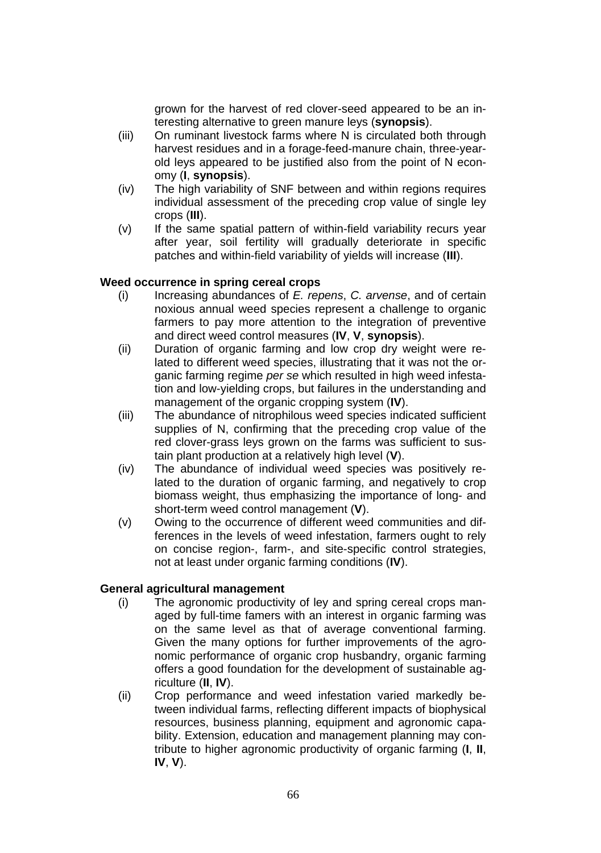grown for the harvest of red clover-seed appeared to be an interesting alternative to green manure leys (**synopsis**).

- (iii) On ruminant livestock farms where N is circulated both through harvest residues and in a forage-feed-manure chain, three-yearold leys appeared to be justified also from the point of N economy (**I**, **synopsis**).
- (iv) The high variability of SNF between and within regions requires individual assessment of the preceding crop value of single ley crops (**III**).
- (v) If the same spatial pattern of within-field variability recurs year after year, soil fertility will gradually deteriorate in specific patches and within-field variability of yields will increase (**III**).

#### **Weed occurrence in spring cereal crops**

- (i) Increasing abundances of *E. repens*, *C. arvense*, and of certain noxious annual weed species represent a challenge to organic farmers to pay more attention to the integration of preventive and direct weed control measures (**IV**, **V**, **synopsis**).
- (ii) Duration of organic farming and low crop dry weight were related to different weed species, illustrating that it was not the organic farming regime *per se* which resulted in high weed infestation and low-yielding crops, but failures in the understanding and management of the organic cropping system (**IV**).
- (iii) The abundance of nitrophilous weed species indicated sufficient supplies of N, confirming that the preceding crop value of the red clover-grass leys grown on the farms was sufficient to sustain plant production at a relatively high level (**V**).
- (iv) The abundance of individual weed species was positively related to the duration of organic farming, and negatively to crop biomass weight, thus emphasizing the importance of long- and short-term weed control management (**V**).
- (v) Owing to the occurrence of different weed communities and differences in the levels of weed infestation, farmers ought to rely on concise region-, farm-, and site-specific control strategies, not at least under organic farming conditions (**IV**).

#### **General agricultural management**

- (i) The agronomic productivity of ley and spring cereal crops managed by full-time famers with an interest in organic farming was on the same level as that of average conventional farming. Given the many options for further improvements of the agronomic performance of organic crop husbandry, organic farming offers a good foundation for the development of sustainable agriculture (**II**, **IV**).
- (ii) Crop performance and weed infestation varied markedly between individual farms, reflecting different impacts of biophysical resources, business planning, equipment and agronomic capability. Extension, education and management planning may contribute to higher agronomic productivity of organic farming (**I**, **II**, **IV**, **V**).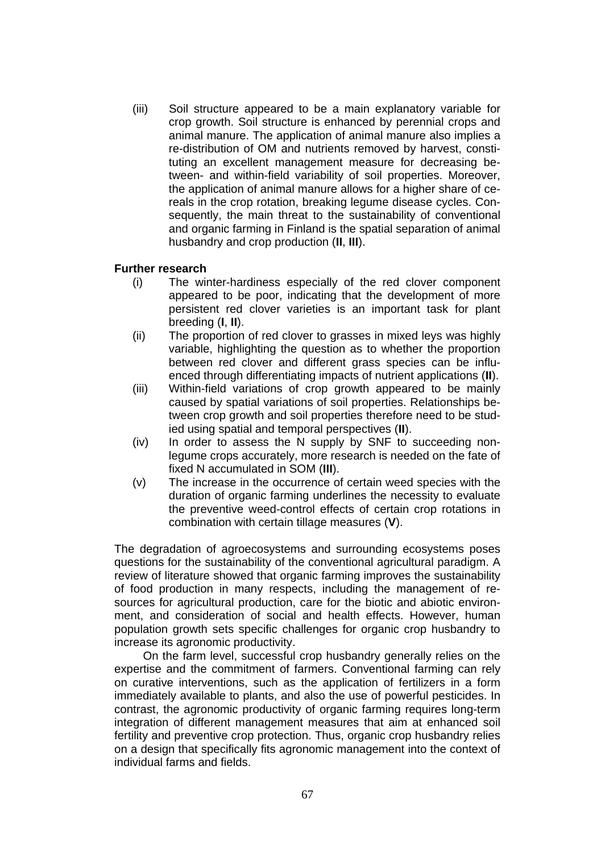(iii) Soil structure appeared to be a main explanatory variable for crop growth. Soil structure is enhanced by perennial crops and animal manure. The application of animal manure also implies a re-distribution of OM and nutrients removed by harvest, constituting an excellent management measure for decreasing between- and within-field variability of soil properties. Moreover, the application of animal manure allows for a higher share of cereals in the crop rotation, breaking legume disease cycles. Consequently, the main threat to the sustainability of conventional and organic farming in Finland is the spatial separation of animal husbandry and crop production (**II**, **III**).

#### **Further research**

- (i) The winter-hardiness especially of the red clover component appeared to be poor, indicating that the development of more persistent red clover varieties is an important task for plant breeding (**I**, **II**).
- (ii) The proportion of red clover to grasses in mixed leys was highly variable, highlighting the question as to whether the proportion between red clover and different grass species can be influenced through differentiating impacts of nutrient applications (**II**).
- (iii) Within-field variations of crop growth appeared to be mainly caused by spatial variations of soil properties. Relationships between crop growth and soil properties therefore need to be studied using spatial and temporal perspectives (**II**).
- (iv) In order to assess the N supply by SNF to succeeding nonlegume crops accurately, more research is needed on the fate of fixed N accumulated in SOM (**III**).
- (v) The increase in the occurrence of certain weed species with the duration of organic farming underlines the necessity to evaluate the preventive weed-control effects of certain crop rotations in combination with certain tillage measures (**V**).

The degradation of agroecosystems and surrounding ecosystems poses questions for the sustainability of the conventional agricultural paradigm. A review of literature showed that organic farming improves the sustainability of food production in many respects, including the management of resources for agricultural production, care for the biotic and abiotic environment, and consideration of social and health effects. However, human population growth sets specific challenges for organic crop husbandry to increase its agronomic productivity.

On the farm level, successful crop husbandry generally relies on the expertise and the commitment of farmers. Conventional farming can rely on curative interventions, such as the application of fertilizers in a form immediately available to plants, and also the use of powerful pesticides. In contrast, the agronomic productivity of organic farming requires long-term integration of different management measures that aim at enhanced soil fertility and preventive crop protection. Thus, organic crop husbandry relies on a design that specifically fits agronomic management into the context of individual farms and fields.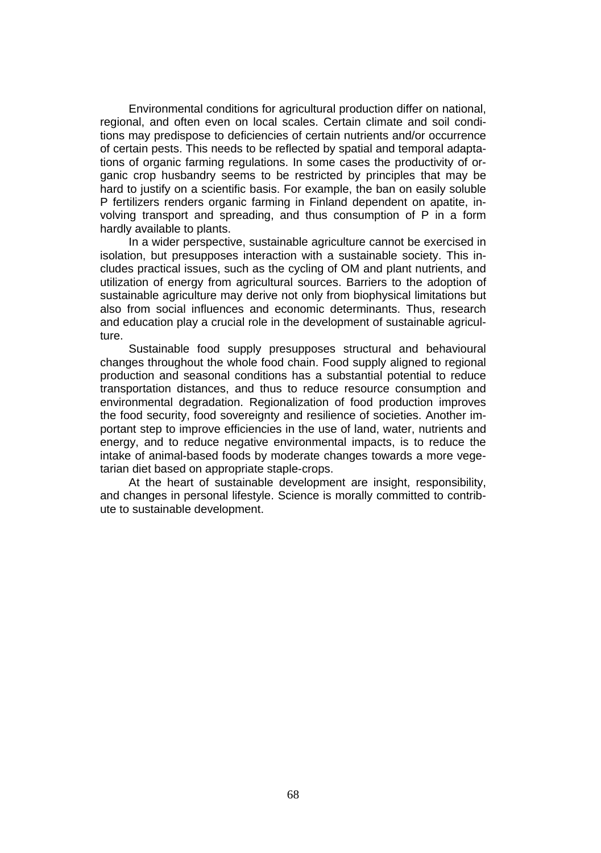Environmental conditions for agricultural production differ on national, regional, and often even on local scales. Certain climate and soil conditions may predispose to deficiencies of certain nutrients and/or occurrence of certain pests. This needs to be reflected by spatial and temporal adaptations of organic farming regulations. In some cases the productivity of organic crop husbandry seems to be restricted by principles that may be hard to justify on a scientific basis. For example, the ban on easily soluble P fertilizers renders organic farming in Finland dependent on apatite, involving transport and spreading, and thus consumption of P in a form hardly available to plants.

In a wider perspective, sustainable agriculture cannot be exercised in isolation, but presupposes interaction with a sustainable society. This includes practical issues, such as the cycling of OM and plant nutrients, and utilization of energy from agricultural sources. Barriers to the adoption of sustainable agriculture may derive not only from biophysical limitations but also from social influences and economic determinants. Thus, research and education play a crucial role in the development of sustainable agriculture.

Sustainable food supply presupposes structural and behavioural changes throughout the whole food chain. Food supply aligned to regional production and seasonal conditions has a substantial potential to reduce transportation distances, and thus to reduce resource consumption and environmental degradation. Regionalization of food production improves the food security, food sovereignty and resilience of societies. Another important step to improve efficiencies in the use of land, water, nutrients and energy, and to reduce negative environmental impacts, is to reduce the intake of animal-based foods by moderate changes towards a more vegetarian diet based on appropriate staple-crops.

At the heart of sustainable development are insight, responsibility, and changes in personal lifestyle. Science is morally committed to contribute to sustainable development.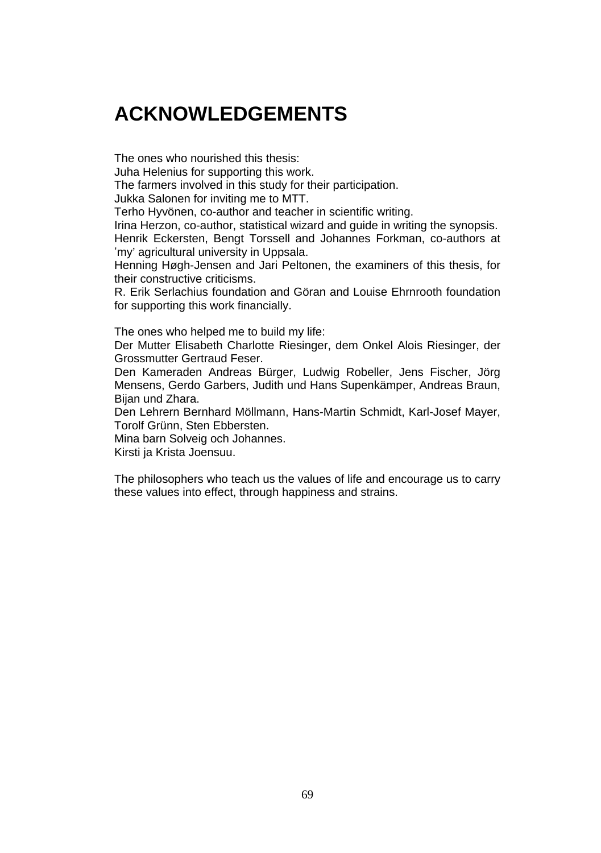## **ACKNOWLEDGEMENTS**

The ones who nourished this thesis:

Juha Helenius for supporting this work.

The farmers involved in this study for their participation.

Jukka Salonen for inviting me to MTT.

Terho Hyvönen, co-author and teacher in scientific writing.

Irina Herzon, co-author, statistical wizard and guide in writing the synopsis. Henrik Eckersten, Bengt Torssell and Johannes Forkman, co-authors at 'my' agricultural university in Uppsala.

Henning Høgh-Jensen and Jari Peltonen, the examiners of this thesis, for their constructive criticisms.

R. Erik Serlachius foundation and Göran and Louise Ehrnrooth foundation for supporting this work financially.

The ones who helped me to build my life:

Der Mutter Elisabeth Charlotte Riesinger, dem Onkel Alois Riesinger, der Grossmutter Gertraud Feser.

Den Kameraden Andreas Bürger, Ludwig Robeller, Jens Fischer, Jörg Mensens, Gerdo Garbers, Judith und Hans Supenkämper, Andreas Braun, Bijan und Zhara.

Den Lehrern Bernhard Möllmann, Hans-Martin Schmidt, Karl-Josef Mayer, Torolf Grünn, Sten Ebbersten.

Mina barn Solveig och Johannes.

Kirsti ja Krista Joensuu.

The philosophers who teach us the values of life and encourage us to carry these values into effect, through happiness and strains.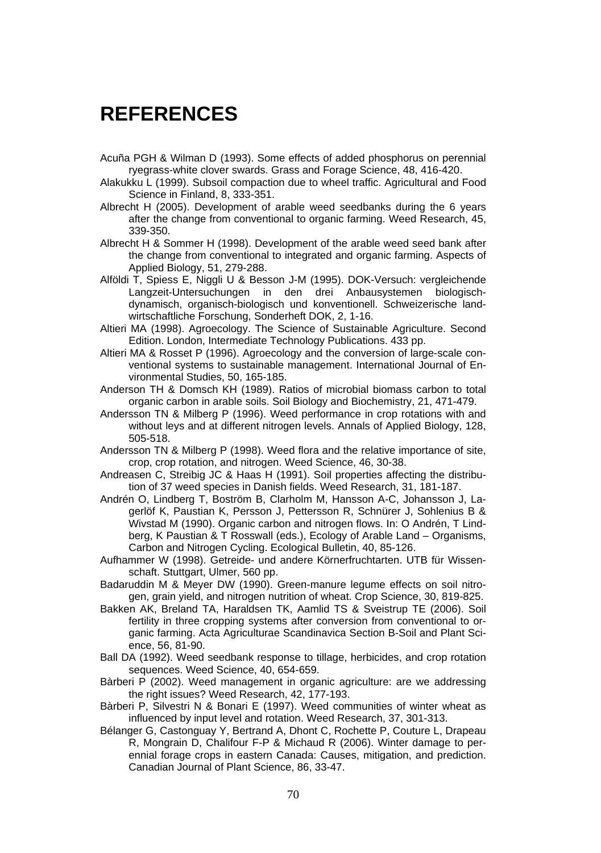## **REFERENCES**

- Acuña PGH & Wilman D (1993). Some effects of added phosphorus on perennial ryegrass-white clover swards. Grass and Forage Science, 48, 416-420.
- Alakukku L (1999). Subsoil compaction due to wheel traffic. Agricultural and Food Science in Finland, 8, 333-351.
- Albrecht H (2005). Development of arable weed seedbanks during the 6 years after the change from conventional to organic farming. Weed Research, 45, 339-350.
- Albrecht H & Sommer H (1998). Development of the arable weed seed bank after the change from conventional to integrated and organic farming. Aspects of Applied Biology, 51, 279-288.
- Alföldi T, Spiess E, Niggli U & Besson J-M (1995). DOK-Versuch: vergleichende Langzeit-Untersuchungen in den drei Anbausystemen biologischdynamisch, organisch-biologisch und konventionell. Schweizerische landwirtschaftliche Forschung, Sonderheft DOK, 2, 1-16.
- Altieri MA (1998). Agroecology. The Science of Sustainable Agriculture. Second Edition. London, Intermediate Technology Publications. 433 pp.
- Altieri MA & Rosset P (1996). Agroecology and the conversion of large-scale conventional systems to sustainable management. International Journal of Environmental Studies, 50, 165-185.
- Anderson TH & Domsch KH (1989). Ratios of microbial biomass carbon to total organic carbon in arable soils. Soil Biology and Biochemistry, 21, 471-479.
- Andersson TN & Milberg P (1996). Weed performance in crop rotations with and without leys and at different nitrogen levels. Annals of Applied Biology, 128, 505-518.
- Andersson TN & Milberg P (1998). Weed flora and the relative importance of site, crop, crop rotation, and nitrogen. Weed Science, 46, 30-38.
- Andreasen C, Streibig JC & Haas H (1991). Soil properties affecting the distribution of 37 weed species in Danish fields. Weed Research, 31, 181-187.
- Andrén O, Lindberg T, Boström B, Clarholm M, Hansson A-C, Johansson J, Lagerlöf K, Paustian K, Persson J, Pettersson R, Schnürer J, Sohlenius B & Wivstad M (1990). Organic carbon and nitrogen flows. In: O Andrén, T Lindberg, K Paustian & T Rosswall (eds.), Ecology of Arable Land – Organisms, Carbon and Nitrogen Cycling. Ecological Bulletin, 40, 85-126.
- Aufhammer W (1998). Getreide- und andere Körnerfruchtarten. UTB für Wissenschaft. Stuttgart, Ulmer, 560 pp.
- Badaruddin M & Meyer DW (1990). Green-manure legume effects on soil nitrogen, grain yield, and nitrogen nutrition of wheat. Crop Science, 30, 819-825.
- Bakken AK, Breland TA, Haraldsen TK, Aamlid TS & Sveistrup TE (2006). Soil fertility in three cropping systems after conversion from conventional to organic farming. Acta Agriculturae Scandinavica Section B-Soil and Plant Science, 56, 81-90.
- Ball DA (1992). Weed seedbank response to tillage, herbicides, and crop rotation sequences. Weed Science, 40, 654-659.
- Bàrberi P (2002). Weed management in organic agriculture: are we addressing the right issues? Weed Research, 42, 177-193.
- Bàrberi P, Silvestri N & Bonari E (1997). Weed communities of winter wheat as influenced by input level and rotation. Weed Research, 37, 301-313.
- Bélanger G, Castonguay Y, Bertrand A, Dhont C, Rochette P, Couture L, Drapeau R, Mongrain D, Chalifour F-P & Michaud R (2006). Winter damage to perennial forage crops in eastern Canada: Causes, mitigation, and prediction. Canadian Journal of Plant Science, 86, 33-47.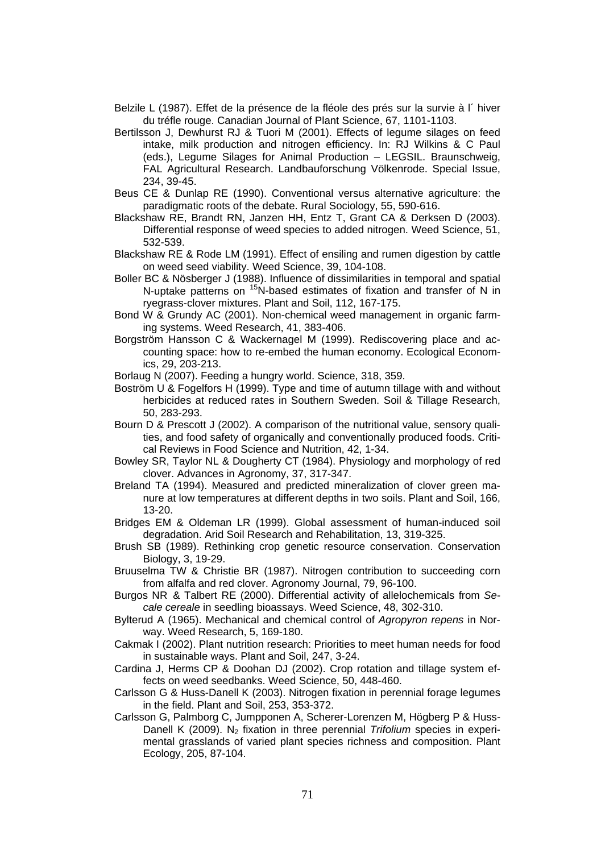- Belzile L (1987). Effet de la présence de la fléole des prés sur la survie à l´ hiver du tréfle rouge. Canadian Journal of Plant Science, 67, 1101-1103.
- Bertilsson J, Dewhurst RJ & Tuori M (2001). Effects of legume silages on feed intake, milk production and nitrogen efficiency. In: RJ Wilkins & C Paul (eds.), Legume Silages for Animal Production – LEGSIL. Braunschweig, FAL Agricultural Research. Landbauforschung Völkenrode. Special Issue, 234, 39-45.
- Beus CE & Dunlap RE (1990). Conventional versus alternative agriculture: the paradigmatic roots of the debate. Rural Sociology, 55, 590-616.
- Blackshaw RE, Brandt RN, Janzen HH, Entz T, Grant CA & Derksen D (2003). Differential response of weed species to added nitrogen. Weed Science, 51, 532-539.
- Blackshaw RE & Rode LM (1991). Effect of ensiling and rumen digestion by cattle on weed seed viability. Weed Science, 39, 104-108.
- Boller BC & Nösberger J (1988). Influence of dissimilarities in temporal and spatial N-uptake patterns on <sup>15</sup>N-based estimates of fixation and transfer of N in ryegrass-clover mixtures. Plant and Soil, 112, 167-175.
- Bond W & Grundy AC (2001). Non-chemical weed management in organic farming systems. Weed Research, 41, 383-406.
- Borgström Hansson C & Wackernagel M (1999). Rediscovering place and accounting space: how to re-embed the human economy. Ecological Economics, 29, 203-213.
- Borlaug N (2007). Feeding a hungry world. Science, 318, 359.
- Boström U & Fogelfors H (1999). Type and time of autumn tillage with and without herbicides at reduced rates in Southern Sweden. Soil & Tillage Research, 50, 283-293.
- Bourn D & Prescott J (2002). A comparison of the nutritional value, sensory qualities, and food safety of organically and conventionally produced foods. Critical Reviews in Food Science and Nutrition, 42, 1-34.
- Bowley SR, Taylor NL & Dougherty CT (1984). Physiology and morphology of red clover. Advances in Agronomy, 37, 317-347.
- Breland TA (1994). Measured and predicted mineralization of clover green manure at low temperatures at different depths in two soils. Plant and Soil, 166, 13-20.
- Bridges EM & Oldeman LR (1999). Global assessment of human-induced soil degradation. Arid Soil Research and Rehabilitation, 13, 319-325.
- Brush SB (1989). Rethinking crop genetic resource conservation. Conservation Biology, 3, 19-29.
- Bruuselma TW & Christie BR (1987). Nitrogen contribution to succeeding corn from alfalfa and red clover. Agronomy Journal, 79, 96-100.
- Burgos NR & Talbert RE (2000). Differential activity of allelochemicals from *Secale cereale* in seedling bioassays. Weed Science, 48, 302-310.
- Bylterud A (1965). Mechanical and chemical control of *Agropyron repens* in Norway. Weed Research, 5, 169-180.
- Cakmak I (2002). Plant nutrition research: Priorities to meet human needs for food in sustainable ways. Plant and Soil, 247, 3-24.
- Cardina J, Herms CP & Doohan DJ (2002). Crop rotation and tillage system effects on weed seedbanks. Weed Science, 50, 448-460.
- Carlsson G & Huss-Danell K (2003). Nitrogen fixation in perennial forage legumes in the field. Plant and Soil, 253, 353-372.
- Carlsson G, Palmborg C, Jumpponen A, Scherer-Lorenzen M, Högberg P & Huss-Danell K (2009). N<sub>2</sub> fixation in three perennial *Trifolium* species in experimental grasslands of varied plant species richness and composition. Plant Ecology, 205, 87-104.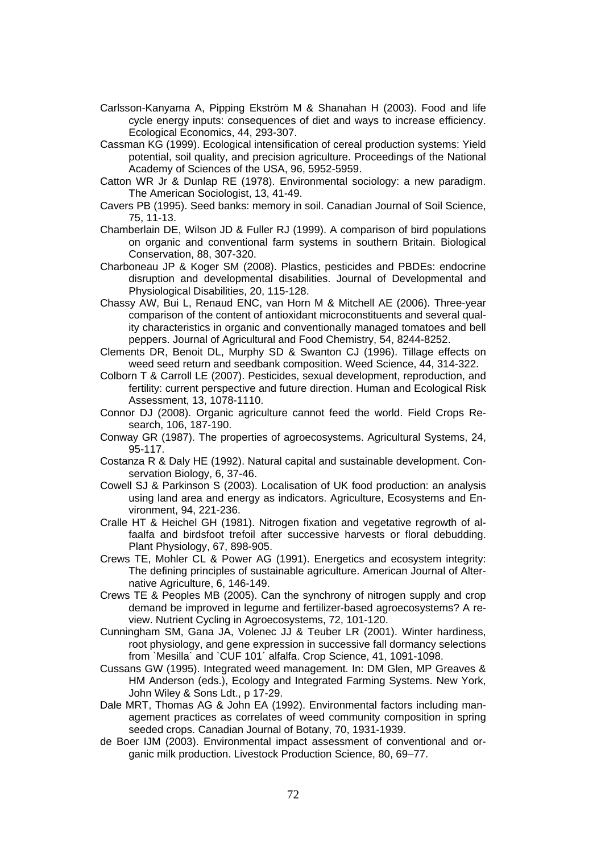- Carlsson-Kanyama A, Pipping Ekström M & Shanahan H (2003). Food and life cycle energy inputs: consequences of diet and ways to increase efficiency. Ecological Economics, 44, 293-307.
- Cassman KG (1999). Ecological intensification of cereal production systems: Yield potential, soil quality, and precision agriculture. Proceedings of the National Academy of Sciences of the USA, 96, 5952-5959.
- Catton WR Jr & Dunlap RE (1978). Environmental sociology: a new paradigm. The American Sociologist, 13, 41-49.
- Cavers PB (1995). Seed banks: memory in soil. Canadian Journal of Soil Science, 75, 11-13.
- Chamberlain DE, Wilson JD & Fuller RJ (1999). A comparison of bird populations on organic and conventional farm systems in southern Britain. Biological Conservation, 88, 307-320.
- Charboneau JP & Koger SM (2008). Plastics, pesticides and PBDEs: endocrine disruption and developmental disabilities. Journal of Developmental and Physiological Disabilities, 20, 115-128.
- Chassy AW, Bui L, Renaud ENC, van Horn M & Mitchell AE (2006). Three-year comparison of the content of antioxidant microconstituents and several quality characteristics in organic and conventionally managed tomatoes and bell peppers. Journal of Agricultural and Food Chemistry, 54, 8244-8252.
- Clements DR, Benoit DL, Murphy SD & Swanton CJ (1996). Tillage effects on weed seed return and seedbank composition. Weed Science, 44, 314-322.
- Colborn T & Carroll LE (2007). Pesticides, sexual development, reproduction, and fertility: current perspective and future direction. Human and Ecological Risk Assessment, 13, 1078-1110.
- Connor DJ (2008). Organic agriculture cannot feed the world. Field Crops Research, 106, 187-190.
- Conway GR (1987). The properties of agroecosystems. Agricultural Systems, 24, 95-117.
- Costanza R & Daly HE (1992). Natural capital and sustainable development. Conservation Biology, 6, 37-46.
- Cowell SJ & Parkinson S (2003). Localisation of UK food production: an analysis using land area and energy as indicators. Agriculture, Ecosystems and Environment, 94, 221-236.
- Cralle HT & Heichel GH (1981). Nitrogen fixation and vegetative regrowth of alfaalfa and birdsfoot trefoil after successive harvests or floral debudding. Plant Physiology, 67, 898-905.
- Crews TE, Mohler CL & Power AG (1991). Energetics and ecosystem integrity: The defining principles of sustainable agriculture. American Journal of Alternative Agriculture, 6, 146-149.
- Crews TE & Peoples MB (2005). Can the synchrony of nitrogen supply and crop demand be improved in legume and fertilizer-based agroecosystems? A review. Nutrient Cycling in Agroecosystems, 72, 101-120.
- Cunningham SM, Gana JA, Volenec JJ & Teuber LR (2001). Winter hardiness, root physiology, and gene expression in successive fall dormancy selections from `Mesilla´ and `CUF 101´ alfalfa. Crop Science, 41, 1091-1098.
- Cussans GW (1995). Integrated weed management. In: DM Glen, MP Greaves & HM Anderson (eds.), Ecology and Integrated Farming Systems. New York, John Wiley & Sons Ldt., p 17-29.
- Dale MRT, Thomas AG & John EA (1992). Environmental factors including management practices as correlates of weed community composition in spring seeded crops. Canadian Journal of Botany, 70, 1931-1939.
- de Boer IJM (2003). Environmental impact assessment of conventional and organic milk production. Livestock Production Science, 80, 69–77.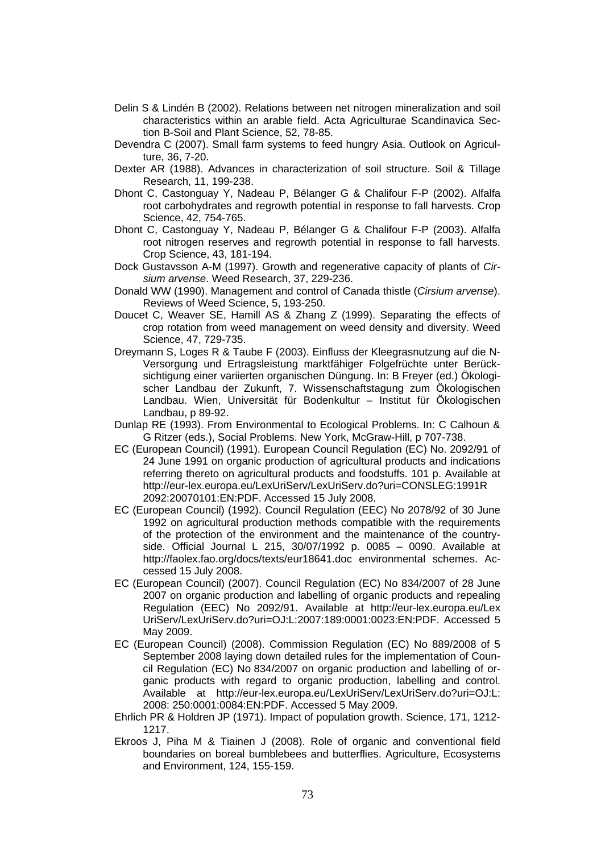- Delin S & Lindén B (2002). Relations between net nitrogen mineralization and soil characteristics within an arable field. Acta Agriculturae Scandinavica Section B-Soil and Plant Science, 52, 78-85.
- Devendra C (2007). Small farm systems to feed hungry Asia. Outlook on Agriculture, 36, 7-20.
- Dexter AR (1988). Advances in characterization of soil structure. Soil & Tillage Research, 11, 199-238.
- Dhont C, Castonguay Y, Nadeau P, Bélanger G & Chalifour F-P (2002). Alfalfa root carbohydrates and regrowth potential in response to fall harvests. Crop Science, 42, 754-765.
- Dhont C, Castonguay Y, Nadeau P, Bélanger G & Chalifour F-P (2003). Alfalfa root nitrogen reserves and regrowth potential in response to fall harvests. Crop Science, 43, 181-194.
- Dock Gustavsson A-M (1997). Growth and regenerative capacity of plants of *Cirsium arvense*. Weed Research, 37, 229-236.
- Donald WW (1990). Management and control of Canada thistle (*Cirsium arvense*). Reviews of Weed Science, 5, 193-250.
- Doucet C, Weaver SE, Hamill AS & Zhang Z (1999). Separating the effects of crop rotation from weed management on weed density and diversity. Weed Science, 47, 729-735.
- Dreymann S, Loges R & Taube F (2003). Einfluss der Kleegrasnutzung auf die N-Versorgung und Ertragsleistung marktfähiger Folgefrüchte unter Berücksichtigung einer variierten organischen Düngung. In: B Freyer (ed.) Ökologischer Landbau der Zukunft, 7. Wissenschaftstagung zum Ökologischen Landbau. Wien, Universität für Bodenkultur – Institut für Ökologischen Landbau, p 89-92.
- Dunlap RE (1993). From Environmental to Ecological Problems. In: C Calhoun & G Ritzer (eds.), Social Problems. New York, McGraw-Hill, p 707-738.
- EC (European Council) (1991). European Council Regulation (EC) No. 2092/91 of 24 June 1991 on organic production of agricultural products and indications referring thereto on agricultural products and foodstuffs. 101 p. Available at http://eur-lex.europa.eu/LexUriServ/LexUriServ.do?uri=CONSLEG:1991R 2092:20070101:EN:PDF. Accessed 15 July 2008.
- EC (European Council) (1992). Council Regulation (EEC) No 2078/92 of 30 June 1992 on agricultural production methods compatible with the requirements of the protection of the environment and the maintenance of the countryside. Official Journal L 215, 30/07/1992 p. 0085 – 0090. Available at http://faolex.fao.org/docs/texts/eur18641.doc environmental schemes. Accessed 15 July 2008.
- EC (European Council) (2007). Council Regulation (EC) No 834/2007 of 28 June 2007 on organic production and labelling of organic products and repealing Regulation (EEC) No 2092/91. Available at http://eur-lex.europa.eu/Lex UriServ/LexUriServ.do?uri=OJ:L:2007:189:0001:0023:EN:PDF. Accessed 5 May 2009.
- EC (European Council) (2008). Commission Regulation (EC) No 889/2008 of 5 September 2008 laying down detailed rules for the implementation of Council Regulation (EC) No 834/2007 on organic production and labelling of organic products with regard to organic production, labelling and control. Available at http://eur-lex.europa.eu/LexUriServ/LexUriServ.do?uri=OJ:L: 2008: 250:0001:0084:EN:PDF. Accessed 5 May 2009.
- Ehrlich PR & Holdren JP (1971). Impact of population growth. Science, 171, 1212- 1217.
- Ekroos J, Piha M & Tiainen J (2008). Role of organic and conventional field boundaries on boreal bumblebees and butterflies. Agriculture, Ecosystems and Environment, 124, 155-159.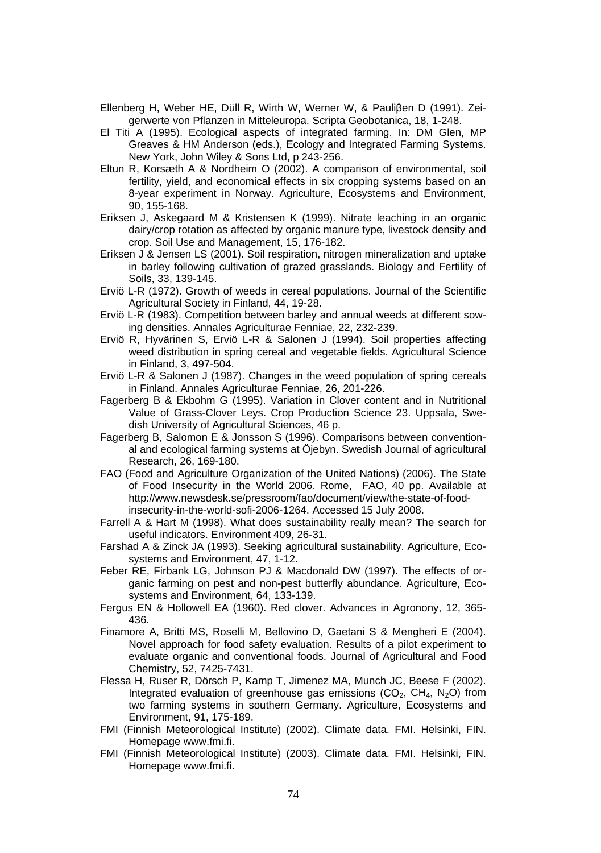- Ellenberg H, Weber HE, Düll R, Wirth W, Werner W, & Pauliβen D (1991). Zeigerwerte von Pflanzen in Mitteleuropa. Scripta Geobotanica, 18, 1-248.
- El Titi A (1995). Ecological aspects of integrated farming. In: DM Glen, MP Greaves & HM Anderson (eds.), Ecology and Integrated Farming Systems. New York, John Wiley & Sons Ltd, p 243-256.
- Eltun R, Korsæth A & Nordheim O (2002). A comparison of environmental, soil fertility, yield, and economical effects in six cropping systems based on an 8-year experiment in Norway. Agriculture, Ecosystems and Environment, 90, 155-168.
- Eriksen J, Askegaard M & Kristensen K (1999). Nitrate leaching in an organic dairy/crop rotation as affected by organic manure type, livestock density and crop. Soil Use and Management, 15, 176-182.
- Eriksen J & Jensen LS (2001). Soil respiration, nitrogen mineralization and uptake in barley following cultivation of grazed grasslands. Biology and Fertility of Soils, 33, 139-145.
- Erviö L-R (1972). Growth of weeds in cereal populations. Journal of the Scientific Agricultural Society in Finland, 44, 19-28.
- Erviö L-R (1983). Competition between barley and annual weeds at different sowing densities. Annales Agriculturae Fenniae, 22, 232-239.
- Erviö R, Hyvärinen S, Erviö L-R & Salonen J (1994). Soil properties affecting weed distribution in spring cereal and vegetable fields. Agricultural Science in Finland, 3, 497-504.
- Erviö L-R & Salonen J (1987). Changes in the weed population of spring cereals in Finland. Annales Agriculturae Fenniae, 26, 201-226.
- Fagerberg B & Ekbohm G (1995). Variation in Clover content and in Nutritional Value of Grass-Clover Leys. Crop Production Science 23. Uppsala, Swedish University of Agricultural Sciences, 46 p.
- Fagerberg B, Salomon E & Jonsson S (1996). Comparisons between conventional and ecological farming systems at Öjebyn. Swedish Journal of agricultural Research, 26, 169-180.
- FAO (Food and Agriculture Organization of the United Nations) (2006). The State of Food Insecurity in the World 2006. Rome, FAO, 40 pp. Available at http://www.newsdesk.se/pressroom/fao/document/view/the-state-of-foodinsecurity-in-the-world-sofi-2006-1264. Accessed 15 July 2008.
- Farrell A & Hart M (1998). What does sustainability really mean? The search for useful indicators. Environment 409, 26-31.
- Farshad A & Zinck JA (1993). Seeking agricultural sustainability. Agriculture, Ecosystems and Environment, 47, 1-12.
- Feber RE, Firbank LG, Johnson PJ & Macdonald DW (1997). The effects of organic farming on pest and non-pest butterfly abundance. Agriculture, Ecosystems and Environment, 64, 133-139.
- Fergus EN & Hollowell EA (1960). Red clover. Advances in Agronony, 12, 365- 436.
- Finamore A, Britti MS, Roselli M, Bellovino D, Gaetani S & Mengheri E (2004). Novel approach for food safety evaluation. Results of a pilot experiment to evaluate organic and conventional foods. Journal of Agricultural and Food Chemistry, 52, 7425-7431.
- Flessa H, Ruser R, Dörsch P, Kamp T, Jimenez MA, Munch JC, Beese F (2002). Integrated evaluation of greenhouse gas emissions  $(CO<sub>2</sub>, CH<sub>4</sub>, N<sub>2</sub>O)$  from two farming systems in southern Germany. Agriculture, Ecosystems and Environment, 91, 175-189.
- FMI (Finnish Meteorological Institute) (2002). Climate data. FMI. Helsinki, FIN. Homepage www.fmi.fi.
- FMI (Finnish Meteorological Institute) (2003). Climate data. FMI. Helsinki, FIN. Homepage www.fmi.fi.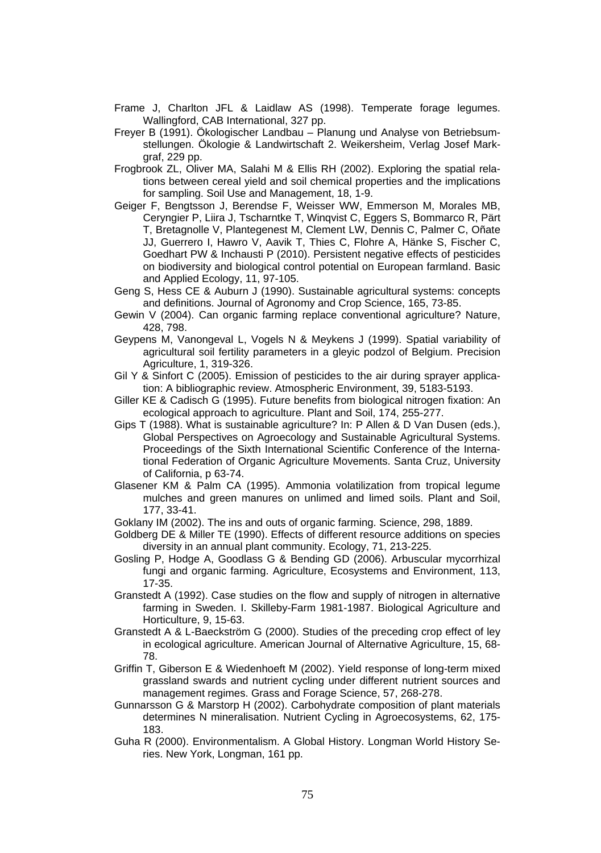- Frame J, Charlton JFL & Laidlaw AS (1998). Temperate forage legumes. Wallingford, CAB International, 327 pp.
- Freyer B (1991). Ökologischer Landbau Planung und Analyse von Betriebsumstellungen. Ökologie & Landwirtschaft 2. Weikersheim, Verlag Josef Markgraf, 229 pp.
- Frogbrook ZL, Oliver MA, Salahi M & Ellis RH (2002). Exploring the spatial relations between cereal yield and soil chemical properties and the implications for sampling. Soil Use and Management, 18, 1-9.
- Geiger F, Bengtsson J, Berendse F, Weisser WW, Emmerson M, Morales MB, Ceryngier P, Liira J, Tscharntke T, Winqvist C, Eggers S, Bommarco R, Pärt T, Bretagnolle V, Plantegenest M, Clement LW, Dennis C, Palmer C, Oñate JJ, Guerrero I, Hawro V, Aavik T, Thies C, Flohre A, Hänke S, Fischer C, Goedhart PW & Inchausti P (2010). Persistent negative effects of pesticides on biodiversity and biological control potential on European farmland. Basic and Applied Ecology, 11, 97-105.
- Geng S, Hess CE & Auburn J (1990). Sustainable agricultural systems: concepts and definitions. Journal of Agronomy and Crop Science, 165, 73-85.
- Gewin V (2004). Can organic farming replace conventional agriculture? Nature, 428, 798.
- Geypens M, Vanongeval L, Vogels N & Meykens J (1999). Spatial variability of agricultural soil fertility parameters in a gleyic podzol of Belgium. Precision Agriculture, 1, 319-326.
- Gil Y & Sinfort C (2005). Emission of pesticides to the air during sprayer application: A bibliographic review. Atmospheric Environment, 39, 5183-5193.
- Giller KE & Cadisch G (1995). Future benefits from biological nitrogen fixation: An ecological approach to agriculture. Plant and Soil, 174, 255-277.
- Gips T (1988). What is sustainable agriculture? In: P Allen & D Van Dusen (eds.), Global Perspectives on Agroecology and Sustainable Agricultural Systems. Proceedings of the Sixth International Scientific Conference of the International Federation of Organic Agriculture Movements. Santa Cruz, University of California, p 63-74.
- Glasener KM & Palm CA (1995). Ammonia volatilization from tropical legume mulches and green manures on unlimed and limed soils. Plant and Soil, 177, 33-41.
- Goklany IM (2002). The ins and outs of organic farming. Science, 298, 1889.
- Goldberg DE & Miller TE (1990). Effects of different resource additions on species diversity in an annual plant community. Ecology, 71, 213-225.
- Gosling P, Hodge A, Goodlass G & Bending GD (2006). Arbuscular mycorrhizal fungi and organic farming. Agriculture, Ecosystems and Environment, 113, 17-35.
- Granstedt A (1992). Case studies on the flow and supply of nitrogen in alternative farming in Sweden. I. Skilleby-Farm 1981-1987. Biological Agriculture and Horticulture, 9, 15-63.
- Granstedt A & L-Baeckström G (2000). Studies of the preceding crop effect of ley in ecological agriculture. American Journal of Alternative Agriculture, 15, 68- 78.
- Griffin T, Giberson E & Wiedenhoeft M (2002). Yield response of long-term mixed grassland swards and nutrient cycling under different nutrient sources and management regimes. Grass and Forage Science, 57, 268-278.
- Gunnarsson G & Marstorp H (2002). Carbohydrate composition of plant materials determines N mineralisation. Nutrient Cycling in Agroecosystems, 62, 175- 183.
- Guha R (2000). Environmentalism. A Global History. Longman World History Series. New York, Longman, 161 pp.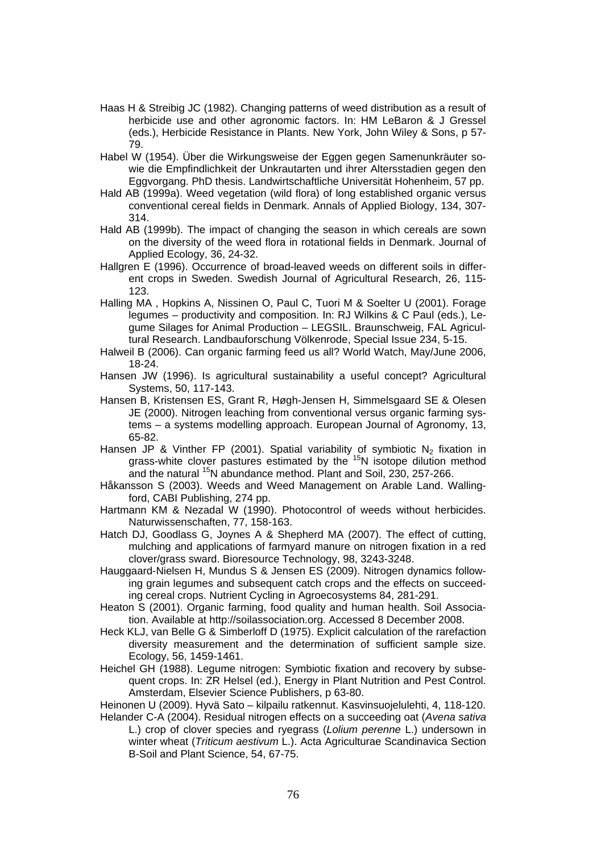- Haas H & Streibig JC (1982). Changing patterns of weed distribution as a result of herbicide use and other agronomic factors. In: HM LeBaron & J Gressel (eds.), Herbicide Resistance in Plants. New York, John Wiley & Sons, p 57- 79.
- Habel W (1954). Über die Wirkungsweise der Eggen gegen Samenunkräuter sowie die Empfindlichkeit der Unkrautarten und ihrer Altersstadien gegen den Eggvorgang. PhD thesis. Landwirtschaftliche Universität Hohenheim, 57 pp.
- Hald AB (1999a). Weed vegetation (wild flora) of long established organic versus conventional cereal fields in Denmark. Annals of Applied Biology, 134, 307- 314.
- Hald AB (1999b). The impact of changing the season in which cereals are sown on the diversity of the weed flora in rotational fields in Denmark. Journal of Applied Ecology, 36, 24-32.
- Hallgren E (1996). Occurrence of broad-leaved weeds on different soils in different crops in Sweden. Swedish Journal of Agricultural Research, 26, 115- 123.
- Halling MA , Hopkins A, Nissinen O, Paul C, Tuori M & Soelter U (2001). Forage legumes – productivity and composition. In: RJ Wilkins & C Paul (eds.), Legume Silages for Animal Production – LEGSIL. Braunschweig, FAL Agricultural Research. Landbauforschung Völkenrode, Special Issue 234, 5-15.
- Halweil B (2006). Can organic farming feed us all? World Watch, May/June 2006, 18-24.
- Hansen JW (1996). Is agricultural sustainability a useful concept? Agricultural Systems, 50, 117-143.
- Hansen B, Kristensen ES, Grant R, Høgh-Jensen H, Simmelsgaard SE & Olesen JE (2000). Nitrogen leaching from conventional versus organic farming systems – a systems modelling approach. European Journal of Agronomy, 13, 65-82.
- Hansen JP & Vinther FP (2001). Spatial variability of symbiotic  $N_2$  fixation in grass-white clover pastures estimated by the <sup>15</sup>N isotope dilution method and the natural <sup>15</sup>N abundance method. Plant and Soil, 230, 257-266.
- Håkansson S (2003). Weeds and Weed Management on Arable Land. Wallingford, CABI Publishing, 274 pp.
- Hartmann KM & Nezadal W (1990). Photocontrol of weeds without herbicides. Naturwissenschaften, 77, 158-163.
- Hatch DJ, Goodlass G, Joynes A & Shepherd MA (2007). The effect of cutting, mulching and applications of farmyard manure on nitrogen fixation in a red clover/grass sward. Bioresource Technology, 98, 3243-3248.
- Hauggaard-Nielsen H, Mundus S & Jensen ES (2009). Nitrogen dynamics following grain legumes and subsequent catch crops and the effects on succeeding cereal crops. Nutrient Cycling in Agroecosystems 84, 281-291.
- Heaton S (2001). Organic farming, food quality and human health. Soil Association. Available at http://soilassociation.org. Accessed 8 December 2008.
- Heck KLJ, van Belle G & Simberloff D (1975). Explicit calculation of the rarefaction diversity measurement and the determination of sufficient sample size. Ecology, 56, 1459-1461.
- Heichel GH (1988). Legume nitrogen: Symbiotic fixation and recovery by subsequent crops. In: ZR Helsel (ed.), Energy in Plant Nutrition and Pest Control. Amsterdam, Elsevier Science Publishers, p 63-80.
- Heinonen U (2009). Hyvä Sato kilpailu ratkennut. Kasvinsuojelulehti, 4, 118-120.
- Helander C-A (2004). Residual nitrogen effects on a succeeding oat (*Avena sativa*  L.) crop of clover species and ryegrass (*Lolium perenne* L.) undersown in winter wheat (*Triticum aestivum* L.). Acta Agriculturae Scandinavica Section B-Soil and Plant Science, 54, 67-75.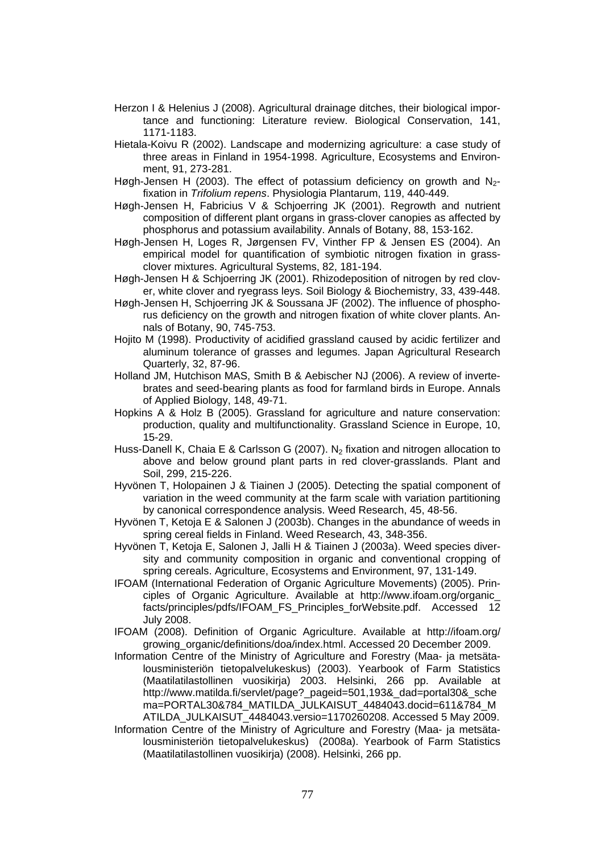- Herzon I & Helenius J (2008). Agricultural drainage ditches, their biological importance and functioning: Literature review. Biological Conservation, 141, 1171-1183.
- Hietala-Koivu R (2002). Landscape and modernizing agriculture: a case study of three areas in Finland in 1954-1998. Agriculture, Ecosystems and Environment, 91, 273-281.
- Høgh-Jensen H (2003). The effect of potassium deficiency on growth and  $N_{2}$ fixation in *Trifolium repens*. Physiologia Plantarum, 119, 440-449.
- Høgh-Jensen H, Fabricius V & Schjoerring JK (2001). Regrowth and nutrient composition of different plant organs in grass-clover canopies as affected by phosphorus and potassium availability. Annals of Botany, 88, 153-162.
- Høgh-Jensen H, Loges R, Jørgensen FV, Vinther FP & Jensen ES (2004). An empirical model for quantification of symbiotic nitrogen fixation in grassclover mixtures. Agricultural Systems, 82, 181-194.
- Høgh-Jensen H & Schjoerring JK (2001). Rhizodeposition of nitrogen by red clover, white clover and ryegrass leys. Soil Biology & Biochemistry, 33, 439-448.
- Høgh-Jensen H, Schjoerring JK & Soussana JF (2002). The influence of phosphorus deficiency on the growth and nitrogen fixation of white clover plants. Annals of Botany, 90, 745-753.
- Hojito M (1998). Productivity of acidified grassland caused by acidic fertilizer and aluminum tolerance of grasses and legumes. Japan Agricultural Research Quarterly, 32, 87-96.
- Holland JM, Hutchison MAS, Smith B & Aebischer NJ (2006). A review of invertebrates and seed-bearing plants as food for farmland birds in Europe. Annals of Applied Biology, 148, 49-71.
- Hopkins A & Holz B (2005). Grassland for agriculture and nature conservation: production, quality and multifunctionality. Grassland Science in Europe, 10, 15-29.
- Huss-Danell K, Chaia E & Carlsson G (2007). N<sub>2</sub> fixation and nitrogen allocation to above and below ground plant parts in red clover-grasslands. Plant and Soil, 299, 215-226.
- Hyvönen T, Holopainen J & Tiainen J (2005). Detecting the spatial component of variation in the weed community at the farm scale with variation partitioning by canonical correspondence analysis. Weed Research, 45, 48-56.
- Hyvönen T, Ketoja E & Salonen J (2003b). Changes in the abundance of weeds in spring cereal fields in Finland. Weed Research, 43, 348-356.
- Hyvönen T, Ketoja E, Salonen J, Jalli H & Tiainen J (2003a). Weed species diversity and community composition in organic and conventional cropping of spring cereals. Agriculture, Ecosystems and Environment, 97, 131-149.
- IFOAM (International Federation of Organic Agriculture Movements) (2005). Principles of Organic Agriculture. Available at http://www.ifoam.org/organic\_ facts/principles/pdfs/IFOAM\_FS\_Principles\_forWebsite.pdf. Accessed 12 July 2008.
- IFOAM (2008). Definition of Organic Agriculture. Available at http://ifoam.org/ growing\_organic/definitions/doa/index.html. Accessed 20 December 2009.
- Information Centre of the Ministry of Agriculture and Forestry (Maa- ja metsätalousministeriön tietopalvelukeskus) (2003). Yearbook of Farm Statistics (Maatilatilastollinen vuosikirja) 2003. Helsinki, 266 pp. Available at http://www.matilda.fi/servlet/page?\_pageid=501,193&\_dad=portal30&\_sche ma=PORTAL30&784\_MATILDA\_JULKAISUT\_4484043.docid=611&784\_M ATILDA\_JULKAISUT\_4484043.versio=1170260208. Accessed 5 May 2009.
- Information Centre of the Ministry of Agriculture and Forestry (Maa- ja metsätalousministeriön tietopalvelukeskus) (2008a). Yearbook of Farm Statistics (Maatilatilastollinen vuosikirja) (2008). Helsinki, 266 pp.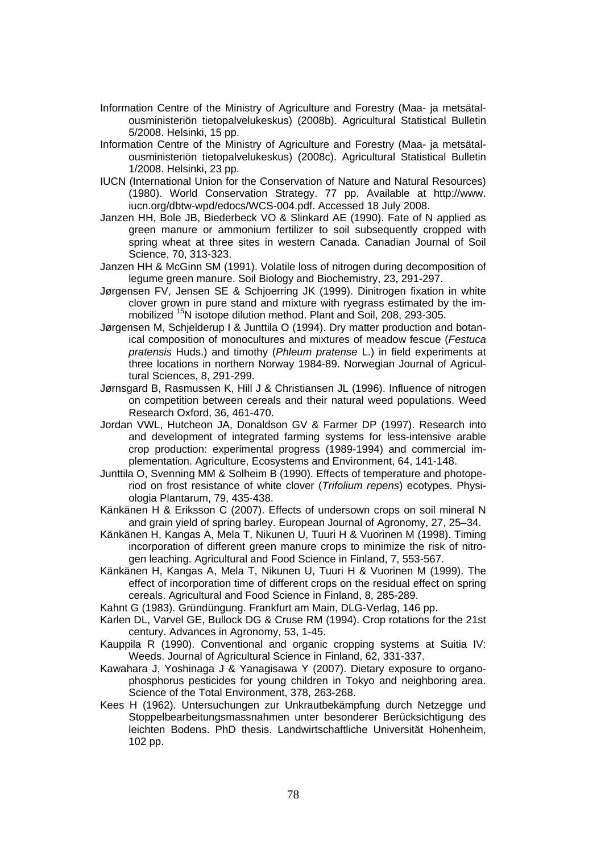- Information Centre of the Ministry of Agriculture and Forestry (Maa- ja metsätalousministeriön tietopalvelukeskus) (2008b). Agricultural Statistical Bulletin 5/2008. Helsinki, 15 pp.
- Information Centre of the Ministry of Agriculture and Forestry (Maa- ja metsätalousministeriön tietopalvelukeskus) (2008c). Agricultural Statistical Bulletin 1/2008. Helsinki, 23 pp.
- IUCN (International Union for the Conservation of Nature and Natural Resources) (1980). World Conservation Strategy. 77 pp. Available at http://www. iucn.org/dbtw-wpd/edocs/WCS-004.pdf. Accessed 18 July 2008.
- Janzen HH, Bole JB, Biederbeck VO & Slinkard AE (1990). Fate of N applied as green manure or ammonium fertilizer to soil subsequently cropped with spring wheat at three sites in western Canada. Canadian Journal of Soil Science, 70, 313-323.
- Janzen HH & McGinn SM (1991). Volatile loss of nitrogen during decomposition of legume green manure. Soil Biology and Biochemistry, 23, 291-297.
- Jørgensen FV, Jensen SE & Schjoerring JK (1999). Dinitrogen fixation in white clover grown in pure stand and mixture with ryegrass estimated by the immobilized <sup>15</sup>N isotope dilution method. Plant and Soil, 208, 293-305.
- Jørgensen M, Schjelderup I & Junttila O (1994). Dry matter production and botanical composition of monocultures and mixtures of meadow fescue (*Festuca pratensis* Huds.) and timothy (*Phleum pratense* L.) in field experiments at three locations in northern Norway 1984-89. Norwegian Journal of Agricultural Sciences, 8, 291-299.
- Jørnsgard B, Rasmussen K, Hill J & Christiansen JL (1996). Influence of nitrogen on competition between cereals and their natural weed populations. Weed Research Oxford, 36, 461-470.
- Jordan VWL, Hutcheon JA, Donaldson GV & Farmer DP (1997). Research into and development of integrated farming systems for less-intensive arable crop production: experimental progress (1989-1994) and commercial implementation. Agriculture, Ecosystems and Environment, 64, 141-148.
- Junttila O, Svenning MM & Solheim B (1990). Effects of temperature and photoperiod on frost resistance of white clover (*Trifolium repens*) ecotypes. Physiologia Plantarum, 79, 435-438.
- Känkänen H & Eriksson C (2007). Effects of undersown crops on soil mineral N and grain yield of spring barley. European Journal of Agronomy, 27, 25–34.
- Känkänen H, Kangas A, Mela T, Nikunen U, Tuuri H & Vuorinen M (1998). Timing incorporation of different green manure crops to minimize the risk of nitrogen leaching. Agricultural and Food Science in Finland, 7, 553-567.
- Känkänen H, Kangas A, Mela T, Nikunen U, Tuuri H & Vuorinen M (1999). The effect of incorporation time of different crops on the residual effect on spring cereals. Agricultural and Food Science in Finland, 8, 285-289.
- Kahnt G (1983). Gründüngung. Frankfurt am Main, DLG-Verlag, 146 pp.
- Karlen DL, Varvel GE, Bullock DG & Cruse RM (1994). Crop rotations for the 21st century. Advances in Agronomy, 53, 1-45.
- Kauppila R (1990). Conventional and organic cropping systems at Suitia IV: Weeds. Journal of Agricultural Science in Finland, 62, 331-337.
- Kawahara J, Yoshinaga J & Yanagisawa Y (2007). Dietary exposure to organophosphorus pesticides for young children in Tokyo and neighboring area. Science of the Total Environment, 378, 263-268.
- Kees H (1962). Untersuchungen zur Unkrautbekämpfung durch Netzegge und Stoppelbearbeitungsmassnahmen unter besonderer Berücksichtigung des leichten Bodens. PhD thesis. Landwirtschaftliche Universität Hohenheim, 102 pp.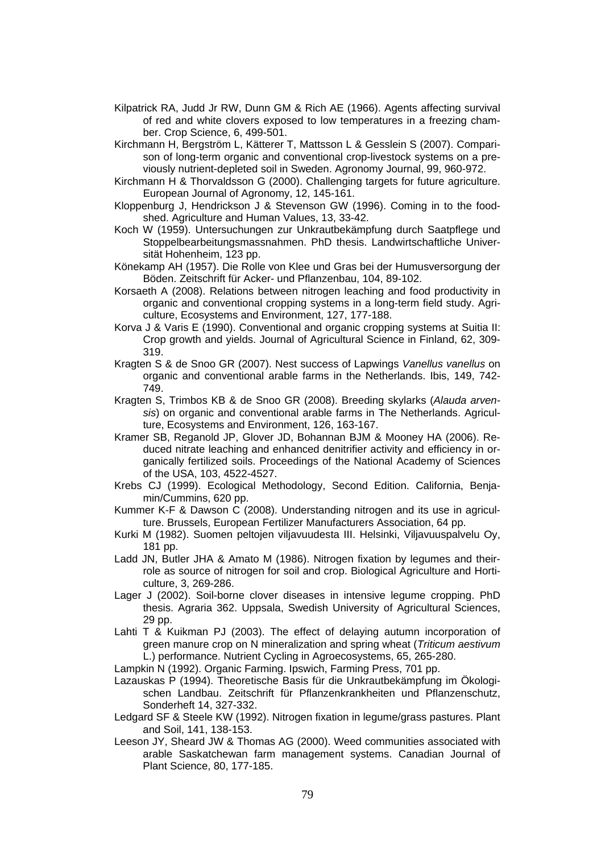- Kilpatrick RA, Judd Jr RW, Dunn GM & Rich AE (1966). Agents affecting survival of red and white clovers exposed to low temperatures in a freezing chamber. Crop Science, 6, 499-501.
- Kirchmann H, Bergström L, Kätterer T, Mattsson L & Gesslein S (2007). Comparison of long-term organic and conventional crop-livestock systems on a previously nutrient-depleted soil in Sweden. Agronomy Journal, 99, 960-972.
- Kirchmann H & Thorvaldsson G (2000). Challenging targets for future agriculture. European Journal of Agronomy, 12, 145-161.
- Kloppenburg J, Hendrickson J & Stevenson GW (1996). Coming in to the foodshed. Agriculture and Human Values, 13, 33-42.
- Koch W (1959). Untersuchungen zur Unkrautbekämpfung durch Saatpflege und Stoppelbearbeitungsmassnahmen. PhD thesis. Landwirtschaftliche Universität Hohenheim, 123 pp.
- Könekamp AH (1957). Die Rolle von Klee und Gras bei der Humusversorgung der Böden. Zeitschrift für Acker- und Pflanzenbau, 104, 89-102.
- Korsaeth A (2008). Relations between nitrogen leaching and food productivity in organic and conventional cropping systems in a long-term field study. Agriculture, Ecosystems and Environment, 127, 177-188.
- Korva J & Varis E (1990). Conventional and organic cropping systems at Suitia II: Crop growth and yields. Journal of Agricultural Science in Finland, 62, 309- 319.
- Kragten S & de Snoo GR (2007). Nest success of Lapwings *Vanellus vanellus* on organic and conventional arable farms in the Netherlands. Ibis, 149, 742- 749.
- Kragten S, Trimbos KB & de Snoo GR (2008). Breeding skylarks (*Alauda arvensis*) on organic and conventional arable farms in The Netherlands. Agriculture, Ecosystems and Environment, 126, 163-167.
- Kramer SB, Reganold JP, Glover JD, Bohannan BJM & Mooney HA (2006). Reduced nitrate leaching and enhanced denitrifier activity and efficiency in organically fertilized soils. Proceedings of the National Academy of Sciences of the USA, 103, 4522-4527.
- Krebs CJ (1999). Ecological Methodology, Second Edition. California, Benjamin/Cummins, 620 pp.
- Kummer K-F & Dawson C (2008). Understanding nitrogen and its use in agriculture. Brussels, European Fertilizer Manufacturers Association, 64 pp.
- Kurki M (1982). Suomen peltojen viljavuudesta III. Helsinki, Viljavuuspalvelu Oy, 181 pp.
- Ladd JN, Butler JHA & Amato M (1986). Nitrogen fixation by legumes and theirrole as source of nitrogen for soil and crop. Biological Agriculture and Horticulture, 3, 269-286.
- Lager J (2002). Soil-borne clover diseases in intensive legume cropping. PhD thesis. Agraria 362. Uppsala, Swedish University of Agricultural Sciences, 29 pp.
- Lahti T & Kuikman PJ (2003). The effect of delaying autumn incorporation of green manure crop on N mineralization and spring wheat (*Triticum aestivum* L.) performance. Nutrient Cycling in Agroecosystems, 65, 265-280.

Lampkin N (1992). Organic Farming. Ipswich, Farming Press, 701 pp.

- Lazauskas P (1994). Theoretische Basis für die Unkrautbekämpfung im Ökologischen Landbau. Zeitschrift für Pflanzenkrankheiten und Pflanzenschutz, Sonderheft 14, 327-332.
- Ledgard SF & Steele KW (1992). Nitrogen fixation in legume/grass pastures. Plant and Soil, 141, 138-153.
- Leeson JY, Sheard JW & Thomas AG (2000). Weed communities associated with arable Saskatchewan farm management systems. Canadian Journal of Plant Science, 80, 177-185.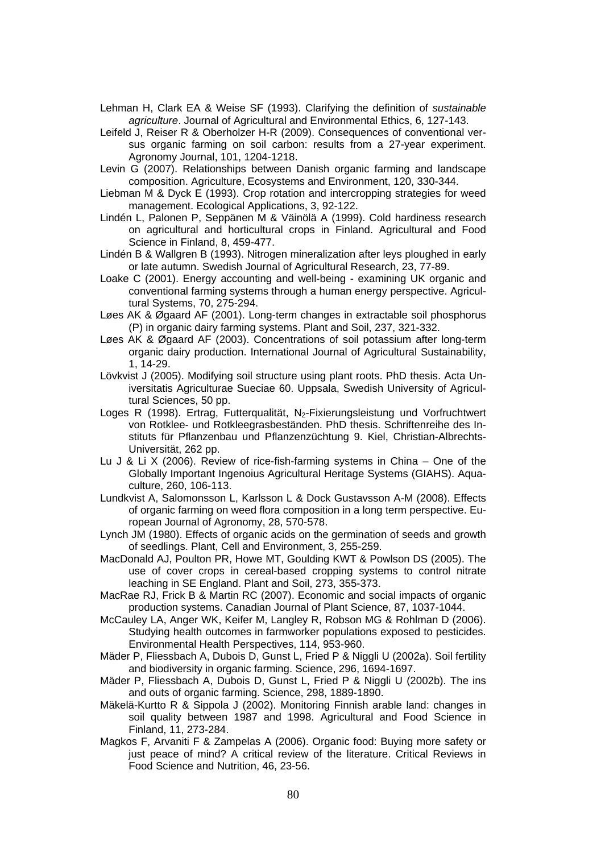Lehman H, Clark EA & Weise SF (1993). Clarifying the definition of *sustainable agriculture*. Journal of Agricultural and Environmental Ethics, 6, 127-143.

- Leifeld J, Reiser R & Oberholzer H-R (2009). Consequences of conventional versus organic farming on soil carbon: results from a 27-year experiment. Agronomy Journal, 101, 1204-1218.
- Levin G (2007). Relationships between Danish organic farming and landscape composition. Agriculture, Ecosystems and Environment, 120, 330-344.
- Liebman M & Dyck E (1993). Crop rotation and intercropping strategies for weed management. Ecological Applications, 3, 92-122.
- Lindén L, Palonen P, Seppänen M & Väinölä A (1999). Cold hardiness research on agricultural and horticultural crops in Finland. Agricultural and Food Science in Finland, 8, 459-477.
- Lindén B & Wallgren B (1993). Nitrogen mineralization after leys ploughed in early or late autumn. Swedish Journal of Agricultural Research, 23, 77-89.
- Loake C (2001). Energy accounting and well-being examining UK organic and conventional farming systems through a human energy perspective. Agricultural Systems, 70, 275-294.
- Løes AK & Øgaard AF (2001). Long-term changes in extractable soil phosphorus (P) in organic dairy farming systems. Plant and Soil, 237, 321-332.
- Løes AK & Øgaard AF (2003). Concentrations of soil potassium after long-term organic dairy production. International Journal of Agricultural Sustainability, 1, 14-29.
- Lövkvist J (2005). Modifying soil structure using plant roots. PhD thesis. Acta Universitatis Agriculturae Sueciae 60. Uppsala, Swedish University of Agricultural Sciences, 50 pp.
- Loges R (1998). Ertrag, Futterqualität, N<sub>2</sub>-Fixierungsleistung und Vorfruchtwert von Rotklee- und Rotkleegrasbeständen. PhD thesis. Schriftenreihe des Instituts für Pflanzenbau und Pflanzenzüchtung 9. Kiel, Christian-Albrechts-Universität, 262 pp.
- Lu J & Li X (2006). Review of rice-fish-farming systems in China One of the Globally Important Ingenoius Agricultural Heritage Systems (GIAHS). Aquaculture, 260, 106-113.
- Lundkvist A, Salomonsson L, Karlsson L & Dock Gustavsson A-M (2008). Effects of organic farming on weed flora composition in a long term perspective. European Journal of Agronomy, 28, 570-578.
- Lynch JM (1980). Effects of organic acids on the germination of seeds and growth of seedlings. Plant, Cell and Environment, 3, 255-259.
- MacDonald AJ, Poulton PR, Howe MT, Goulding KWT & Powlson DS (2005). The use of cover crops in cereal-based cropping systems to control nitrate leaching in SE England. Plant and Soil, 273, 355-373.
- MacRae RJ, Frick B & Martin RC (2007). Economic and social impacts of organic production systems. Canadian Journal of Plant Science, 87, 1037-1044.
- McCauley LA, Anger WK, Keifer M, Langley R, Robson MG & Rohlman D (2006). Studying health outcomes in farmworker populations exposed to pesticides. Environmental Health Perspectives, 114, 953-960.
- Mäder P, Fliessbach A, Dubois D, Gunst L, Fried P & Niggli U (2002a). Soil fertility and biodiversity in organic farming. Science, 296, 1694-1697.
- Mäder P, Fliessbach A, Dubois D, Gunst L, Fried P & Niggli U (2002b). The ins and outs of organic farming. Science, 298, 1889-1890.
- Mäkelä-Kurtto R & Sippola J (2002). Monitoring Finnish arable land: changes in soil quality between 1987 and 1998. Agricultural and Food Science in Finland, 11, 273-284.
- Magkos F, Arvaniti F & Zampelas A (2006). Organic food: Buying more safety or just peace of mind? A critical review of the literature. Critical Reviews in Food Science and Nutrition, 46, 23-56.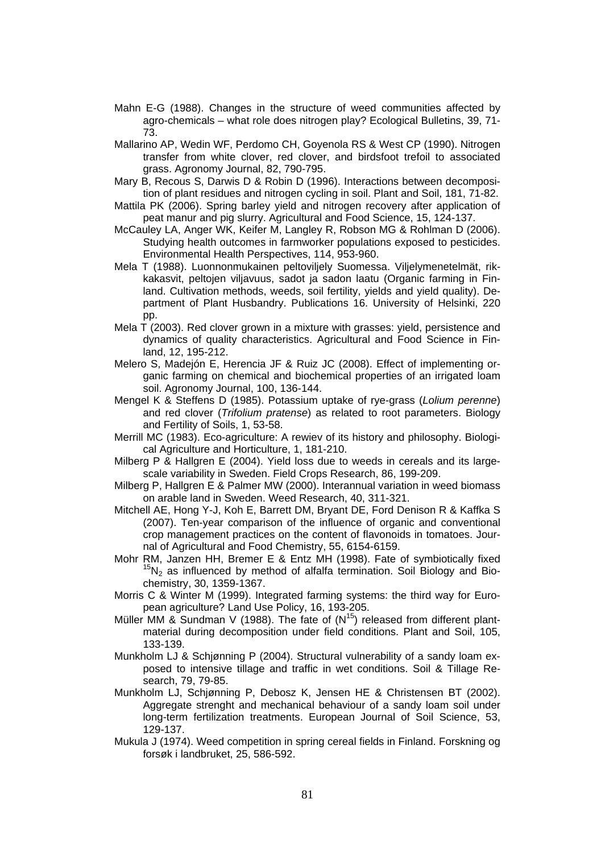- Mahn E-G (1988). Changes in the structure of weed communities affected by agro-chemicals – what role does nitrogen play? Ecological Bulletins, 39, 71- 73.
- Mallarino AP, Wedin WF, Perdomo CH, Goyenola RS & West CP (1990). Nitrogen transfer from white clover, red clover, and birdsfoot trefoil to associated grass. Agronomy Journal, 82, 790-795.
- Mary B, Recous S, Darwis D & Robin D (1996). Interactions between decomposition of plant residues and nitrogen cycling in soil. Plant and Soil, 181, 71-82.
- Mattila PK (2006). Spring barley yield and nitrogen recovery after application of peat manur and pig slurry. Agricultural and Food Science, 15, 124-137.
- McCauley LA, Anger WK, Keifer M, Langley R, Robson MG & Rohlman D (2006). Studying health outcomes in farmworker populations exposed to pesticides. Environmental Health Perspectives, 114, 953-960.
- Mela T (1988). Luonnonmukainen peltoviljely Suomessa. Viljelymenetelmät, rikkakasvit, peltojen viljavuus, sadot ja sadon laatu (Organic farming in Finland. Cultivation methods, weeds, soil fertility, yields and yield quality). Department of Plant Husbandry. Publications 16. University of Helsinki, 220 pp.
- Mela T (2003). Red clover grown in a mixture with grasses: yield, persistence and dynamics of quality characteristics. Agricultural and Food Science in Finland, 12, 195-212.
- Melero S, Madejón E, Herencia JF & Ruiz JC (2008). Effect of implementing organic farming on chemical and biochemical properties of an irrigated loam soil. Agronomy Journal, 100, 136-144.
- Mengel K & Steffens D (1985). Potassium uptake of rye-grass (*Lolium perenne*) and red clover (*Trifolium pratense*) as related to root parameters. Biology and Fertility of Soils, 1, 53-58.
- Merrill MC (1983). Eco-agriculture: A rewiev of its history and philosophy. Biological Agriculture and Horticulture, 1, 181-210.
- Milberg P & Hallgren E (2004). Yield loss due to weeds in cereals and its largescale variability in Sweden. Field Crops Research, 86, 199-209.
- Milberg P, Hallgren E & Palmer MW (2000). Interannual variation in weed biomass on arable land in Sweden. Weed Research, 40, 311-321.
- Mitchell AE, Hong Y-J, Koh E, Barrett DM, Bryant DE, Ford Denison R & Kaffka S (2007). Ten-year comparison of the influence of organic and conventional crop management practices on the content of flavonoids in tomatoes. Jour-
- nal of Agricultural and Food Chemistry, 55, 6154-6159.<br>Mohr RM, Janzen HH, Bremer E & Entz MH (1998). Fate of symbiotically fixed  $^{15}N<sub>2</sub>$  as influenced by method of alfalfa termination. Soil Biology and Biochemistry, 30, 1359-1367.
- Morris C & Winter M (1999). Integrated farming systems: the third way for European agriculture? Land Use Policy, 16, 193-205.
- Müller MM & Sundman V (1988). The fate of  $(N^{15})$  released from different plantmaterial during decomposition under field conditions. Plant and Soil, 105, 133-139.
- Munkholm LJ & Schjønning P (2004). Structural vulnerability of a sandy loam exposed to intensive tillage and traffic in wet conditions. Soil & Tillage Research, 79, 79-85.
- Munkholm LJ, Schjønning P, Debosz K, Jensen HE & Christensen BT (2002). Aggregate strenght and mechanical behaviour of a sandy loam soil under long-term fertilization treatments. European Journal of Soil Science, 53, 129-137.
- Mukula J (1974). Weed competition in spring cereal fields in Finland. Forskning og forsøk i landbruket, 25, 586-592.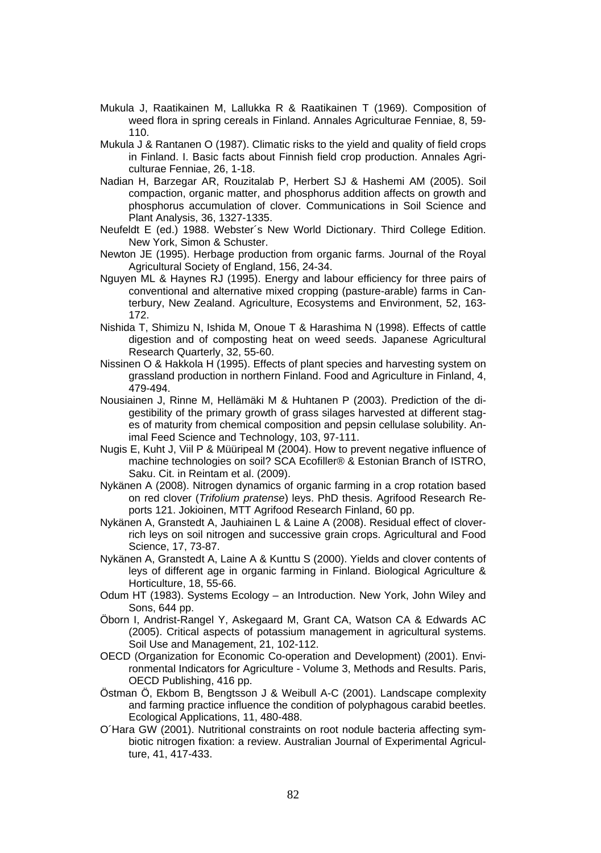- Mukula J, Raatikainen M, Lallukka R & Raatikainen T (1969). Composition of weed flora in spring cereals in Finland. Annales Agriculturae Fenniae, 8, 59- 110.
- Mukula J & Rantanen O (1987). Climatic risks to the yield and quality of field crops in Finland. I. Basic facts about Finnish field crop production. Annales Agriculturae Fenniae, 26, 1-18.
- Nadian H, Barzegar AR, Rouzitalab P, Herbert SJ & Hashemi AM (2005). Soil compaction, organic matter, and phosphorus addition affects on growth and phosphorus accumulation of clover. Communications in Soil Science and Plant Analysis, 36, 1327-1335.
- Neufeldt E (ed.) 1988. Webster´s New World Dictionary. Third College Edition. New York, Simon & Schuster.
- Newton JE (1995). Herbage production from organic farms. Journal of the Royal Agricultural Society of England, 156, 24-34.
- Nguyen ML & Haynes RJ (1995). Energy and labour efficiency for three pairs of conventional and alternative mixed cropping (pasture-arable) farms in Canterbury, New Zealand. Agriculture, Ecosystems and Environment, 52, 163- 172.
- Nishida T, Shimizu N, Ishida M, Onoue T & Harashima N (1998). Effects of cattle digestion and of composting heat on weed seeds. Japanese Agricultural Research Quarterly, 32, 55-60.
- Nissinen O & Hakkola H (1995). Effects of plant species and harvesting system on grassland production in northern Finland. Food and Agriculture in Finland, 4, 479-494.
- Nousiainen J, Rinne M, Hellämäki M & Huhtanen P (2003). Prediction of the digestibility of the primary growth of grass silages harvested at different stages of maturity from chemical composition and pepsin cellulase solubility. Animal Feed Science and Technology, 103, 97-111.
- Nugis E, Kuht J, Viil P & Müüripeal M (2004). How to prevent negative influence of machine technologies on soil? SCA Ecofiller® & Estonian Branch of ISTRO, Saku. Cit. in Reintam et al. (2009).
- Nykänen A (2008). Nitrogen dynamics of organic farming in a crop rotation based on red clover (*Trifolium pratense*) leys. PhD thesis. Agrifood Research Reports 121. Jokioinen, MTT Agrifood Research Finland, 60 pp.
- Nykänen A, Granstedt A, Jauhiainen L & Laine A (2008). Residual effect of cloverrich leys on soil nitrogen and successive grain crops. Agricultural and Food Science, 17, 73-87.
- Nykänen A, Granstedt A, Laine A & Kunttu S (2000). Yields and clover contents of leys of different age in organic farming in Finland. Biological Agriculture & Horticulture, 18, 55-66.
- Odum HT (1983). Systems Ecology an Introduction. New York, John Wiley and Sons, 644 pp.
- Öborn I, Andrist-Rangel Y, Askegaard M, Grant CA, Watson CA & Edwards AC (2005). Critical aspects of potassium management in agricultural systems. Soil Use and Management, 21, 102-112.
- OECD (Organization for Economic Co-operation and Development) (2001). Environmental Indicators for Agriculture - Volume 3, Methods and Results. Paris, OECD Publishing, 416 pp.
- Östman Ö, Ekbom B, Bengtsson J & Weibull A-C (2001). Landscape complexity and farming practice influence the condition of polyphagous carabid beetles. Ecological Applications, 11, 480-488.
- O´Hara GW (2001). Nutritional constraints on root nodule bacteria affecting symbiotic nitrogen fixation: a review. Australian Journal of Experimental Agriculture, 41, 417-433.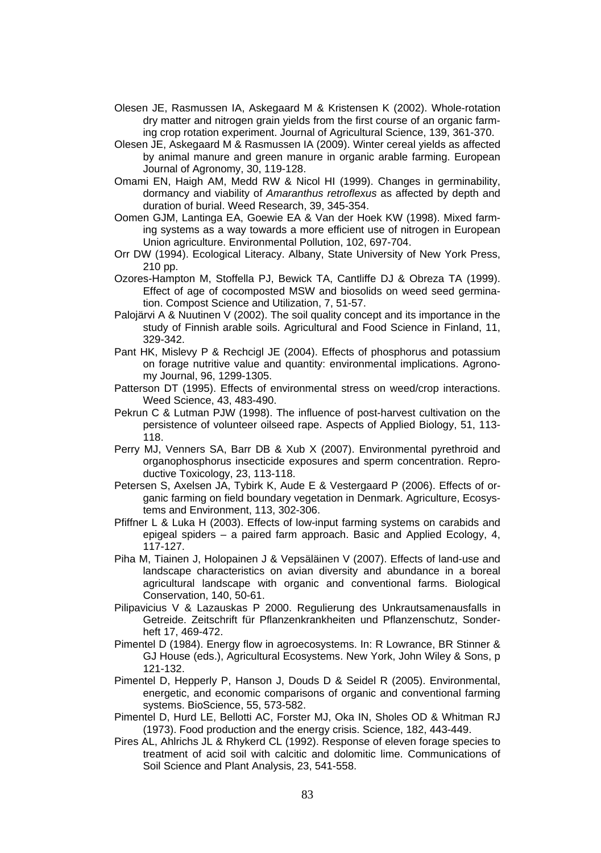- Olesen JE, Rasmussen IA, Askegaard M & Kristensen K (2002). Whole-rotation dry matter and nitrogen grain yields from the first course of an organic farming crop rotation experiment. Journal of Agricultural Science, 139, 361-370.
- Olesen JE, Askegaard M & Rasmussen IA (2009). Winter cereal yields as affected by animal manure and green manure in organic arable farming. European Journal of Agronomy, 30, 119-128.
- Omami EN, Haigh AM, Medd RW & Nicol HI (1999). Changes in germinability, dormancy and viability of *Amaranthus retroflexus* as affected by depth and duration of burial. Weed Research, 39, 345-354.
- Oomen GJM, Lantinga EA, Goewie EA & Van der Hoek KW (1998). Mixed farming systems as a way towards a more efficient use of nitrogen in European Union agriculture. Environmental Pollution, 102, 697-704.
- Orr DW (1994). Ecological Literacy. Albany, State University of New York Press, 210 pp.
- Ozores-Hampton M, Stoffella PJ, Bewick TA, Cantliffe DJ & Obreza TA (1999). Effect of age of cocomposted MSW and biosolids on weed seed germination. Compost Science and Utilization, 7, 51-57.
- Palojärvi A & Nuutinen V (2002). The soil quality concept and its importance in the study of Finnish arable soils. Agricultural and Food Science in Finland, 11, 329-342.
- Pant HK, Mislevy P & Rechcigl JE (2004). Effects of phosphorus and potassium on forage nutritive value and quantity: environmental implications. Agronomy Journal, 96, 1299-1305.
- Patterson DT (1995). Effects of environmental stress on weed/crop interactions. Weed Science, 43, 483-490.
- Pekrun C & Lutman PJW (1998). The influence of post-harvest cultivation on the persistence of volunteer oilseed rape. Aspects of Applied Biology, 51, 113- 118.
- Perry MJ, Venners SA, Barr DB & Xub X (2007). Environmental pyrethroid and organophosphorus insecticide exposures and sperm concentration. Reproductive Toxicology, 23, 113-118.
- Petersen S, Axelsen JA, Tybirk K, Aude E & Vestergaard P (2006). Effects of organic farming on field boundary vegetation in Denmark. Agriculture, Ecosystems and Environment, 113, 302-306.
- Pfiffner L & Luka H (2003). Effects of low-input farming systems on carabids and epigeal spiders – a paired farm approach. Basic and Applied Ecology, 4, 117-127.
- Piha M, Tiainen J, Holopainen J & Vepsäläinen V (2007). Effects of land-use and landscape characteristics on avian diversity and abundance in a boreal agricultural landscape with organic and conventional farms. Biological Conservation, 140, 50-61.
- Pilipavicius V & Lazauskas P 2000. Regulierung des Unkrautsamenausfalls in Getreide. Zeitschrift für Pflanzenkrankheiten und Pflanzenschutz, Sonderheft 17, 469-472.
- Pimentel D (1984). Energy flow in agroecosystems. In: R Lowrance, BR Stinner & GJ House (eds.), Agricultural Ecosystems. New York, John Wiley & Sons, p 121-132.
- Pimentel D, Hepperly P, Hanson J, Douds D & Seidel R (2005). Environmental, energetic, and economic comparisons of organic and conventional farming systems. BioScience, 55, 573-582.
- Pimentel D, Hurd LE, Bellotti AC, Forster MJ, Oka IN, Sholes OD & Whitman RJ (1973). Food production and the energy crisis. Science, 182, 443-449.
- Pires AL, Ahlrichs JL & Rhykerd CL (1992). Response of eleven forage species to treatment of acid soil with calcitic and dolomitic lime. Communications of Soil Science and Plant Analysis, 23, 541-558.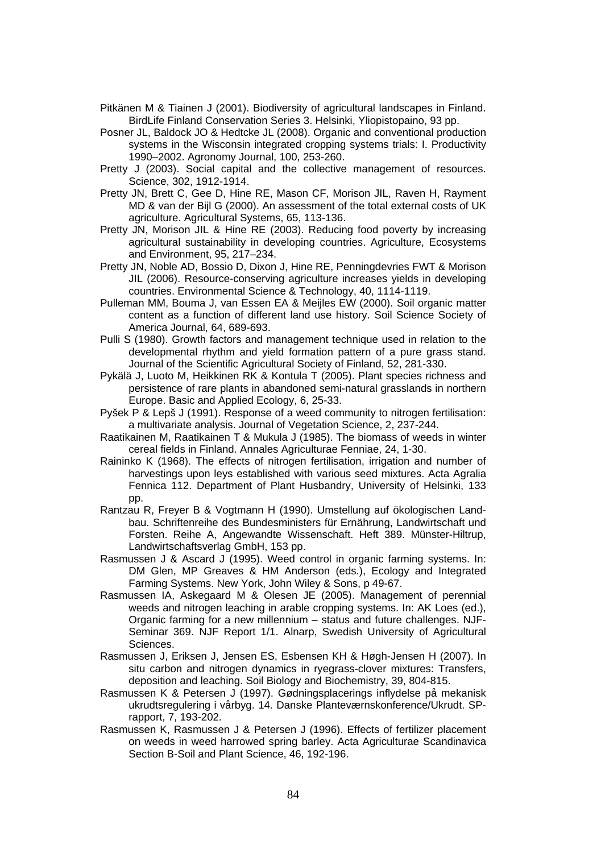- Pitkänen M & Tiainen J (2001). Biodiversity of agricultural landscapes in Finland. BirdLife Finland Conservation Series 3. Helsinki, Yliopistopaino, 93 pp.
- Posner JL, Baldock JO & Hedtcke JL (2008). Organic and conventional production systems in the Wisconsin integrated cropping systems trials: I. Productivity 1990–2002. Agronomy Journal, 100, 253-260.
- Pretty J (2003). Social capital and the collective management of resources. Science, 302, 1912-1914.
- Pretty JN, Brett C, Gee D, Hine RE, Mason CF, Morison JIL, Raven H, Rayment MD & van der Bijl G (2000). An assessment of the total external costs of UK agriculture. Agricultural Systems, 65, 113-136.
- Pretty JN, Morison JIL & Hine RE (2003). Reducing food poverty by increasing agricultural sustainability in developing countries. Agriculture, Ecosystems and Environment, 95, 217–234.
- Pretty JN, Noble AD, Bossio D, Dixon J, Hine RE, Penningdevries FWT & Morison JIL (2006). Resource-conserving agriculture increases yields in developing countries. Environmental Science & Technology, 40, 1114-1119.
- Pulleman MM, Bouma J, van Essen EA & Meijles EW (2000). Soil organic matter content as a function of different land use history. Soil Science Society of America Journal, 64, 689-693.
- Pulli S (1980). Growth factors and management technique used in relation to the developmental rhythm and yield formation pattern of a pure grass stand. Journal of the Scientific Agricultural Society of Finland, 52, 281-330.
- Pykälä J, Luoto M, Heikkinen RK & Kontula T (2005). Plant species richness and persistence of rare plants in abandoned semi-natural grasslands in northern Europe. Basic and Applied Ecology, 6, 25-33.
- Pyšek P & Lepš J (1991). Response of a weed community to nitrogen fertilisation: a multivariate analysis. Journal of Vegetation Science, 2, 237-244.
- Raatikainen M, Raatikainen T & Mukula J (1985). The biomass of weeds in winter cereal fields in Finland. Annales Agriculturae Fenniae, 24, 1-30.
- Raininko K (1968). The effects of nitrogen fertilisation, irrigation and number of harvestings upon leys established with various seed mixtures. Acta Agralia Fennica 112. Department of Plant Husbandry, University of Helsinki, 133 pp.
- Rantzau R, Freyer B & Vogtmann H (1990). Umstellung auf ökologischen Landbau. Schriftenreihe des Bundesministers für Ernährung, Landwirtschaft und Forsten. Reihe A, Angewandte Wissenschaft. Heft 389. Münster-Hiltrup, Landwirtschaftsverlag GmbH, 153 pp.
- Rasmussen J & Ascard J (1995). Weed control in organic farming systems. In: DM Glen, MP Greaves & HM Anderson (eds.), Ecology and Integrated Farming Systems. New York, John Wiley & Sons, p 49-67.
- Rasmussen IA, Askegaard M & Olesen JE (2005). Management of perennial weeds and nitrogen leaching in arable cropping systems. In: AK Loes (ed.), Organic farming for a new millennium – status and future challenges. NJF-Seminar 369. NJF Report 1/1. Alnarp, Swedish University of Agricultural Sciences.
- Rasmussen J, Eriksen J, Jensen ES, Esbensen KH & Høgh-Jensen H (2007). In situ carbon and nitrogen dynamics in ryegrass-clover mixtures: Transfers, deposition and leaching. Soil Biology and Biochemistry, 39, 804-815.
- Rasmussen K & Petersen J (1997). Gødningsplacerings inflydelse på mekanisk ukrudtsregulering i vårbyg. 14. Danske Planteværnskonference/Ukrudt. SPrapport, 7, 193-202.
- Rasmussen K, Rasmussen J & Petersen J (1996). Effects of fertilizer placement on weeds in weed harrowed spring barley. Acta Agriculturae Scandinavica Section B-Soil and Plant Science, 46, 192-196.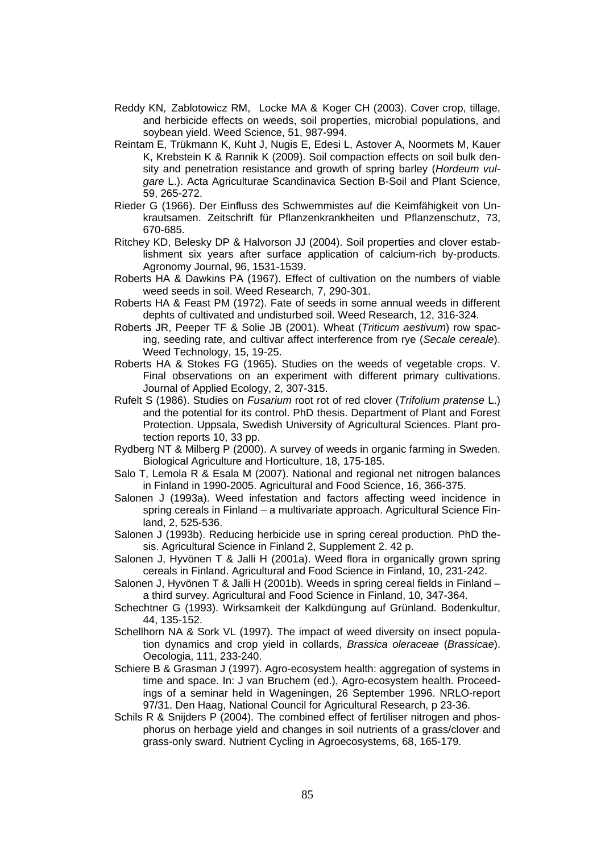- Reddy KN, Zablotowicz RM, Locke MA & Koger CH (2003). Cover crop, tillage, and herbicide effects on weeds, soil properties, microbial populations, and soybean yield. Weed Science, 51, 987-994.
- Reintam E, Trükmann K, Kuht J, Nugis E, Edesi L, Astover A, Noormets M, Kauer K, Krebstein K & Rannik K (2009). Soil compaction effects on soil bulk density and penetration resistance and growth of spring barley (*Hordeum vulgare* L.). Acta Agriculturae Scandinavica Section B-Soil and Plant Science, 59, 265-272.
- Rieder G (1966). Der Einfluss des Schwemmistes auf die Keimfähigkeit von Unkrautsamen. Zeitschrift für Pflanzenkrankheiten und Pflanzenschutz, 73, 670-685.
- Ritchey KD, Belesky DP & Halvorson JJ (2004). Soil properties and clover establishment six years after surface application of calcium-rich by-products. Agronomy Journal, 96, 1531-1539.
- Roberts HA & Dawkins PA (1967). Effect of cultivation on the numbers of viable weed seeds in soil. Weed Research, 7, 290-301.
- Roberts HA & Feast PM (1972). Fate of seeds in some annual weeds in different dephts of cultivated and undisturbed soil. Weed Research, 12, 316-324.
- Roberts JR, Peeper TF & Solie JB (2001). Wheat (*Triticum aestivum*) row spacing, seeding rate, and cultivar affect interference from rye (*Secale cereale*). Weed Technology, 15, 19-25.
- Roberts HA & Stokes FG (1965). Studies on the weeds of vegetable crops. V. Final observations on an experiment with different primary cultivations. Journal of Applied Ecology, 2, 307-315.
- Rufelt S (1986). Studies on *Fusarium* root rot of red clover (*Trifolium pratense* L.) and the potential for its control. PhD thesis. Department of Plant and Forest Protection. Uppsala, Swedish University of Agricultural Sciences. Plant protection reports 10, 33 pp.
- Rydberg NT & Milberg P (2000). A survey of weeds in organic farming in Sweden. Biological Agriculture and Horticulture, 18, 175-185.
- Salo T, Lemola R & Esala M (2007). National and regional net nitrogen balances in Finland in 1990-2005. Agricultural and Food Science, 16, 366-375.
- Salonen J (1993a). Weed infestation and factors affecting weed incidence in spring cereals in Finland – a multivariate approach. Agricultural Science Finland, 2, 525-536.
- Salonen J (1993b). Reducing herbicide use in spring cereal production. PhD thesis. Agricultural Science in Finland 2, Supplement 2. 42 p.
- Salonen J, Hyvönen T & Jalli H (2001a). Weed flora in organically grown spring cereals in Finland. Agricultural and Food Science in Finland, 10, 231-242.
- Salonen J, Hyvönen T & Jalli H (2001b). Weeds in spring cereal fields in Finland a third survey. Agricultural and Food Science in Finland, 10, 347-364.
- Schechtner G (1993). Wirksamkeit der Kalkdüngung auf Grünland. Bodenkultur, 44, 135-152.
- Schellhorn NA & Sork VL (1997). The impact of weed diversity on insect population dynamics and crop yield in collards, *Brassica oleraceae* (*Brassicae*). Oecologia, 111, 233-240.
- Schiere B & Grasman J (1997). Agro-ecosystem health: aggregation of systems in time and space. In: J van Bruchem (ed.), Agro-ecosystem health. Proceedings of a seminar held in Wageningen, 26 September 1996. NRLO-report 97/31. Den Haag, National Council for Agricultural Research, p 23-36.
- Schils R & Snijders P (2004). The combined effect of fertiliser nitrogen and phosphorus on herbage yield and changes in soil nutrients of a grass/clover and grass-only sward. Nutrient Cycling in Agroecosystems, 68, 165-179.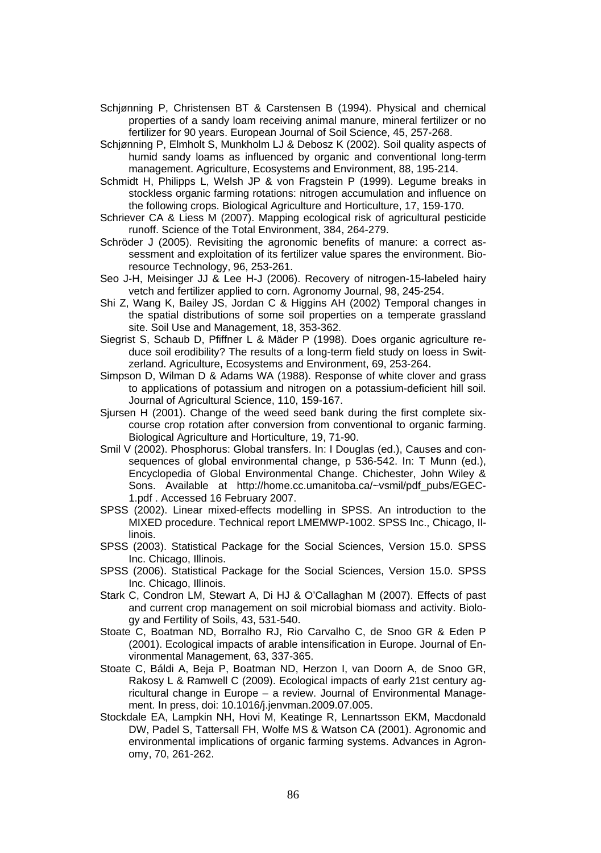- Schjønning P, Christensen BT & Carstensen B (1994). Physical and chemical properties of a sandy loam receiving animal manure, mineral fertilizer or no fertilizer for 90 years. European Journal of Soil Science, 45, 257-268.
- Schjønning P, Elmholt S, Munkholm LJ & Debosz K (2002). Soil quality aspects of humid sandy loams as influenced by organic and conventional long-term management. Agriculture, Ecosystems and Environment, 88, 195-214.
- Schmidt H, Philipps L, Welsh JP & von Fragstein P (1999). Legume breaks in stockless organic farming rotations: nitrogen accumulation and influence on the following crops. Biological Agriculture and Horticulture, 17, 159-170.
- Schriever CA & Liess M (2007). Mapping ecological risk of agricultural pesticide runoff. Science of the Total Environment, 384, 264-279.
- Schröder J (2005). Revisiting the agronomic benefits of manure: a correct assessment and exploitation of its fertilizer value spares the environment. Bioresource Technology, 96, 253-261.
- Seo J-H, Meisinger JJ & Lee H-J (2006). Recovery of nitrogen-15-labeled hairy vetch and fertilizer applied to corn. Agronomy Journal, 98, 245-254.
- Shi Z, Wang K, Bailey JS, Jordan C & Higgins AH (2002) Temporal changes in the spatial distributions of some soil properties on a temperate grassland site. Soil Use and Management, 18, 353-362.
- Siegrist S, Schaub D, Pfiffner L & Mäder P (1998). Does organic agriculture reduce soil erodibility? The results of a long-term field study on loess in Switzerland. Agriculture, Ecosystems and Environment, 69, 253-264.
- Simpson D, Wilman D & Adams WA (1988). Response of white clover and grass to applications of potassium and nitrogen on a potassium-deficient hill soil. Journal of Agricultural Science, 110, 159-167.
- Sjursen H (2001). Change of the weed seed bank during the first complete sixcourse crop rotation after conversion from conventional to organic farming. Biological Agriculture and Horticulture, 19, 71-90.
- Smil V (2002). Phosphorus: Global transfers. In: I Douglas (ed.), Causes and consequences of global environmental change, p 536-542. In: T Munn (ed.), Encyclopedia of Global Environmental Change. Chichester, John Wiley & Sons. Available at http://home.cc.umanitoba.ca/~vsmil/pdf\_pubs/EGEC-1.pdf . Accessed 16 February 2007.
- SPSS (2002). Linear mixed-effects modelling in SPSS. An introduction to the MIXED procedure. Technical report LMEMWP-1002. SPSS Inc., Chicago, Illinois.
- SPSS (2003). Statistical Package for the Social Sciences, Version 15.0. SPSS Inc. Chicago, Illinois.
- SPSS (2006). Statistical Package for the Social Sciences, Version 15.0. SPSS Inc. Chicago, Illinois.
- Stark C, Condron LM, Stewart A, Di HJ & O'Callaghan M (2007). Effects of past and current crop management on soil microbial biomass and activity. Biology and Fertility of Soils, 43, 531-540.
- Stoate C, Boatman ND, Borralho RJ, Rio Carvalho C, de Snoo GR & Eden P (2001). Ecological impacts of arable intensification in Europe. Journal of Environmental Management, 63, 337-365.
- Stoate C, Báldi A, Beja P, Boatman ND, Herzon I, van Doorn A, de Snoo GR, Rakosy L & Ramwell C (2009). Ecological impacts of early 21st century agricultural change in Europe – a review. Journal of Environmental Management. In press, doi: 10.1016/j.jenvman.2009.07.005.
- Stockdale EA, Lampkin NH, Hovi M, Keatinge R, Lennartsson EKM, Macdonald DW, Padel S, Tattersall FH, Wolfe MS & Watson CA (2001). Agronomic and environmental implications of organic farming systems. Advances in Agronomy, 70, 261-262.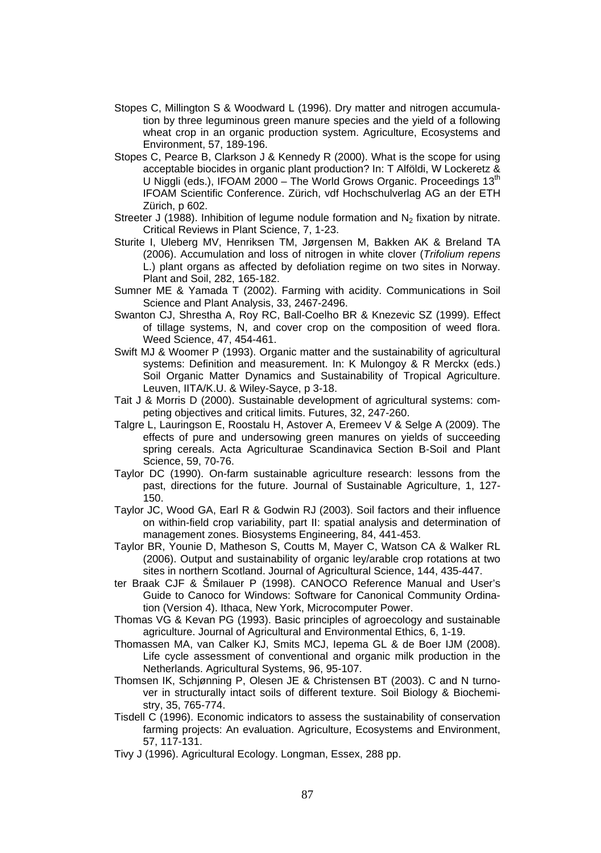- Stopes C, Millington S & Woodward L (1996). Dry matter and nitrogen accumulation by three leguminous green manure species and the yield of a following wheat crop in an organic production system. Agriculture, Ecosystems and Environment, 57, 189-196.
- Stopes C, Pearce B, Clarkson J & Kennedy R (2000). What is the scope for using acceptable biocides in organic plant production? In: T Alföldi, W Lockeretz & U Niggli (eds.), IFOAM 2000 – The World Grows Organic. Proceedings  $13<sup>th</sup>$ IFOAM Scientific Conference. Zürich, vdf Hochschulverlag AG an der ETH Zürich, p 602.
- Streeter J (1988). Inhibition of lequme nodule formation and  $N_2$  fixation by nitrate. Critical Reviews in Plant Science, 7, 1-23.
- Sturite I, Uleberg MV, Henriksen TM, Jørgensen M, Bakken AK & Breland TA (2006). Accumulation and loss of nitrogen in white clover (*Trifolium repens* L.) plant organs as affected by defoliation regime on two sites in Norway. Plant and Soil, 282, 165-182.
- Sumner ME & Yamada T (2002). Farming with acidity. Communications in Soil Science and Plant Analysis, 33, 2467-2496.
- Swanton CJ, Shrestha A, Roy RC, Ball-Coelho BR & Knezevic SZ (1999). Effect of tillage systems, N, and cover crop on the composition of weed flora. Weed Science, 47, 454-461.
- Swift MJ & Woomer P (1993). Organic matter and the sustainability of agricultural systems: Definition and measurement. In: K Mulongoy & R Merckx (eds.) Soil Organic Matter Dynamics and Sustainability of Tropical Agriculture. Leuven, IITA/K.U. & Wiley-Sayce, p 3-18.
- Tait J & Morris D (2000). Sustainable development of agricultural systems: competing objectives and critical limits. Futures, 32, 247-260.
- Talgre L, Lauringson E, Roostalu H, Astover A, Eremeev V & Selge A (2009). The effects of pure and undersowing green manures on yields of succeeding spring cereals. Acta Agriculturae Scandinavica Section B-Soil and Plant Science, 59, 70-76.
- Taylor DC (1990). On-farm sustainable agriculture research: lessons from the past, directions for the future. Journal of Sustainable Agriculture, 1, 127- 150.
- Taylor JC, Wood GA, Earl R & Godwin RJ (2003). Soil factors and their influence on within-field crop variability, part II: spatial analysis and determination of management zones. Biosystems Engineering, 84, 441-453.
- Taylor BR, Younie D, Matheson S, Coutts M, Mayer C, Watson CA & Walker RL (2006). Output and sustainability of organic ley/arable crop rotations at two sites in northern Scotland. Journal of Agricultural Science, 144, 435-447.
- ter Braak CJF & Šmilauer P (1998). CANOCO Reference Manual and User's Guide to Canoco for Windows: Software for Canonical Community Ordination (Version 4). Ithaca, New York, Microcomputer Power.
- Thomas VG & Kevan PG (1993). Basic principles of agroecology and sustainable agriculture. Journal of Agricultural and Environmental Ethics, 6, 1-19.
- Thomassen MA, van Calker KJ, Smits MCJ, Iepema GL & de Boer IJM (2008). Life cycle assessment of conventional and organic milk production in the Netherlands. Agricultural Systems, 96, 95-107.
- Thomsen IK, Schjønning P, Olesen JE & Christensen BT (2003). C and N turnover in structurally intact soils of different texture. Soil Biology & Biochemistry, 35, 765-774.
- Tisdell C (1996). Economic indicators to assess the sustainability of conservation farming projects: An evaluation. Agriculture, Ecosystems and Environment, 57, 117-131.
- Tivy J (1996). Agricultural Ecology. Longman, Essex, 288 pp.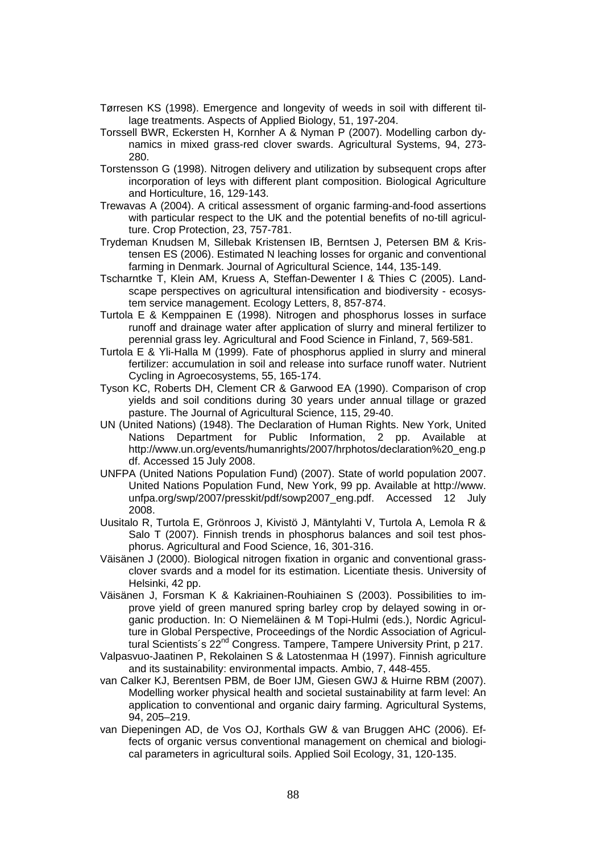- Tørresen KS (1998). Emergence and longevity of weeds in soil with different tillage treatments. Aspects of Applied Biology, 51, 197-204.
- Torssell BWR, Eckersten H, Kornher A & Nyman P (2007). Modelling carbon dynamics in mixed grass-red clover swards. Agricultural Systems, 94, 273- 280.
- Torstensson G (1998). Nitrogen delivery and utilization by subsequent crops after incorporation of leys with different plant composition. Biological Agriculture and Horticulture, 16, 129-143.
- Trewavas A (2004). A critical assessment of organic farming-and-food assertions with particular respect to the UK and the potential benefits of no-till agriculture. Crop Protection, 23, 757-781.
- Trydeman Knudsen M, Sillebak Kristensen IB, Berntsen J, Petersen BM & Kristensen ES (2006). Estimated N leaching losses for organic and conventional farming in Denmark. Journal of Agricultural Science, 144, 135-149.
- Tscharntke T, Klein AM, Kruess A, Steffan-Dewenter I & Thies C (2005). Landscape perspectives on agricultural intensification and biodiversity - ecosystem service management. Ecology Letters, 8, 857-874.
- Turtola E & Kemppainen E (1998). Nitrogen and phosphorus losses in surface runoff and drainage water after application of slurry and mineral fertilizer to perennial grass ley. Agricultural and Food Science in Finland, 7, 569-581.
- Turtola E & Yli-Halla M (1999). Fate of phosphorus applied in slurry and mineral fertilizer: accumulation in soil and release into surface runoff water. Nutrient Cycling in Agroecosystems, 55, 165-174.
- Tyson KC, Roberts DH, Clement CR & Garwood EA (1990). Comparison of crop yields and soil conditions during 30 years under annual tillage or grazed pasture. The Journal of Agricultural Science, 115, 29-40.
- UN (United Nations) (1948). The Declaration of Human Rights. New York, United Nations Department for Public Information, 2 pp. Available at http://www.un.org/events/humanrights/2007/hrphotos/declaration%20\_eng.p df. Accessed 15 July 2008.
- UNFPA (United Nations Population Fund) (2007). State of world population 2007. United Nations Population Fund, New York, 99 pp. Available at http://www. unfpa.org/swp/2007/presskit/pdf/sowp2007\_eng.pdf. Accessed 12 July 2008.
- Uusitalo R, Turtola E, Grönroos J, Kivistö J, Mäntylahti V, Turtola A, Lemola R & Salo T (2007). Finnish trends in phosphorus balances and soil test phosphorus. Agricultural and Food Science, 16, 301-316.
- Väisänen J (2000). Biological nitrogen fixation in organic and conventional grassclover svards and a model for its estimation. Licentiate thesis. University of Helsinki, 42 pp.
- Väisänen J, Forsman K & Kakriainen-Rouhiainen S (2003). Possibilities to improve yield of green manured spring barley crop by delayed sowing in organic production. In: O Niemeläinen & M Topi-Hulmi (eds.), Nordic Agriculture in Global Perspective, Proceedings of the Nordic Association of Agricultural Scientists's 22<sup>nd</sup> Congress. Tampere, Tampere University Print, p 217.
- Valpasvuo-Jaatinen P, Rekolainen S & Latostenmaa H (1997). Finnish agriculture and its sustainability: environmental impacts. Ambio, 7, 448-455.
- van Calker KJ, Berentsen PBM, de Boer IJM, Giesen GWJ & Huirne RBM (2007). Modelling worker physical health and societal sustainability at farm level: An application to conventional and organic dairy farming. Agricultural Systems, 94, 205–219.
- van Diepeningen AD, de Vos OJ, Korthals GW & van Bruggen AHC (2006). Effects of organic versus conventional management on chemical and biological parameters in agricultural soils. Applied Soil Ecology, 31, 120-135.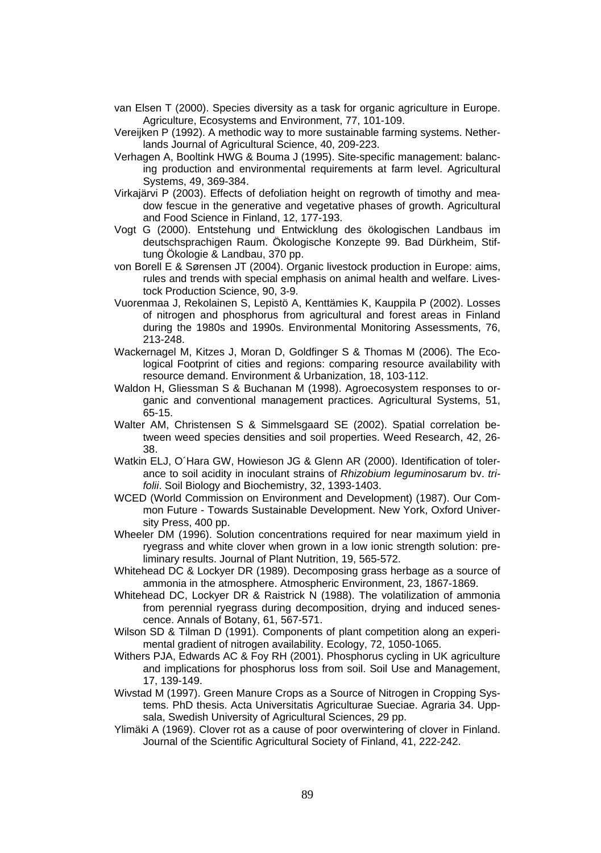- van Elsen T (2000). Species diversity as a task for organic agriculture in Europe. Agriculture, Ecosystems and Environment, 77, 101-109.
- Vereijken P (1992). A methodic way to more sustainable farming systems. Netherlands Journal of Agricultural Science, 40, 209-223.
- Verhagen A, Booltink HWG & Bouma J (1995). Site-specific management: balancing production and environmental requirements at farm level. Agricultural Systems, 49, 369-384.
- Virkajärvi P (2003). Effects of defoliation height on regrowth of timothy and meadow fescue in the generative and vegetative phases of growth. Agricultural and Food Science in Finland, 12, 177-193.
- Vogt G (2000). Entstehung und Entwicklung des ökologischen Landbaus im deutschsprachigen Raum. Ökologische Konzepte 99. Bad Dürkheim, Stiftung Ökologie & Landbau, 370 pp.
- von Borell E & Sørensen JT (2004). Organic livestock production in Europe: aims, rules and trends with special emphasis on animal health and welfare. Livestock Production Science, 90, 3-9.
- Vuorenmaa J, Rekolainen S, Lepistö A, Kenttämies K, Kauppila P (2002). Losses of nitrogen and phosphorus from agricultural and forest areas in Finland during the 1980s and 1990s. Environmental Monitoring Assessments, 76, 213-248.
- Wackernagel M, Kitzes J, Moran D, Goldfinger S & Thomas M (2006). The Ecological Footprint of cities and regions: comparing resource availability with resource demand. Environment & Urbanization, 18, 103-112.
- Waldon H, Gliessman S & Buchanan M (1998). Agroecosystem responses to organic and conventional management practices. Agricultural Systems, 51, 65-15.
- Walter AM, Christensen S & Simmelsgaard SE (2002). Spatial correlation between weed species densities and soil properties. Weed Research, 42, 26- 38.
- Watkin ELJ, O´Hara GW, Howieson JG & Glenn AR (2000). Identification of tolerance to soil acidity in inoculant strains of *Rhizobium leguminosarum* bv. *trifolii*. Soil Biology and Biochemistry, 32, 1393-1403.
- WCED (World Commission on Environment and Development) (1987). Our Common Future - Towards Sustainable Development. New York, Oxford University Press, 400 pp.
- Wheeler DM (1996). Solution concentrations required for near maximum yield in ryegrass and white clover when grown in a low ionic strength solution: preliminary results. Journal of Plant Nutrition, 19, 565-572.
- Whitehead DC & Lockyer DR (1989). Decomposing grass herbage as a source of ammonia in the atmosphere. Atmospheric Environment, 23, 1867-1869.
- Whitehead DC, Lockyer DR & Raistrick N (1988). The volatilization of ammonia from perennial ryegrass during decomposition, drying and induced senescence. Annals of Botany, 61, 567-571.
- Wilson SD & Tilman D (1991). Components of plant competition along an experimental gradient of nitrogen availability. Ecology, 72, 1050-1065.
- Withers PJA, Edwards AC & Foy RH (2001). Phosphorus cycling in UK agriculture and implications for phosphorus loss from soil. Soil Use and Management, 17, 139-149.
- Wivstad M (1997). Green Manure Crops as a Source of Nitrogen in Cropping Systems. PhD thesis. Acta Universitatis Agriculturae Sueciae. Agraria 34. Uppsala, Swedish University of Agricultural Sciences, 29 pp.
- Ylimäki A (1969). Clover rot as a cause of poor overwintering of clover in Finland. Journal of the Scientific Agricultural Society of Finland, 41, 222-242.